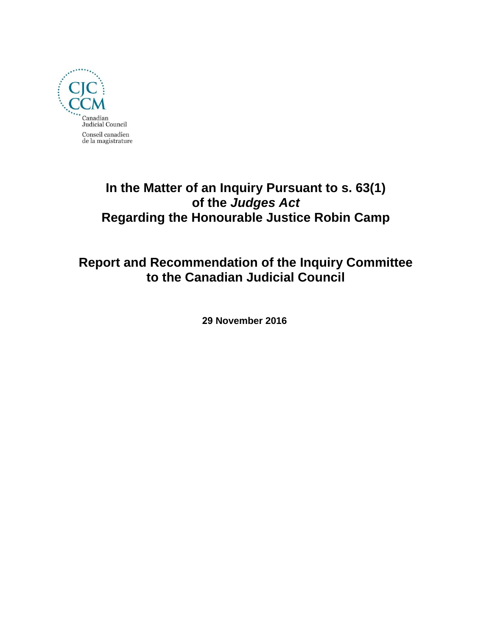

# **In the Matter of an Inquiry Pursuant to s. 63(1) of the** *Judges Act*  **Regarding the Honourable Justice Robin Camp**

# **Report and Recommendation of the Inquiry Committee to the Canadian Judicial Council**

**29 November 2016**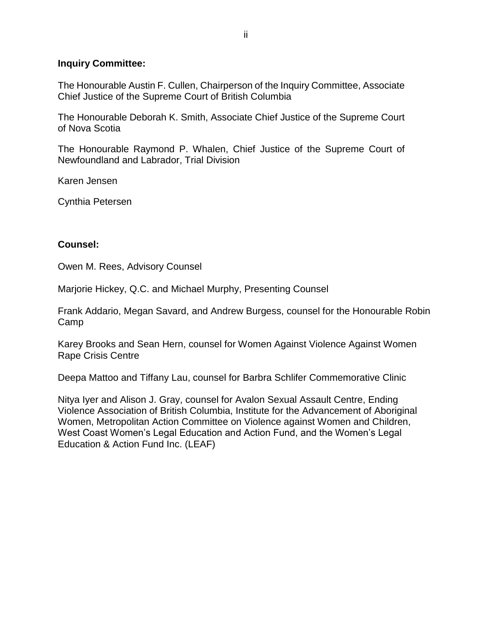#### **Inquiry Committee:**

The Honourable Austin F. Cullen, Chairperson of the Inquiry Committee, Associate Chief Justice of the Supreme Court of British Columbia

The Honourable Deborah K. Smith, Associate Chief Justice of the Supreme Court of Nova Scotia

The Honourable Raymond P. Whalen, Chief Justice of the Supreme Court of Newfoundland and Labrador, Trial Division

Karen Jensen

Cynthia Petersen

#### **Counsel:**

Owen M. Rees, Advisory Counsel

Marjorie Hickey, Q.C. and Michael Murphy, Presenting Counsel

Frank Addario, Megan Savard, and Andrew Burgess, counsel for the Honourable Robin Camp

Karey Brooks and Sean Hern, counsel for Women Against Violence Against Women Rape Crisis Centre

Deepa Mattoo and Tiffany Lau, counsel for Barbra Schlifer Commemorative Clinic

Nitya Iyer and Alison J. Gray, counsel for Avalon Sexual Assault Centre, Ending Violence Association of British Columbia, Institute for the Advancement of Aboriginal Women, Metropolitan Action Committee on Violence against Women and Children, West Coast Women's Legal Education and Action Fund, and the Women's Legal Education & Action Fund Inc. (LEAF)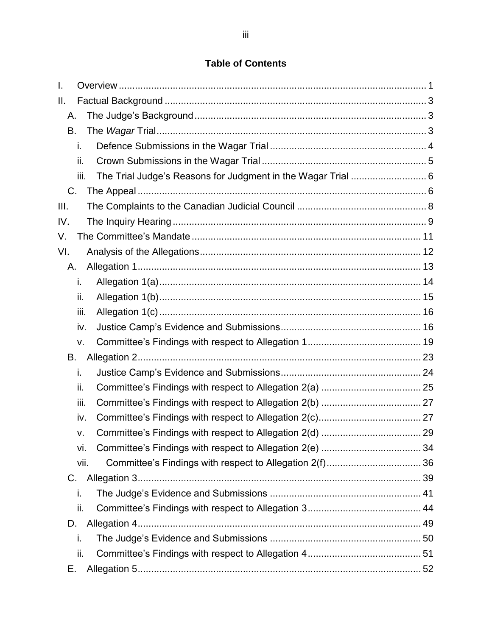# **Table of Contents**

| I.   |      |  |
|------|------|--|
| Ш.   |      |  |
| Α.   |      |  |
| В.   |      |  |
|      | i.   |  |
|      | ii.  |  |
|      | iii. |  |
| C.   |      |  |
| III. |      |  |
| IV.  |      |  |
| V.   |      |  |
| VI.  |      |  |
| А.   |      |  |
|      | i.   |  |
|      | ii.  |  |
|      | iii. |  |
|      | iv.  |  |
|      | v.   |  |
| В.   |      |  |
|      | i.   |  |
|      | ii.  |  |
|      | iii. |  |
|      | iv.  |  |
|      | V.   |  |
|      | Vİ.  |  |
|      | vii. |  |
| C.   |      |  |
|      | i.   |  |
|      | ii.  |  |
| D.   |      |  |
|      | i.   |  |
|      | ii.  |  |
| Ε.   |      |  |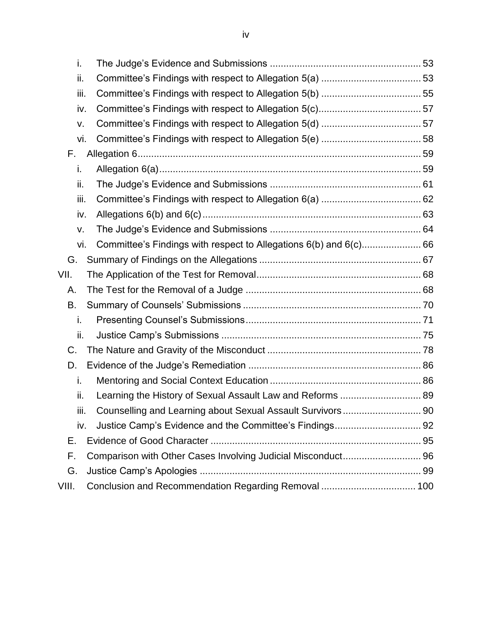| i.    |                                                              |  |
|-------|--------------------------------------------------------------|--|
| ii.   |                                                              |  |
| iii.  |                                                              |  |
| iv.   |                                                              |  |
| v.    |                                                              |  |
| vi.   |                                                              |  |
| F.    |                                                              |  |
| i.    |                                                              |  |
| ii.   |                                                              |  |
| iii.  |                                                              |  |
| iv.   |                                                              |  |
| v.    |                                                              |  |
| vi.   |                                                              |  |
| G.    |                                                              |  |
| VII.  |                                                              |  |
| Α.    |                                                              |  |
| В.    |                                                              |  |
| i.    |                                                              |  |
| ii.   |                                                              |  |
| C.    |                                                              |  |
| D.    |                                                              |  |
| i.    |                                                              |  |
| ii.   | Learning the History of Sexual Assault Law and Reforms  89   |  |
| iii.  | Counselling and Learning about Sexual Assault Survivors 90   |  |
| iv.   |                                                              |  |
| Ε.    |                                                              |  |
| F.    | Comparison with Other Cases Involving Judicial Misconduct 96 |  |
| G.    |                                                              |  |
| VIII. | Conclusion and Recommendation Regarding Removal  100         |  |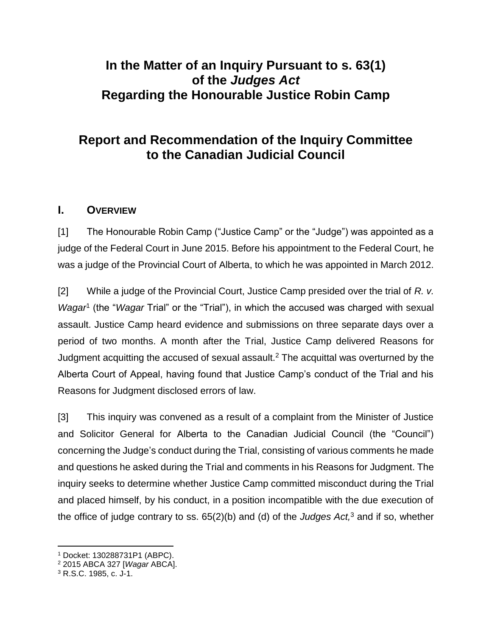# **In the Matter of an Inquiry Pursuant to s. 63(1) of the** *Judges Act*  **Regarding the Honourable Justice Robin Camp**

# **Report and Recommendation of the Inquiry Committee to the Canadian Judicial Council**

## <span id="page-4-0"></span>**I. OVERVIEW**

[1] The Honourable Robin Camp ("Justice Camp" or the "Judge") was appointed as a judge of the Federal Court in June 2015. Before his appointment to the Federal Court, he was a judge of the Provincial Court of Alberta, to which he was appointed in March 2012.

[2] While a judge of the Provincial Court, Justice Camp presided over the trial of *R. v.*  Wagar<sup>1</sup> (the "Wagar Trial" or the "Trial"), in which the accused was charged with sexual assault. Justice Camp heard evidence and submissions on three separate days over a period of two months. A month after the Trial, Justice Camp delivered Reasons for Judgment acquitting the accused of sexual assault.<sup>2</sup> The acquittal was overturned by the Alberta Court of Appeal, having found that Justice Camp's conduct of the Trial and his Reasons for Judgment disclosed errors of law.

<span id="page-4-1"></span>[3] This inquiry was convened as a result of a complaint from the Minister of Justice and Solicitor General for Alberta to the Canadian Judicial Council (the "Council") concerning the Judge's conduct during the Trial, consisting of various comments he made and questions he asked during the Trial and comments in his Reasons for Judgment. The inquiry seeks to determine whether Justice Camp committed misconduct during the Trial and placed himself, by his conduct, in a position incompatible with the due execution of the office of judge contrary to ss. 65(2)(b) and (d) of the *Judges Act,* <sup>3</sup> and if so, whether

<sup>1</sup> Docket: 130288731P1 (ABPC).

<sup>2</sup> 2015 ABCA 327 [*Wagar* ABCA].

<sup>3</sup> R.S.C. 1985, c. J-1.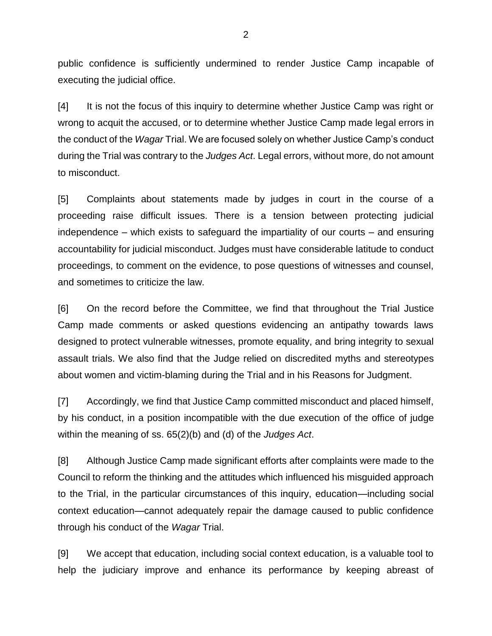public confidence is sufficiently undermined to render Justice Camp incapable of executing the judicial office.

[4] It is not the focus of this inquiry to determine whether Justice Camp was right or wrong to acquit the accused, or to determine whether Justice Camp made legal errors in the conduct of the *Wagar* Trial. We are focused solely on whether Justice Camp's conduct during the Trial was contrary to the *Judges Act*. Legal errors, without more, do not amount to misconduct.

[5] Complaints about statements made by judges in court in the course of a proceeding raise difficult issues. There is a tension between protecting judicial independence – which exists to safeguard the impartiality of our courts – and ensuring accountability for judicial misconduct. Judges must have considerable latitude to conduct proceedings, to comment on the evidence, to pose questions of witnesses and counsel, and sometimes to criticize the law.

[6] On the record before the Committee, we find that throughout the Trial Justice Camp made comments or asked questions evidencing an antipathy towards laws designed to protect vulnerable witnesses, promote equality, and bring integrity to sexual assault trials. We also find that the Judge relied on discredited myths and stereotypes about women and victim-blaming during the Trial and in his Reasons for Judgment.

[7] Accordingly, we find that Justice Camp committed misconduct and placed himself, by his conduct, in a position incompatible with the due execution of the office of judge within the meaning of ss. 65(2)(b) and (d) of the *Judges Act*.

[8] Although Justice Camp made significant efforts after complaints were made to the Council to reform the thinking and the attitudes which influenced his misguided approach to the Trial, in the particular circumstances of this inquiry, education—including social context education—cannot adequately repair the damage caused to public confidence through his conduct of the *Wagar* Trial.

[9] We accept that education, including social context education, is a valuable tool to help the judiciary improve and enhance its performance by keeping abreast of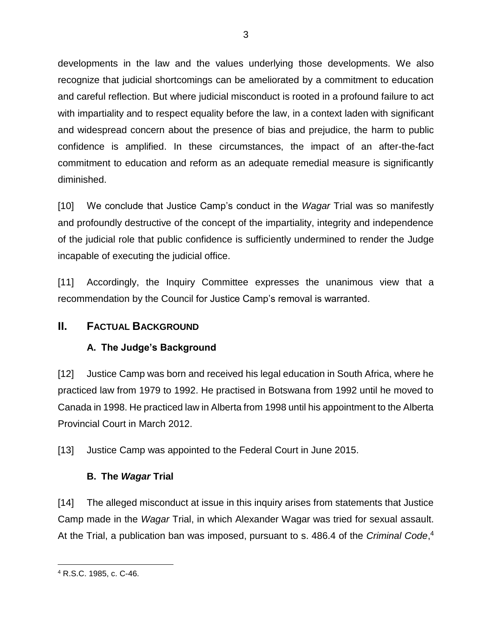developments in the law and the values underlying those developments. We also recognize that judicial shortcomings can be ameliorated by a commitment to education and careful reflection. But where judicial misconduct is rooted in a profound failure to act with impartiality and to respect equality before the law, in a context laden with significant and widespread concern about the presence of bias and prejudice, the harm to public confidence is amplified. In these circumstances, the impact of an after-the-fact commitment to education and reform as an adequate remedial measure is significantly diminished.

[10] We conclude that Justice Camp's conduct in the *Wagar* Trial was so manifestly and profoundly destructive of the concept of the impartiality, integrity and independence of the judicial role that public confidence is sufficiently undermined to render the Judge incapable of executing the judicial office.

[11] Accordingly, the Inquiry Committee expresses the unanimous view that a recommendation by the Council for Justice Camp's removal is warranted.

# <span id="page-6-1"></span><span id="page-6-0"></span>**II. FACTUAL BACKGROUND**

# **A. The Judge's Background**

[12] Justice Camp was born and received his legal education in South Africa, where he practiced law from 1979 to 1992. He practised in Botswana from 1992 until he moved to Canada in 1998. He practiced law in Alberta from 1998 until his appointment to the Alberta Provincial Court in March 2012.

[13] Justice Camp was appointed to the Federal Court in June 2015.

## **B. The** *Wagar* **Trial**

<span id="page-6-2"></span>[14] The alleged misconduct at issue in this inquiry arises from statements that Justice Camp made in the *Wagar* Trial, in which Alexander Wagar was tried for sexual assault. At the Trial, a publication ban was imposed, pursuant to s. 486.4 of the *Criminal Code*, 4

 $\overline{a}$ <sup>4</sup> R.S.C. 1985, c. C-46.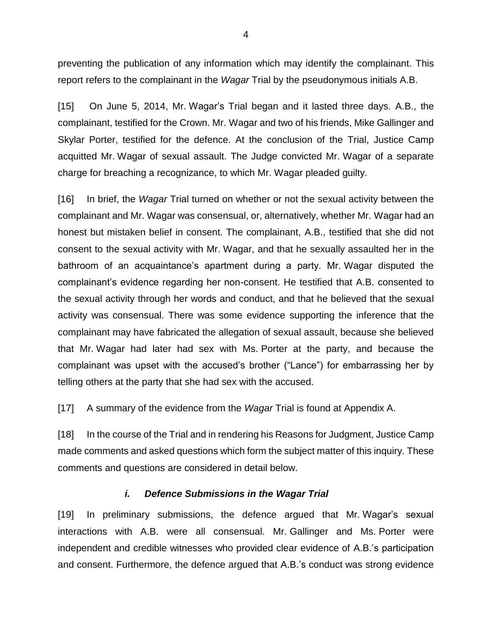preventing the publication of any information which may identify the complainant. This report refers to the complainant in the *Wagar* Trial by the pseudonymous initials A.B.

[15] On June 5, 2014, Mr. Wagar's Trial began and it lasted three days. A.B., the complainant, testified for the Crown. Mr. Wagar and two of his friends, Mike Gallinger and Skylar Porter, testified for the defence. At the conclusion of the Trial, Justice Camp acquitted Mr. Wagar of sexual assault. The Judge convicted Mr. Wagar of a separate charge for breaching a recognizance, to which Mr. Wagar pleaded guilty.

[16] In brief, the *Wagar* Trial turned on whether or not the sexual activity between the complainant and Mr. Wagar was consensual, or, alternatively, whether Mr. Wagar had an honest but mistaken belief in consent. The complainant, A.B., testified that she did not consent to the sexual activity with Mr. Wagar, and that he sexually assaulted her in the bathroom of an acquaintance's apartment during a party. Mr. Wagar disputed the complainant's evidence regarding her non-consent. He testified that A.B. consented to the sexual activity through her words and conduct, and that he believed that the sexual activity was consensual. There was some evidence supporting the inference that the complainant may have fabricated the allegation of sexual assault, because she believed that Mr. Wagar had later had sex with Ms. Porter at the party, and because the complainant was upset with the accused's brother ("Lance") for embarrassing her by telling others at the party that she had sex with the accused.

[17] A summary of the evidence from the *Wagar* Trial is found at Appendix A.

[18] In the course of the Trial and in rendering his Reasons for Judgment, Justice Camp made comments and asked questions which form the subject matter of this inquiry. These comments and questions are considered in detail below.

#### *i. Defence Submissions in the Wagar Trial*

<span id="page-7-0"></span>[19] In preliminary submissions, the defence argued that Mr. Wagar's sexual interactions with A.B. were all consensual. Mr. Gallinger and Ms. Porter were independent and credible witnesses who provided clear evidence of A.B.'s participation and consent. Furthermore, the defence argued that A.B.'s conduct was strong evidence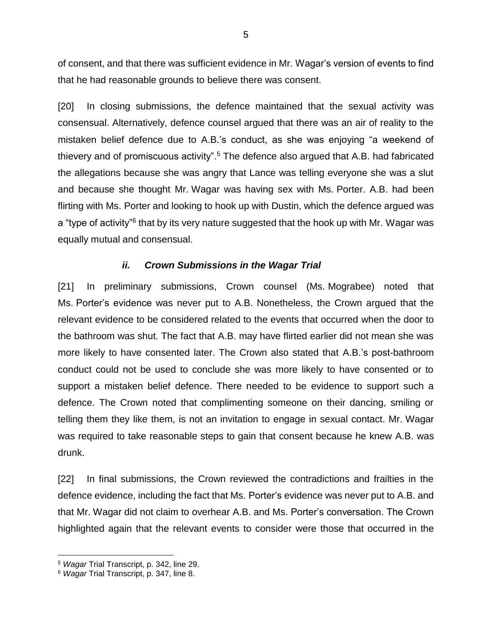of consent, and that there was sufficient evidence in Mr. Wagar's version of events to find that he had reasonable grounds to believe there was consent.

[20] In closing submissions, the defence maintained that the sexual activity was consensual. Alternatively, defence counsel argued that there was an air of reality to the mistaken belief defence due to A.B.'s conduct, as she was enjoying "a weekend of thievery and of promiscuous activity".<sup>5</sup> The defence also argued that A.B. had fabricated the allegations because she was angry that Lance was telling everyone she was a slut and because she thought Mr. Wagar was having sex with Ms. Porter. A.B. had been flirting with Ms. Porter and looking to hook up with Dustin, which the defence argued was a "type of activity"<sup>6</sup> that by its very nature suggested that the hook up with Mr. Wagar was equally mutual and consensual.

#### *ii. Crown Submissions in the Wagar Trial*

<span id="page-8-0"></span>[21] In preliminary submissions, Crown counsel (Ms. Mograbee) noted that Ms. Porter's evidence was never put to A.B. Nonetheless, the Crown argued that the relevant evidence to be considered related to the events that occurred when the door to the bathroom was shut. The fact that A.B. may have flirted earlier did not mean she was more likely to have consented later. The Crown also stated that A.B.'s post-bathroom conduct could not be used to conclude she was more likely to have consented or to support a mistaken belief defence. There needed to be evidence to support such a defence. The Crown noted that complimenting someone on their dancing, smiling or telling them they like them, is not an invitation to engage in sexual contact. Mr. Wagar was required to take reasonable steps to gain that consent because he knew A.B. was drunk.

[22] In final submissions, the Crown reviewed the contradictions and frailties in the defence evidence, including the fact that Ms. Porter's evidence was never put to A.B. and that Mr. Wagar did not claim to overhear A.B. and Ms. Porter's conversation. The Crown highlighted again that the relevant events to consider were those that occurred in the

<sup>5</sup> *Wagar* Trial Transcript, p. 342, line 29.

<sup>6</sup> *Wagar* Trial Transcript, p. 347, line 8.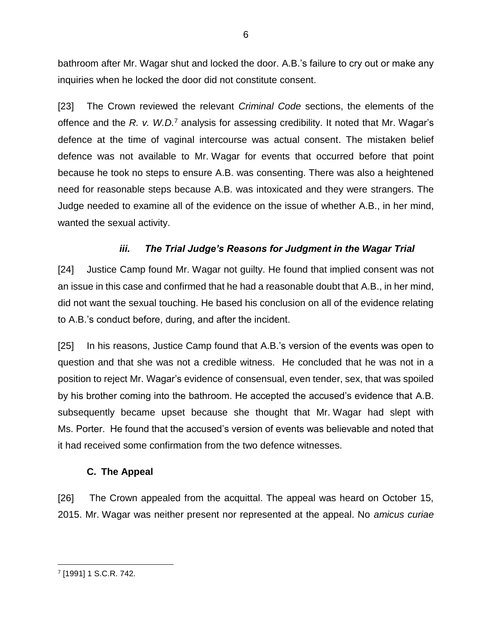bathroom after Mr. Wagar shut and locked the door. A.B.'s failure to cry out or make any inquiries when he locked the door did not constitute consent.

[23] The Crown reviewed the relevant *Criminal Code* sections, the elements of the offence and the *R. v. W.D.*<sup>7</sup> analysis for assessing credibility. It noted that Mr. Wagar's defence at the time of vaginal intercourse was actual consent. The mistaken belief defence was not available to Mr. Wagar for events that occurred before that point because he took no steps to ensure A.B. was consenting. There was also a heightened need for reasonable steps because A.B. was intoxicated and they were strangers. The Judge needed to examine all of the evidence on the issue of whether A.B., in her mind, wanted the sexual activity.

## *iii. The Trial Judge's Reasons for Judgment in the Wagar Trial*

<span id="page-9-0"></span>[24] Justice Camp found Mr. Wagar not guilty. He found that implied consent was not an issue in this case and confirmed that he had a reasonable doubt that A.B., in her mind, did not want the sexual touching. He based his conclusion on all of the evidence relating to A.B.'s conduct before, during, and after the incident.

[25] In his reasons, Justice Camp found that A.B.'s version of the events was open to question and that she was not a credible witness. He concluded that he was not in a position to reject Mr. Wagar's evidence of consensual, even tender, sex, that was spoiled by his brother coming into the bathroom. He accepted the accused's evidence that A.B. subsequently became upset because she thought that Mr. Wagar had slept with Ms. Porter. He found that the accused's version of events was believable and noted that it had received some confirmation from the two defence witnesses.

#### **C. The Appeal**

<span id="page-9-1"></span>[26] The Crown appealed from the acquittal. The appeal was heard on October 15, 2015. Mr. Wagar was neither present nor represented at the appeal. No *amicus curiae*

 $\overline{a}$ 7 [1991] 1 S.C.R. 742.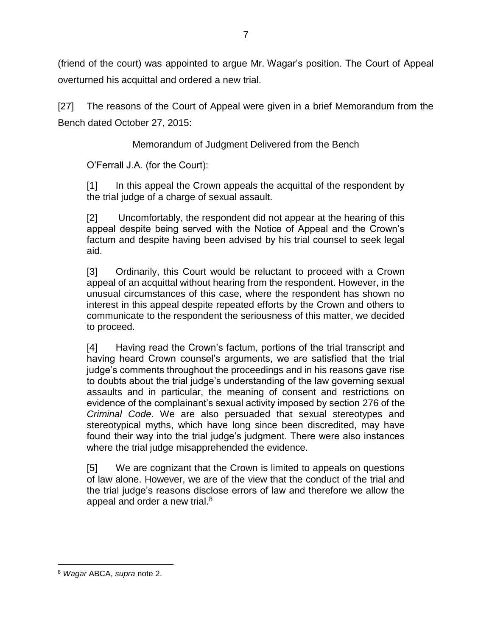(friend of the court) was appointed to argue Mr. Wagar's position. The Court of Appeal overturned his acquittal and ordered a new trial.

[27] The reasons of the Court of Appeal were given in a brief Memorandum from the Bench dated October 27, 2015:

Memorandum of Judgment Delivered from the Bench

O'Ferrall J.A. (for the Court):

[1] In this appeal the Crown appeals the acquittal of the respondent by the trial judge of a charge of sexual assault.

[2] Uncomfortably, the respondent did not appear at the hearing of this appeal despite being served with the Notice of Appeal and the Crown's factum and despite having been advised by his trial counsel to seek legal aid.

[3] Ordinarily, this Court would be reluctant to proceed with a Crown appeal of an acquittal without hearing from the respondent. However, in the unusual circumstances of this case, where the respondent has shown no interest in this appeal despite repeated efforts by the Crown and others to communicate to the respondent the seriousness of this matter, we decided to proceed.

[4] Having read the Crown's factum, portions of the trial transcript and having heard Crown counsel's arguments, we are satisfied that the trial judge's comments throughout the proceedings and in his reasons gave rise to doubts about the trial judge's understanding of the law governing sexual assaults and in particular, the meaning of consent and restrictions on evidence of the complainant's sexual activity imposed by section 276 of the *Criminal Code*. We are also persuaded that sexual stereotypes and stereotypical myths, which have long since been discredited, may have found their way into the trial judge's judgment. There were also instances where the trial judge misapprehended the evidence.

[5] We are cognizant that the Crown is limited to appeals on questions of law alone. However, we are of the view that the conduct of the trial and the trial judge's reasons disclose errors of law and therefore we allow the appeal and order a new trial.<sup>8</sup>

<sup>8</sup> *Wagar* ABCA, *supra* note [2.](#page-4-1)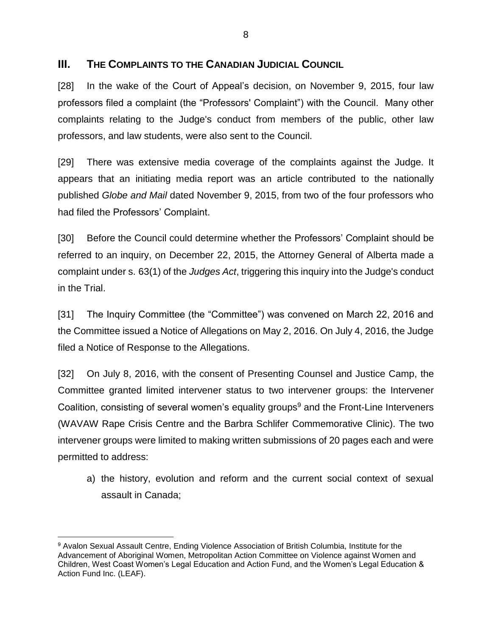### <span id="page-11-0"></span>**III. THE COMPLAINTS TO THE CANADIAN JUDICIAL COUNCIL**

[28] In the wake of the Court of Appeal's decision, on November 9, 2015, four law professors filed a complaint (the "Professors' Complaint") with the Council. Many other complaints relating to the Judge's conduct from members of the public, other law professors, and law students, were also sent to the Council.

[29] There was extensive media coverage of the complaints against the Judge. It appears that an initiating media report was an article contributed to the nationally published *Globe and Mail* dated November 9, 2015, from two of the four professors who had filed the Professors' Complaint.

[30] Before the Council could determine whether the Professors' Complaint should be referred to an inquiry, on December 22, 2015, the Attorney General of Alberta made a complaint under s. 63(1) of the *Judges Act*, triggering this inquiry into the Judge's conduct in the Trial.

[31] The Inquiry Committee (the "Committee") was convened on March 22, 2016 and the Committee issued a Notice of Allegations on May 2, 2016. On July 4, 2016, the Judge filed a Notice of Response to the Allegations.

[32] On July 8, 2016, with the consent of Presenting Counsel and Justice Camp, the Committee granted limited intervener status to two intervener groups: the Intervener Coalition, consisting of several women's equality groups<sup>9</sup> and the Front-Line Interveners (WAVAW Rape Crisis Centre and the Barbra Schlifer Commemorative Clinic). The two intervener groups were limited to making written submissions of 20 pages each and were permitted to address:

a) the history, evolution and reform and the current social context of sexual assault in Canada;

<sup>9</sup> Avalon Sexual Assault Centre, Ending Violence Association of British Columbia, Institute for the Advancement of Aboriginal Women, Metropolitan Action Committee on Violence against Women and Children, West Coast Women's Legal Education and Action Fund, and the Women's Legal Education & Action Fund Inc. (LEAF).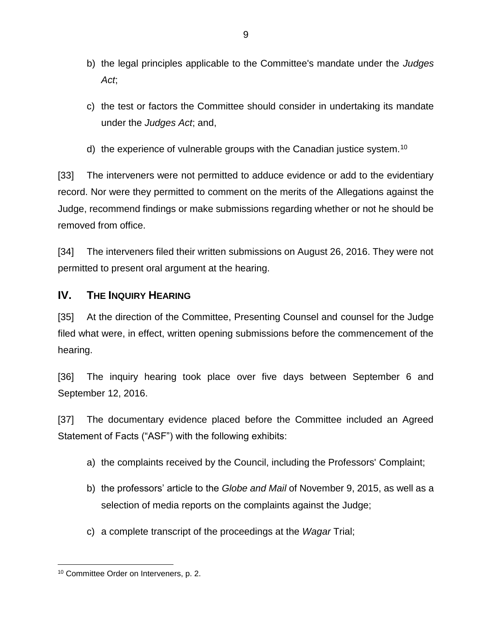- b) the legal principles applicable to the Committee's mandate under the *Judges Act*;
- c) the test or factors the Committee should consider in undertaking its mandate under the *Judges Act*; and,
- d) the experience of vulnerable groups with the Canadian justice system.<sup>10</sup>

[33] The interveners were not permitted to adduce evidence or add to the evidentiary record. Nor were they permitted to comment on the merits of the Allegations against the Judge, recommend findings or make submissions regarding whether or not he should be removed from office.

[34] The interveners filed their written submissions on August 26, 2016. They were not permitted to present oral argument at the hearing.

## <span id="page-12-0"></span>**IV.** THE **INQUIRY HEARING**

[35] At the direction of the Committee, Presenting Counsel and counsel for the Judge filed what were, in effect, written opening submissions before the commencement of the hearing.

[36] The inquiry hearing took place over five days between September 6 and September 12, 2016.

[37] The documentary evidence placed before the Committee included an Agreed Statement of Facts ("ASF") with the following exhibits:

- a) the complaints received by the Council, including the Professors' Complaint;
- b) the professors' article to the *Globe and Mail* of November 9, 2015, as well as a selection of media reports on the complaints against the Judge;
- c) a complete transcript of the proceedings at the *Wagar* Trial;

 $\overline{a}$ <sup>10</sup> Committee Order on Interveners, p. 2.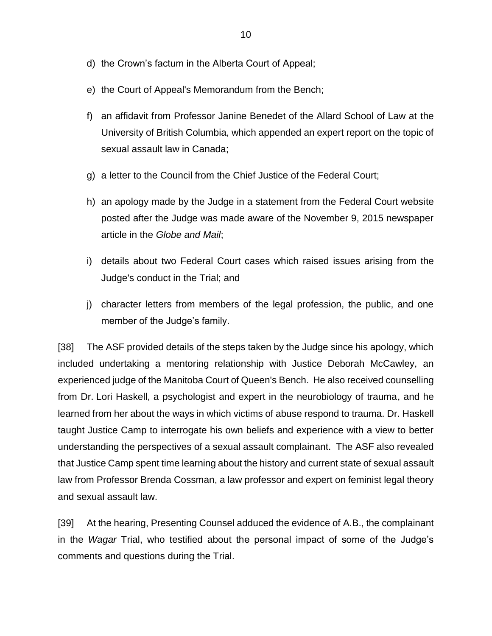- d) the Crown's factum in the Alberta Court of Appeal;
- e) the Court of Appeal's Memorandum from the Bench;
- f) an affidavit from Professor Janine Benedet of the Allard School of Law at the University of British Columbia, which appended an expert report on the topic of sexual assault law in Canada;
- g) a letter to the Council from the Chief Justice of the Federal Court;
- h) an apology made by the Judge in a statement from the Federal Court website posted after the Judge was made aware of the November 9, 2015 newspaper article in the *Globe and Mail*;
- i) details about two Federal Court cases which raised issues arising from the Judge's conduct in the Trial; and
- j) character letters from members of the legal profession, the public, and one member of the Judge's family.

[38] The ASF provided details of the steps taken by the Judge since his apology, which included undertaking a mentoring relationship with Justice Deborah McCawley, an experienced judge of the Manitoba Court of Queen's Bench. He also received counselling from Dr. Lori Haskell, a psychologist and expert in the neurobiology of trauma, and he learned from her about the ways in which victims of abuse respond to trauma. Dr. Haskell taught Justice Camp to interrogate his own beliefs and experience with a view to better understanding the perspectives of a sexual assault complainant. The ASF also revealed that Justice Camp spent time learning about the history and current state of sexual assault law from Professor Brenda Cossman, a law professor and expert on feminist legal theory and sexual assault law.

[39] At the hearing, Presenting Counsel adduced the evidence of A.B., the complainant in the *Wagar* Trial, who testified about the personal impact of some of the Judge's comments and questions during the Trial.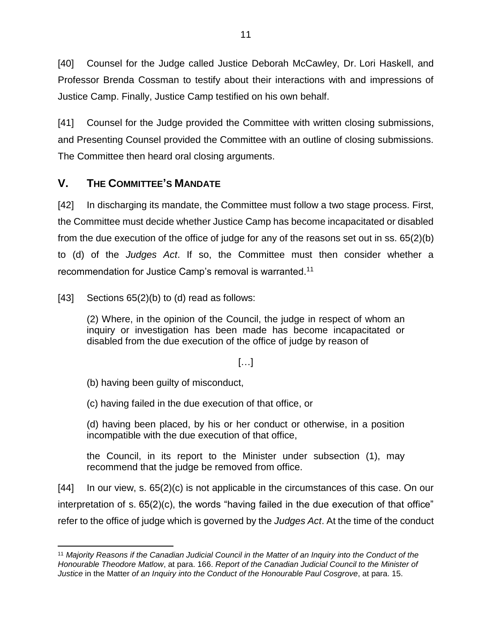[40] Counsel for the Judge called Justice Deborah McCawley, Dr. Lori Haskell, and Professor Brenda Cossman to testify about their interactions with and impressions of Justice Camp. Finally, Justice Camp testified on his own behalf.

[41] Counsel for the Judge provided the Committee with written closing submissions, and Presenting Counsel provided the Committee with an outline of closing submissions. The Committee then heard oral closing arguments.

# <span id="page-14-0"></span>**V. THE COMMITTEE'S MANDATE**

[42] In discharging its mandate, the Committee must follow a two stage process. First, the Committee must decide whether Justice Camp has become incapacitated or disabled from the due execution of the office of judge for any of the reasons set out in ss. 65(2)(b) to (d) of the *Judges Act*. If so, the Committee must then consider whether a recommendation for Justice Camp's removal is warranted.<sup>11</sup>

[43] Sections  $65(2)(b)$  to (d) read as follows:

(2) Where, in the opinion of the Council, the judge in respect of whom an inquiry or investigation has been made has become incapacitated or disabled from the due execution of the office of judge by reason of

[…]

(b) having been guilty of misconduct,

(c) having failed in the due execution of that office, or

(d) having been placed, by his or her conduct or otherwise, in a position incompatible with the due execution of that office,

the Council, in its report to the Minister under subsection (1), may recommend that the judge be removed from office.

 $[44]$  In our view, s.  $65(2)(c)$  is not applicable in the circumstances of this case. On our interpretation of s. 65(2)(c), the words "having failed in the due execution of that office" refer to the office of judge which is governed by the *Judges Act*. At the time of the conduct

 $\overline{a}$ <sup>11</sup> *Majority Reasons if the Canadian Judicial Council in the Matter of an Inquiry into the Conduct of the Honourable Theodore Matlow*, at para. 166. *Report of the Canadian Judicial Council to the Minister of Justice* in the Matter *of an Inquiry into the Conduct of the Honourable Paul Cosgrove*, at para. 15.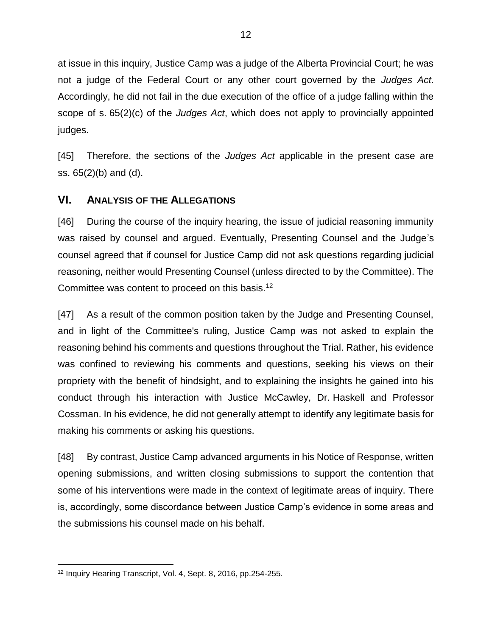at issue in this inquiry, Justice Camp was a judge of the Alberta Provincial Court; he was not a judge of the Federal Court or any other court governed by the *Judges Act*. Accordingly, he did not fail in the due execution of the office of a judge falling within the scope of s. 65(2)(c) of the *Judges Act*, which does not apply to provincially appointed judges.

[45] Therefore, the sections of the *Judges Act* applicable in the present case are ss. 65(2)(b) and (d).

### <span id="page-15-0"></span>**VI. ANALYSIS OF THE ALLEGATIONS**

[46] During the course of the inquiry hearing, the issue of judicial reasoning immunity was raised by counsel and argued. Eventually, Presenting Counsel and the Judge's counsel agreed that if counsel for Justice Camp did not ask questions regarding judicial reasoning, neither would Presenting Counsel (unless directed to by the Committee). The Committee was content to proceed on this basis.<sup>12</sup>

[47] As a result of the common position taken by the Judge and Presenting Counsel, and in light of the Committee's ruling, Justice Camp was not asked to explain the reasoning behind his comments and questions throughout the Trial. Rather, his evidence was confined to reviewing his comments and questions, seeking his views on their propriety with the benefit of hindsight, and to explaining the insights he gained into his conduct through his interaction with Justice McCawley, Dr. Haskell and Professor Cossman. In his evidence, he did not generally attempt to identify any legitimate basis for making his comments or asking his questions.

[48] By contrast, Justice Camp advanced arguments in his Notice of Response, written opening submissions, and written closing submissions to support the contention that some of his interventions were made in the context of legitimate areas of inquiry. There is, accordingly, some discordance between Justice Camp's evidence in some areas and the submissions his counsel made on his behalf.

<sup>12</sup> Inquiry Hearing Transcript, Vol. 4, Sept. 8, 2016, pp.254-255.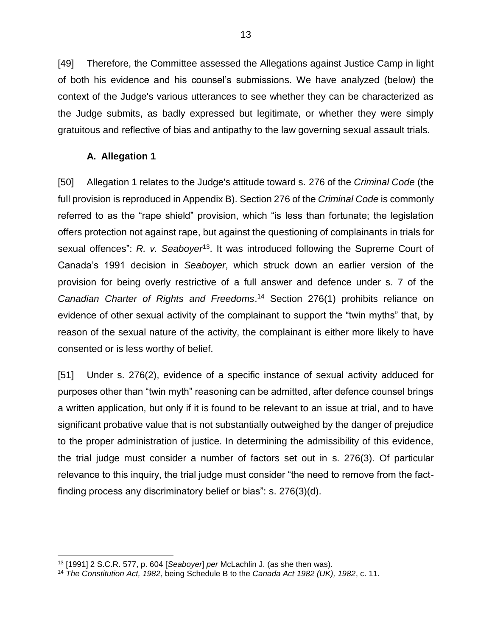[49] Therefore, the Committee assessed the Allegations against Justice Camp in light of both his evidence and his counsel's submissions. We have analyzed (below) the context of the Judge's various utterances to see whether they can be characterized as the Judge submits, as badly expressed but legitimate, or whether they were simply gratuitous and reflective of bias and antipathy to the law governing sexual assault trials.

#### **A. Allegation 1**

<span id="page-16-0"></span>[50] Allegation 1 relates to the Judge's attitude toward s. 276 of the *Criminal Code* (the full provision is reproduced in Appendix B). Section 276 of the *Criminal Code* is commonly referred to as the "rape shield" provision, which "is less than fortunate; the legislation offers protection not against rape, but against the questioning of complainants in trials for sexual offences": R. v. Seaboyer<sup>13</sup>. It was introduced following the Supreme Court of Canada's 1991 decision in *Seaboyer*, which struck down an earlier version of the provision for being overly restrictive of a full answer and defence under s. 7 of the *Canadian Charter of Rights and Freedoms*. <sup>14</sup> Section 276(1) prohibits reliance on evidence of other sexual activity of the complainant to support the "twin myths" that, by reason of the sexual nature of the activity, the complainant is either more likely to have consented or is less worthy of belief.

[51] Under s. 276(2), evidence of a specific instance of sexual activity adduced for purposes other than "twin myth" reasoning can be admitted, after defence counsel brings a written application, but only if it is found to be relevant to an issue at trial, and to have significant probative value that is not substantially outweighed by the danger of prejudice to the proper administration of justice. In determining the admissibility of this evidence, the trial judge must consider a number of factors set out in s. 276(3). Of particular relevance to this inquiry, the trial judge must consider "the need to remove from the factfinding process any discriminatory belief or bias": s. 276(3)(d).

<sup>13</sup> [1991] 2 S.C.R. 577, p. 604 [*Seaboyer*] *per* McLachlin J. (as she then was).

<sup>14</sup> *The Constitution Act, 1982*, being Schedule B to the *Canada Act 1982 (UK), 1982*, c. 11.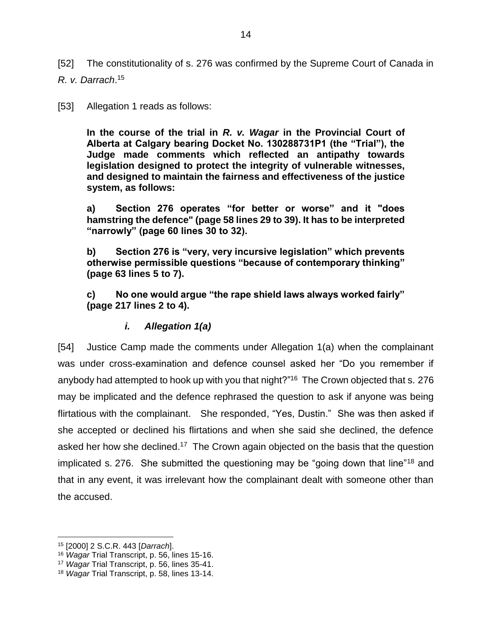[52] The constitutionality of s. 276 was confirmed by the Supreme Court of Canada in *R. v. Darrach*. 15

[53] Allegation 1 reads as follows:

<span id="page-17-1"></span>**In the course of the trial in** *R. v. Wagar* **in the Provincial Court of Alberta at Calgary bearing Docket No. 130288731P1 (the "Trial"), the Judge made comments which reflected an antipathy towards legislation designed to protect the integrity of vulnerable witnesses, and designed to maintain the fairness and effectiveness of the justice system, as follows:**

**a) Section 276 operates "for better or worse" and it "does hamstring the defence" (page 58 lines 29 to 39). It has to be interpreted "narrowly" (page 60 lines 30 to 32).**

**b) Section 276 is "very, very incursive legislation" which prevents otherwise permissible questions "because of contemporary thinking" (page 63 lines 5 to 7).**

**c) No one would argue "the rape shield laws always worked fairly" (page 217 lines 2 to 4).**

#### *i. Allegation 1(a)*

<span id="page-17-0"></span>[54] Justice Camp made the comments under Allegation 1(a) when the complainant was under cross-examination and defence counsel asked her "Do you remember if anybody had attempted to hook up with you that night?"<sup>16</sup> The Crown objected that s. 276 may be implicated and the defence rephrased the question to ask if anyone was being flirtatious with the complainant. She responded, "Yes, Dustin." She was then asked if she accepted or declined his flirtations and when she said she declined, the defence asked her how she declined.<sup>17</sup> The Crown again objected on the basis that the question implicated s. 276. She submitted the questioning may be "going down that line"<sup>18</sup> and that in any event, it was irrelevant how the complainant dealt with someone other than the accused.

<sup>15</sup> [2000] 2 S.C.R. 443 [*Darrach*].

<sup>16</sup> *Wagar* Trial Transcript, p. 56, lines 15-16.

<sup>17</sup> *Wagar* Trial Transcript, p. 56, lines 35-41.

<sup>18</sup> *Wagar* Trial Transcript, p. 58, lines 13-14.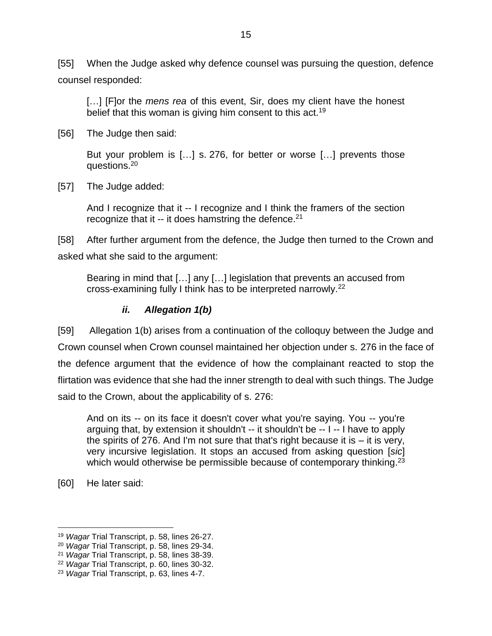[55] When the Judge asked why defence counsel was pursuing the question, defence counsel responded:

[...] [F]or the *mens rea* of this event, Sir, does my client have the honest belief that this woman is giving him consent to this act.<sup>19</sup>

[56] The Judge then said:

But your problem is […] s. 276, for better or worse […] prevents those questions.<sup>20</sup>

[57] The Judge added:

And I recognize that it -- I recognize and I think the framers of the section recognize that it -- it does hamstring the defence.<sup>21</sup>

[58] After further argument from the defence, the Judge then turned to the Crown and asked what she said to the argument:

Bearing in mind that […] any […] legislation that prevents an accused from cross-examining fully I think has to be interpreted narrowly.<sup>22</sup>

#### *ii. Allegation 1(b)*

<span id="page-18-0"></span>[59] Allegation 1(b) arises from a continuation of the colloquy between the Judge and Crown counsel when Crown counsel maintained her objection under s. 276 in the face of the defence argument that the evidence of how the complainant reacted to stop the flirtation was evidence that she had the inner strength to deal with such things. The Judge said to the Crown, about the applicability of s. 276:

And on its -- on its face it doesn't cover what you're saying. You -- you're arguing that, by extension it shouldn't -- it shouldn't be -- I -- I have to apply the spirits of 276. And I'm not sure that that's right because it is  $-$  it is very, very incursive legislation. It stops an accused from asking question [*sic*] which would otherwise be permissible because of contemporary thinking.<sup>23</sup>

[60] He later said:

<sup>19</sup> *Wagar* Trial Transcript, p. 58, lines 26-27.

<sup>20</sup> *Wagar* Trial Transcript, p. 58, lines 29-34.

<sup>21</sup> *Wagar* Trial Transcript, p. 58, lines 38-39.

<sup>22</sup> *Wagar* Trial Transcript, p. 60, lines 30-32.

<sup>23</sup> *Wagar* Trial Transcript, p. 63, lines 4-7.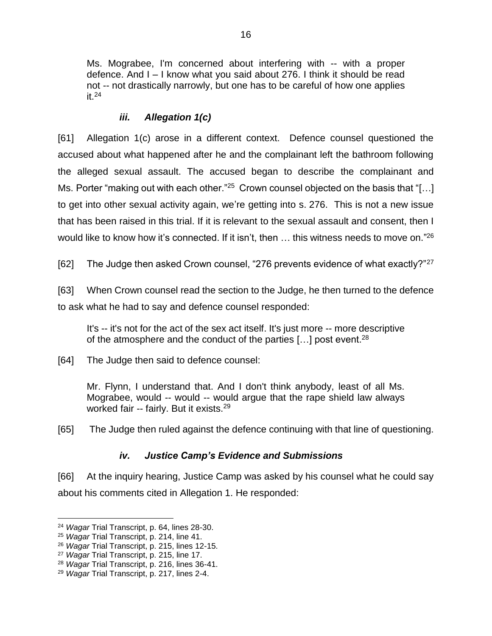Ms. Mograbee, I'm concerned about interfering with -- with a proper defence. And I – I know what you said about 276. I think it should be read not -- not drastically narrowly, but one has to be careful of how one applies it.<sup>24</sup>

### *iii. Allegation 1(c)*

<span id="page-19-0"></span>[61] Allegation 1(c) arose in a different context. Defence counsel questioned the accused about what happened after he and the complainant left the bathroom following the alleged sexual assault. The accused began to describe the complainant and Ms. Porter "making out with each other."<sup>25</sup> Crown counsel objected on the basis that "[...] to get into other sexual activity again, we're getting into s. 276. This is not a new issue that has been raised in this trial. If it is relevant to the sexual assault and consent, then I would like to know how it's connected. If it isn't, then ... this witness needs to move on."<sup>26</sup>

[62] The Judge then asked Crown counsel, "276 prevents evidence of what exactly?"<sup>27</sup>

[63] When Crown counsel read the section to the Judge, he then turned to the defence to ask what he had to say and defence counsel responded:

It's -- it's not for the act of the sex act itself. It's just more -- more descriptive of the atmosphere and the conduct of the parties  $[...]$  post event.<sup>28</sup>

[64] The Judge then said to defence counsel:

Mr. Flynn, I understand that. And I don't think anybody, least of all Ms. Mograbee, would -- would -- would argue that the rape shield law always worked fair -- fairly. But it exists.<sup>29</sup>

[65] The Judge then ruled against the defence continuing with that line of questioning.

#### *iv. Justice Camp's Evidence and Submissions*

<span id="page-19-1"></span>[66] At the inquiry hearing, Justice Camp was asked by his counsel what he could say about his comments cited in Allegation 1. He responded:

 $\overline{a}$ <sup>24</sup> *Wagar* Trial Transcript, p. 64, lines 28-30.

<sup>25</sup> *Wagar* Trial Transcript, p. 214, line 41.

<sup>26</sup> *Wagar* Trial Transcript, p. 215, lines 12-15.

<sup>27</sup> *Wagar* Trial Transcript, p. 215, line 17.

<sup>28</sup> *Wagar* Trial Transcript, p. 216, lines 36-41.

<sup>29</sup> *Wagar* Trial Transcript, p. 217, lines 2-4.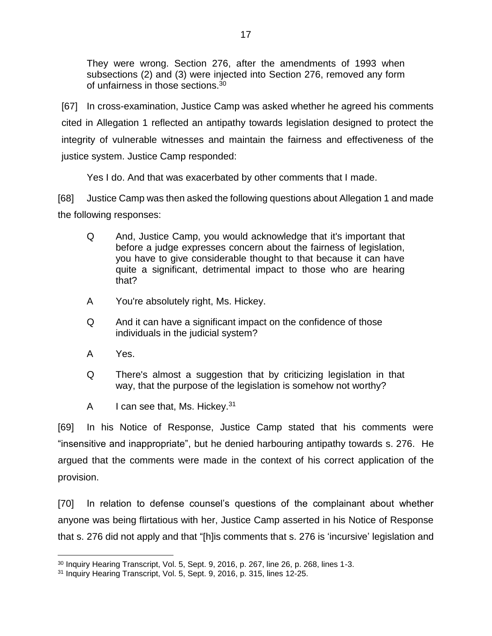They were wrong. Section 276, after the amendments of 1993 when subsections (2) and (3) were injected into Section 276, removed any form of unfairness in those sections.<sup>30</sup>

[67] In cross-examination, Justice Camp was asked whether he agreed his comments cited in Allegation 1 reflected an antipathy towards legislation designed to protect the integrity of vulnerable witnesses and maintain the fairness and effectiveness of the justice system. Justice Camp responded:

Yes I do. And that was exacerbated by other comments that I made.

[68] Justice Camp was then asked the following questions about Allegation 1 and made the following responses:

- Q And, Justice Camp, you would acknowledge that it's important that before a judge expresses concern about the fairness of legislation, you have to give considerable thought to that because it can have quite a significant, detrimental impact to those who are hearing that?
- A You're absolutely right, Ms. Hickey.
- Q And it can have a significant impact on the confidence of those individuals in the judicial system?
- A Yes.

 $\overline{a}$ 

- Q There's almost a suggestion that by criticizing legislation in that way, that the purpose of the legislation is somehow not worthy?
- A I can see that, Ms. Hickey. $31$

[69] In his Notice of Response, Justice Camp stated that his comments were "insensitive and inappropriate", but he denied harbouring antipathy towards s. 276. He argued that the comments were made in the context of his correct application of the provision.

[70] In relation to defense counsel's questions of the complainant about whether anyone was being flirtatious with her, Justice Camp asserted in his Notice of Response that s. 276 did not apply and that "[h]is comments that s. 276 is 'incursive' legislation and

<sup>30</sup> Inquiry Hearing Transcript, Vol. 5, Sept. 9, 2016, p. 267, line 26, p. 268, lines 1-3.

<sup>31</sup> Inquiry Hearing Transcript, Vol. 5, Sept. 9, 2016, p. 315, lines 12-25.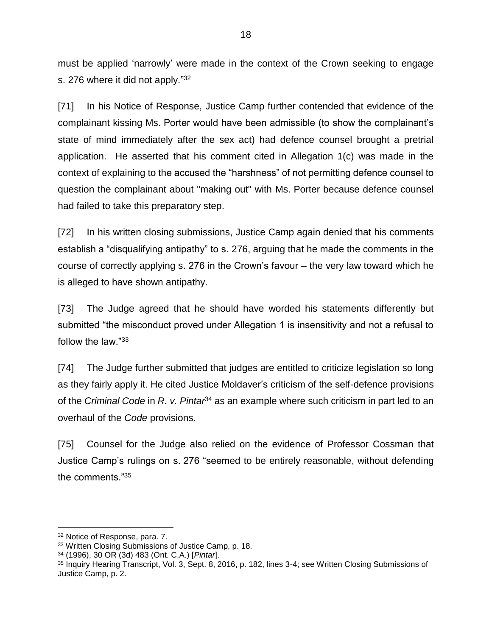must be applied 'narrowly' were made in the context of the Crown seeking to engage s. 276 where it did not apply."<sup>32</sup>

[71] In his Notice of Response, Justice Camp further contended that evidence of the complainant kissing Ms. Porter would have been admissible (to show the complainant's state of mind immediately after the sex act) had defence counsel brought a pretrial application. He asserted that his comment cited in Allegation 1(c) was made in the context of explaining to the accused the "harshness" of not permitting defence counsel to question the complainant about "making out" with Ms. Porter because defence counsel had failed to take this preparatory step.

[72] In his written closing submissions, Justice Camp again denied that his comments establish a "disqualifying antipathy" to s. 276, arguing that he made the comments in the course of correctly applying s. 276 in the Crown's favour – the very law toward which he is alleged to have shown antipathy.

[73] The Judge agreed that he should have worded his statements differently but submitted "the misconduct proved under Allegation 1 is insensitivity and not a refusal to follow the law."<sup>33</sup>

<span id="page-21-0"></span>[74] The Judge further submitted that judges are entitled to criticize legislation so long as they fairly apply it. He cited Justice Moldaver's criticism of the self-defence provisions of the *Criminal Code* in *R. v. Pintar*<sup>34</sup> as an example where such criticism in part led to an overhaul of the *Code* provisions.

[75] Counsel for the Judge also relied on the evidence of Professor Cossman that Justice Camp's rulings on s. 276 "seemed to be entirely reasonable, without defending the comments."<sup>35</sup>

<sup>32</sup> Notice of Response, para. 7.

<sup>33</sup> Written Closing Submissions of Justice Camp, p. 18.

<sup>34</sup> (1996), 30 OR (3d) 483 (Ont. C.A.) [*Pintar*].

<sup>35</sup> Inquiry Hearing Transcript, Vol. 3, Sept. 8, 2016, p. 182, lines 3-4; see Written Closing Submissions of Justice Camp, p. 2.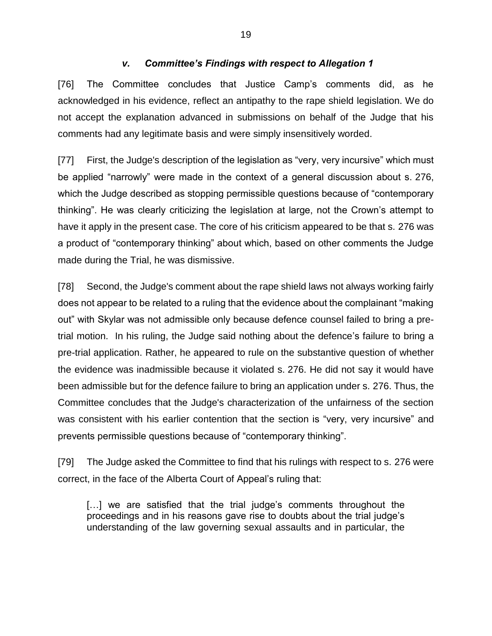#### *v. Committee's Findings with respect to Allegation 1*

<span id="page-22-0"></span>[76] The Committee concludes that Justice Camp's comments did, as he acknowledged in his evidence, reflect an antipathy to the rape shield legislation. We do not accept the explanation advanced in submissions on behalf of the Judge that his comments had any legitimate basis and were simply insensitively worded.

[77] First, the Judge's description of the legislation as "very, very incursive" which must be applied "narrowly" were made in the context of a general discussion about s. 276, which the Judge described as stopping permissible questions because of "contemporary thinking". He was clearly criticizing the legislation at large, not the Crown's attempt to have it apply in the present case. The core of his criticism appeared to be that s. 276 was a product of "contemporary thinking" about which, based on other comments the Judge made during the Trial, he was dismissive.

[78] Second, the Judge's comment about the rape shield laws not always working fairly does not appear to be related to a ruling that the evidence about the complainant "making out" with Skylar was not admissible only because defence counsel failed to bring a pretrial motion. In his ruling, the Judge said nothing about the defence's failure to bring a pre-trial application. Rather, he appeared to rule on the substantive question of whether the evidence was inadmissible because it violated s. 276. He did not say it would have been admissible but for the defence failure to bring an application under s. 276. Thus, the Committee concludes that the Judge's characterization of the unfairness of the section was consistent with his earlier contention that the section is "very, very incursive" and prevents permissible questions because of "contemporary thinking".

[79] The Judge asked the Committee to find that his rulings with respect to s. 276 were correct, in the face of the Alberta Court of Appeal's ruling that:

[...] we are satisfied that the trial judge's comments throughout the proceedings and in his reasons gave rise to doubts about the trial judge's understanding of the law governing sexual assaults and in particular, the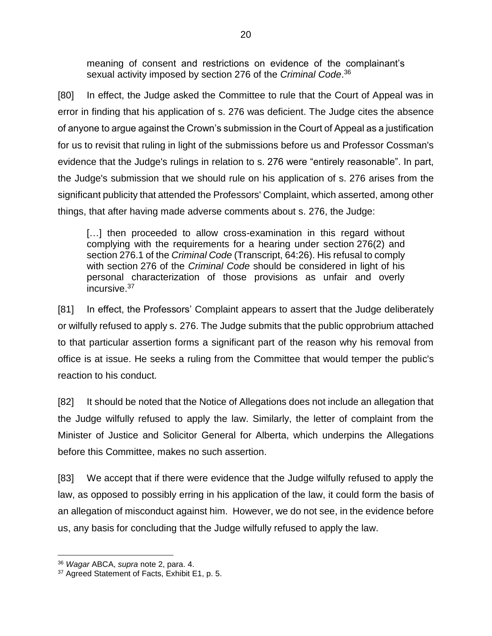meaning of consent and restrictions on evidence of the complainant's sexual activity imposed by section 276 of the *Criminal Code*. 36

[80] In effect, the Judge asked the Committee to rule that the Court of Appeal was in error in finding that his application of s. 276 was deficient. The Judge cites the absence of anyone to argue against the Crown's submission in the Court of Appeal as a justification for us to revisit that ruling in light of the submissions before us and Professor Cossman's evidence that the Judge's rulings in relation to s. 276 were "entirely reasonable". In part, the Judge's submission that we should rule on his application of s. 276 arises from the significant publicity that attended the Professors' Complaint, which asserted, among other things, that after having made adverse comments about s. 276, the Judge:

[...] then proceeded to allow cross-examination in this regard without complying with the requirements for a hearing under section 276(2) and section 276.1 of the *Criminal Code* (Transcript, 64:26). His refusal to comply with section 276 of the *Criminal Code* should be considered in light of his personal characterization of those provisions as unfair and overly incursive.<sup>37</sup>

[81] In effect, the Professors' Complaint appears to assert that the Judge deliberately or wilfully refused to apply s. 276. The Judge submits that the public opprobrium attached to that particular assertion forms a significant part of the reason why his removal from office is at issue. He seeks a ruling from the Committee that would temper the public's reaction to his conduct.

[82] It should be noted that the Notice of Allegations does not include an allegation that the Judge wilfully refused to apply the law. Similarly, the letter of complaint from the Minister of Justice and Solicitor General for Alberta, which underpins the Allegations before this Committee, makes no such assertion.

[83] We accept that if there were evidence that the Judge wilfully refused to apply the law, as opposed to possibly erring in his application of the law, it could form the basis of an allegation of misconduct against him. However, we do not see, in the evidence before us, any basis for concluding that the Judge wilfully refused to apply the law.

<sup>36</sup> *Wagar* ABCA, *supra* note [2,](#page-4-1) para. 4.

<sup>&</sup>lt;sup>37</sup> Agreed Statement of Facts, Exhibit E1, p. 5.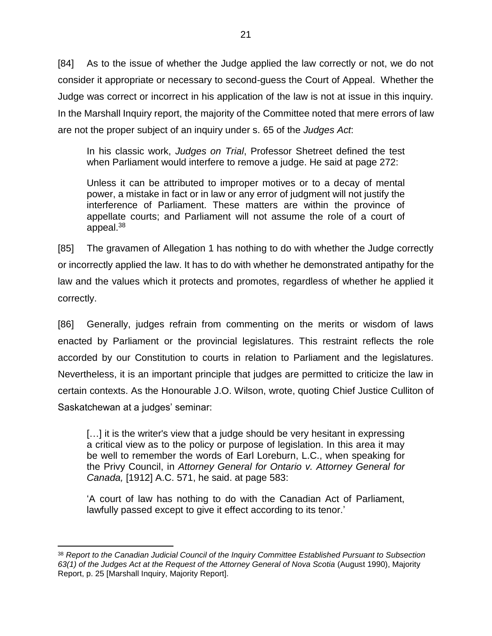[84] As to the issue of whether the Judge applied the law correctly or not, we do not consider it appropriate or necessary to second-guess the Court of Appeal. Whether the Judge was correct or incorrect in his application of the law is not at issue in this inquiry. In the Marshall Inquiry report, the majority of the Committee noted that mere errors of law are not the proper subject of an inquiry under s. 65 of the *Judges Act*:

In his classic work, *Judges on Trial*, Professor Shetreet defined the test when Parliament would interfere to remove a judge. He said at page 272:

Unless it can be attributed to improper motives or to a decay of mental power, a mistake in fact or in law or any error of judgment will not justify the interference of Parliament. These matters are within the province of appellate courts; and Parliament will not assume the role of a court of appeal.<sup>38</sup>

[85] The gravamen of Allegation 1 has nothing to do with whether the Judge correctly or incorrectly applied the law. It has to do with whether he demonstrated antipathy for the law and the values which it protects and promotes, regardless of whether he applied it correctly.

[86] Generally, judges refrain from commenting on the merits or wisdom of laws enacted by Parliament or the provincial legislatures. This restraint reflects the role accorded by our Constitution to courts in relation to Parliament and the legislatures. Nevertheless, it is an important principle that judges are permitted to criticize the law in certain contexts. As the Honourable J.O. Wilson, wrote, quoting Chief Justice Culliton of Saskatchewan at a judges' seminar:

[...] it is the writer's view that a judge should be very hesitant in expressing a critical view as to the policy or purpose of legislation. In this area it may be well to remember the words of Earl Loreburn, L.C., when speaking for the Privy Council, in *Attorney General for Ontario v. Attorney General for Canada,* [1912] A.C. 571, he said. at page 583:

'A court of law has nothing to do with the Canadian Act of Parliament, lawfully passed except to give it effect according to its tenor.'

 $\overline{a}$ <sup>38</sup> *Report to the Canadian Judicial Council of the Inquiry Committee Established Pursuant to Subsection*  63(1) of the Judges Act at the Request of the Attorney General of Nova Scotia (August 1990), Majority Report, p. 25 [Marshall Inquiry, Majority Report].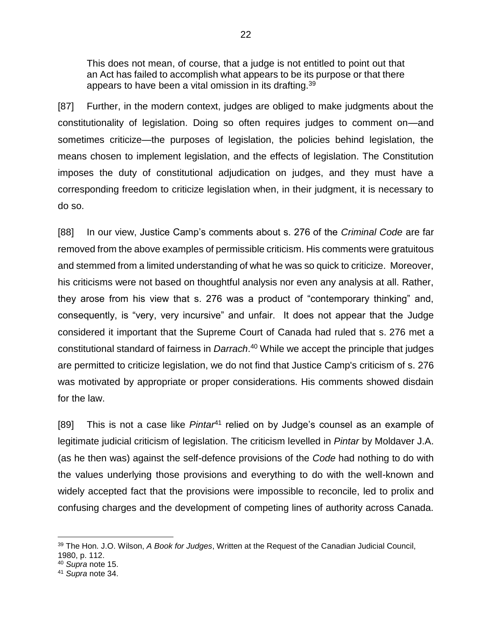This does not mean, of course, that a judge is not entitled to point out that an Act has failed to accomplish what appears to be its purpose or that there appears to have been a vital omission in its drafting.<sup>39</sup>

[87] Further, in the modern context, judges are obliged to make judgments about the constitutionality of legislation. Doing so often requires judges to comment on—and sometimes criticize—the purposes of legislation, the policies behind legislation, the means chosen to implement legislation, and the effects of legislation. The Constitution imposes the duty of constitutional adjudication on judges, and they must have a corresponding freedom to criticize legislation when, in their judgment, it is necessary to do so.

[88] In our view, Justice Camp's comments about s. 276 of the *Criminal Code* are far removed from the above examples of permissible criticism. His comments were gratuitous and stemmed from a limited understanding of what he was so quick to criticize. Moreover, his criticisms were not based on thoughtful analysis nor even any analysis at all. Rather, they arose from his view that s. 276 was a product of "contemporary thinking" and, consequently, is "very, very incursive" and unfair. It does not appear that the Judge considered it important that the Supreme Court of Canada had ruled that s. 276 met a constitutional standard of fairness in *Darrach*. <sup>40</sup> While we accept the principle that judges are permitted to criticize legislation, we do not find that Justice Camp's criticism of s. 276 was motivated by appropriate or proper considerations. His comments showed disdain for the law.

[89] This is not a case like *Pintar*<sup>41</sup> relied on by Judge's counsel as an example of legitimate judicial criticism of legislation. The criticism levelled in *Pintar* by Moldaver J.A. (as he then was) against the self-defence provisions of the *Code* had nothing to do with the values underlying those provisions and everything to do with the well-known and widely accepted fact that the provisions were impossible to reconcile, led to prolix and confusing charges and the development of competing lines of authority across Canada.

<sup>39</sup> The Hon. J.O. Wilson, *A Book for Judges*, Written at the Request of the Canadian Judicial Council, 1980, p. 112.

<sup>40</sup> *Supra* note [15.](#page-17-1)

<sup>41</sup> *Supra* note [34.](#page-21-0)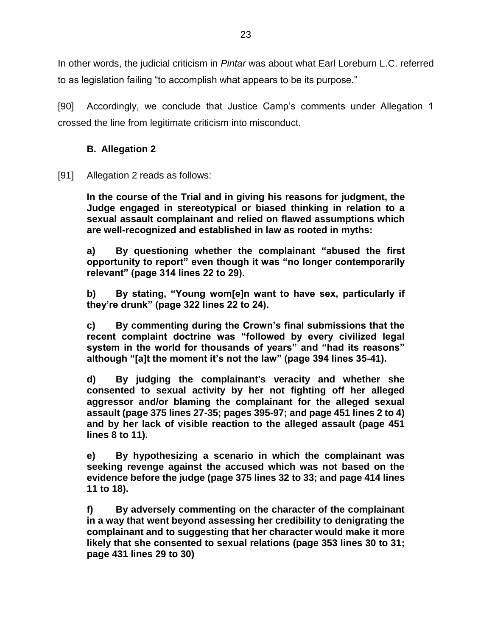In other words, the judicial criticism in *Pintar* was about what Earl Loreburn L.C. referred to as legislation failing "to accomplish what appears to be its purpose."

[90] Accordingly, we conclude that Justice Camp's comments under Allegation 1 crossed the line from legitimate criticism into misconduct.

#### **B. Allegation 2**

<span id="page-26-0"></span>[91] Allegation 2 reads as follows:

**In the course of the Trial and in giving his reasons for judgment, the Judge engaged in stereotypical or biased thinking in relation to a sexual assault complainant and relied on flawed assumptions which are well-recognized and established in law as rooted in myths:**

**a) By questioning whether the complainant "abused the first opportunity to report" even though it was "no longer contemporarily relevant" (page 314 lines 22 to 29).**

**b) By stating, "Young wom[e]n want to have sex, particularly if they're drunk" (page 322 lines 22 to 24).**

**c) By commenting during the Crown's final submissions that the recent complaint doctrine was "followed by every civilized legal system in the world for thousands of years" and "had its reasons" although "[a]t the moment it's not the law" (page 394 lines 35-41).**

**d) By judging the complainant's veracity and whether she consented to sexual activity by her not fighting off her alleged aggressor and/or blaming the complainant for the alleged sexual assault (page 375 lines 27-35; pages 395-97; and page 451 lines 2 to 4) and by her lack of visible reaction to the alleged assault (page 451 lines 8 to 11).**

**e) By hypothesizing a scenario in which the complainant was seeking revenge against the accused which was not based on the evidence before the judge (page 375 lines 32 to 33; and page 414 lines 11 to 18).**

**f) By adversely commenting on the character of the complainant in a way that went beyond assessing her credibility to denigrating the complainant and to suggesting that her character would make it more likely that she consented to sexual relations (page 353 lines 30 to 31; page 431 lines 29 to 30)**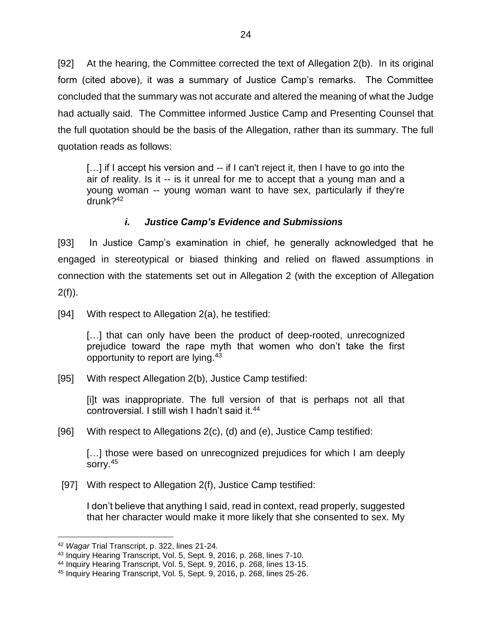[92] At the hearing, the Committee corrected the text of Allegation 2(b). In its original form (cited above), it was a summary of Justice Camp's remarks. The Committee concluded that the summary was not accurate and altered the meaning of what the Judge had actually said. The Committee informed Justice Camp and Presenting Counsel that the full quotation should be the basis of the Allegation, rather than its summary. The full quotation reads as follows:

[...] if I accept his version and -- if I can't reject it, then I have to go into the air of reality. Is it -- is it unreal for me to accept that a young man and a young woman -- young woman want to have sex, particularly if they're drunk?<sup>42</sup>

#### *i. Justice Camp's Evidence and Submissions*

<span id="page-27-0"></span>[93] In Justice Camp's examination in chief, he generally acknowledged that he engaged in stereotypical or biased thinking and relied on flawed assumptions in connection with the statements set out in Allegation 2 (with the exception of Allegation  $2(f)$ ).

[94] With respect to Allegation 2(a), he testified:

[...] that can only have been the product of deep-rooted, unrecognized prejudice toward the rape myth that women who don't take the first opportunity to report are lying.<sup>43</sup>

[95] With respect Allegation 2(b), Justice Camp testified:

[i]t was inappropriate. The full version of that is perhaps not all that controversial. I still wish I hadn't said it.<sup>44</sup>

[96] With respect to Allegations 2(c), (d) and (e), Justice Camp testified:

[...] those were based on unrecognized prejudices for which I am deeply sorry.<sup>45</sup>

[97] With respect to Allegation 2(f), Justice Camp testified:

I don't believe that anything I said, read in context, read properly, suggested that her character would make it more likely that she consented to sex. My

<sup>42</sup> *Wagar* Trial Transcript, p. 322, lines 21-24.

<sup>43</sup> Inquiry Hearing Transcript, Vol. 5, Sept. 9, 2016, p. 268, lines 7-10.

<sup>44</sup> Inquiry Hearing Transcript, Vol. 5, Sept. 9, 2016, p. 268, lines 13-15.

<sup>45</sup> Inquiry Hearing Transcript, Vol. 5, Sept. 9, 2016, p. 268, lines 25-26.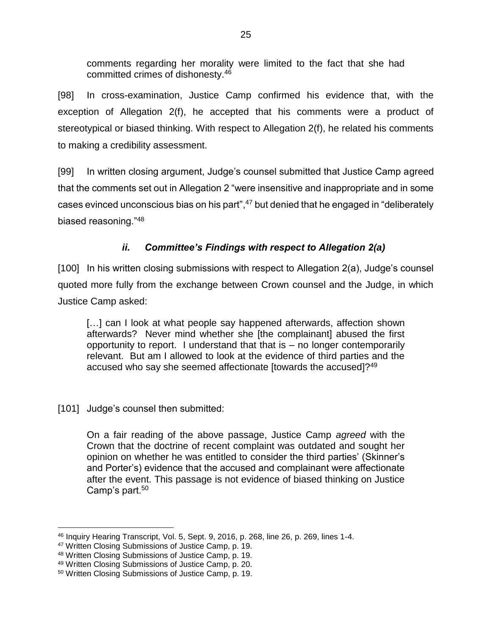comments regarding her morality were limited to the fact that she had committed crimes of dishonesty.<sup>46</sup>

[98] In cross-examination, Justice Camp confirmed his evidence that, with the exception of Allegation 2(f), he accepted that his comments were a product of stereotypical or biased thinking. With respect to Allegation 2(f), he related his comments to making a credibility assessment.

[99] In written closing argument, Judge's counsel submitted that Justice Camp agreed that the comments set out in Allegation 2 "were insensitive and inappropriate and in some cases evinced unconscious bias on his part",<sup>47</sup> but denied that he engaged in "deliberately biased reasoning."<sup>48</sup>

# *ii. Committee's Findings with respect to Allegation 2(a)*

<span id="page-28-0"></span>[100] In his written closing submissions with respect to Allegation 2(a), Judge's counsel quoted more fully from the exchange between Crown counsel and the Judge, in which Justice Camp asked:

[...] can I look at what people say happened afterwards, affection shown afterwards? Never mind whether she [the complainant] abused the first opportunity to report. I understand that that is – no longer contemporarily relevant. But am I allowed to look at the evidence of third parties and the accused who say she seemed affectionate [towards the accused]?<sup>49</sup>

#### [101] Judge's counsel then submitted:

On a fair reading of the above passage, Justice Camp *agreed* with the Crown that the doctrine of recent complaint was outdated and sought her opinion on whether he was entitled to consider the third parties' (Skinner's and Porter's) evidence that the accused and complainant were affectionate after the event. This passage is not evidence of biased thinking on Justice Camp's part.<sup>50</sup>

 $\overline{a}$ <sup>46</sup> Inquiry Hearing Transcript, Vol. 5, Sept. 9, 2016, p. 268, line 26, p. 269, lines 1-4.

<sup>47</sup> Written Closing Submissions of Justice Camp, p. 19.

<sup>48</sup> Written Closing Submissions of Justice Camp, p. 19.

<sup>49</sup> Written Closing Submissions of Justice Camp, p. 20.

<sup>50</sup> Written Closing Submissions of Justice Camp, p. 19.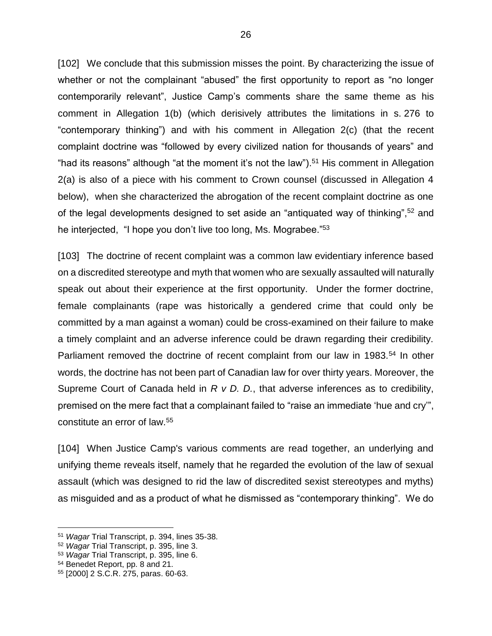[102] We conclude that this submission misses the point. By characterizing the issue of whether or not the complainant "abused" the first opportunity to report as "no longer contemporarily relevant", Justice Camp's comments share the same theme as his comment in Allegation 1(b) (which derisively attributes the limitations in s. 276 to "contemporary thinking") and with his comment in Allegation 2(c) (that the recent complaint doctrine was "followed by every civilized nation for thousands of years" and "had its reasons" although "at the moment it's not the law").<sup>51</sup> His comment in Allegation 2(a) is also of a piece with his comment to Crown counsel (discussed in Allegation 4 below), when she characterized the abrogation of the recent complaint doctrine as one of the legal developments designed to set aside an "antiquated way of thinking",<sup>52</sup> and he interjected, "I hope you don't live too long, Ms. Mograbee."<sup>53</sup>

[103] The doctrine of recent complaint was a common law evidentiary inference based on a discredited stereotype and myth that women who are sexually assaulted will naturally speak out about their experience at the first opportunity. Under the former doctrine, female complainants (rape was historically a gendered crime that could only be committed by a man against a woman) could be cross-examined on their failure to make a timely complaint and an adverse inference could be drawn regarding their credibility. Parliament removed the doctrine of recent complaint from our law in 1983.<sup>54</sup> In other words, the doctrine has not been part of Canadian law for over thirty years. Moreover, the Supreme Court of Canada held in *R v D. D.*, that adverse inferences as to credibility, premised on the mere fact that a complainant failed to "raise an immediate 'hue and cry'", constitute an error of law.<sup>55</sup>

[104] When Justice Camp's various comments are read together, an underlying and unifying theme reveals itself, namely that he regarded the evolution of the law of sexual assault (which was designed to rid the law of discredited sexist stereotypes and myths) as misguided and as a product of what he dismissed as "contemporary thinking". We do

<sup>51</sup> *Wagar* Trial Transcript, p. 394, lines 35-38.

<sup>52</sup> *Wagar* Trial Transcript, p. 395, line 3.

<sup>53</sup> *Wagar* Trial Transcript, p. 395, line 6.

<sup>54</sup> Benedet Report, pp. 8 and 21.

<sup>55</sup> [2000] 2 S.C.R. 275, paras. 60-63.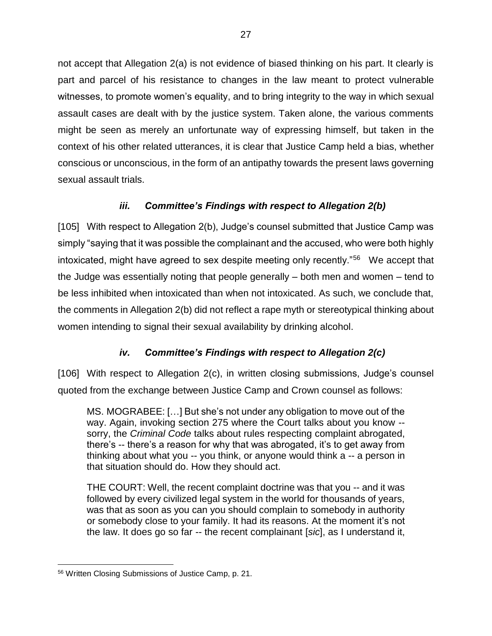not accept that Allegation 2(a) is not evidence of biased thinking on his part. It clearly is part and parcel of his resistance to changes in the law meant to protect vulnerable witnesses, to promote women's equality, and to bring integrity to the way in which sexual assault cases are dealt with by the justice system. Taken alone, the various comments might be seen as merely an unfortunate way of expressing himself, but taken in the context of his other related utterances, it is clear that Justice Camp held a bias, whether conscious or unconscious, in the form of an antipathy towards the present laws governing sexual assault trials.

## *iii. Committee's Findings with respect to Allegation 2(b)*

<span id="page-30-0"></span>[105] With respect to Allegation 2(b), Judge's counsel submitted that Justice Camp was simply "saying that it was possible the complainant and the accused, who were both highly intoxicated, might have agreed to sex despite meeting only recently."<sup>56</sup> We accept that the Judge was essentially noting that people generally – both men and women – tend to be less inhibited when intoxicated than when not intoxicated. As such, we conclude that, the comments in Allegation 2(b) did not reflect a rape myth or stereotypical thinking about women intending to signal their sexual availability by drinking alcohol.

## *iv. Committee's Findings with respect to Allegation 2(c)*

<span id="page-30-1"></span>[106] With respect to Allegation 2(c), in written closing submissions, Judge's counsel quoted from the exchange between Justice Camp and Crown counsel as follows:

MS. MOGRABEE: […] But she's not under any obligation to move out of the way. Again, invoking section 275 where the Court talks about you know - sorry, the *Criminal Code* talks about rules respecting complaint abrogated, there's -- there's a reason for why that was abrogated, it's to get away from thinking about what you -- you think, or anyone would think a -- a person in that situation should do. How they should act.

THE COURT: Well, the recent complaint doctrine was that you -- and it was followed by every civilized legal system in the world for thousands of years, was that as soon as you can you should complain to somebody in authority or somebody close to your family. It had its reasons. At the moment it's not the law. It does go so far -- the recent complainant [*sic*], as I understand it,

 $\overline{a}$ <sup>56</sup> Written Closing Submissions of Justice Camp, p. 21.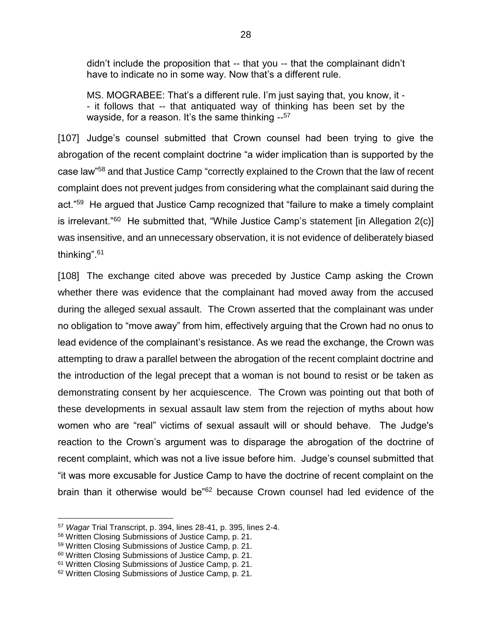didn't include the proposition that -- that you -- that the complainant didn't have to indicate no in some way. Now that's a different rule.

MS. MOGRABEE: That's a different rule. I'm just saying that, you know, it - - it follows that -- that antiquated way of thinking has been set by the wayside, for a reason. It's the same thinking --<sup>57</sup>

[107] Judge's counsel submitted that Crown counsel had been trying to give the abrogation of the recent complaint doctrine "a wider implication than is supported by the case law"<sup>58</sup> and that Justice Camp "correctly explained to the Crown that the law of recent complaint does not prevent judges from considering what the complainant said during the act."<sup>59</sup> He argued that Justice Camp recognized that "failure to make a timely complaint is irrelevant."<sup>60</sup> He submitted that, "While Justice Camp's statement [in Allegation 2(c)] was insensitive, and an unnecessary observation, it is not evidence of deliberately biased thinking".<sup>61</sup>

[108] The exchange cited above was preceded by Justice Camp asking the Crown whether there was evidence that the complainant had moved away from the accused during the alleged sexual assault. The Crown asserted that the complainant was under no obligation to "move away" from him, effectively arguing that the Crown had no onus to lead evidence of the complainant's resistance. As we read the exchange, the Crown was attempting to draw a parallel between the abrogation of the recent complaint doctrine and the introduction of the legal precept that a woman is not bound to resist or be taken as demonstrating consent by her acquiescence. The Crown was pointing out that both of these developments in sexual assault law stem from the rejection of myths about how women who are "real" victims of sexual assault will or should behave. The Judge's reaction to the Crown's argument was to disparage the abrogation of the doctrine of recent complaint, which was not a live issue before him. Judge's counsel submitted that "it was more excusable for Justice Camp to have the doctrine of recent complaint on the brain than it otherwise would be"<sup>62</sup> because Crown counsel had led evidence of the

<sup>57</sup> *Wagar* Trial Transcript, p. 394, lines 28-41, p. 395, lines 2-4.

<sup>58</sup> Written Closing Submissions of Justice Camp, p. 21.

<sup>59</sup> Written Closing Submissions of Justice Camp, p. 21.

<sup>60</sup> Written Closing Submissions of Justice Camp, p. 21.

<sup>61</sup> Written Closing Submissions of Justice Camp, p. 21.

<sup>62</sup> Written Closing Submissions of Justice Camp, p. 21.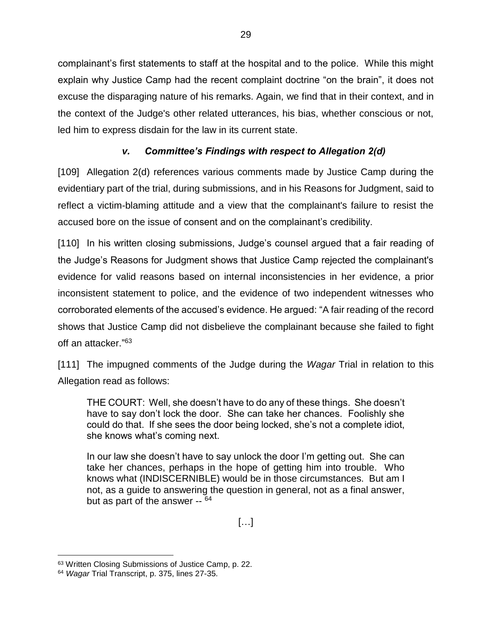complainant's first statements to staff at the hospital and to the police. While this might explain why Justice Camp had the recent complaint doctrine "on the brain", it does not excuse the disparaging nature of his remarks. Again, we find that in their context, and in the context of the Judge's other related utterances, his bias, whether conscious or not, led him to express disdain for the law in its current state.

## *v. Committee's Findings with respect to Allegation 2(d)*

<span id="page-32-0"></span>[109] Allegation 2(d) references various comments made by Justice Camp during the evidentiary part of the trial, during submissions, and in his Reasons for Judgment, said to reflect a victim-blaming attitude and a view that the complainant's failure to resist the accused bore on the issue of consent and on the complainant's credibility.

[110] In his written closing submissions, Judge's counsel argued that a fair reading of the Judge's Reasons for Judgment shows that Justice Camp rejected the complainant's evidence for valid reasons based on internal inconsistencies in her evidence, a prior inconsistent statement to police, and the evidence of two independent witnesses who corroborated elements of the accused's evidence. He argued: "A fair reading of the record shows that Justice Camp did not disbelieve the complainant because she failed to fight off an attacker." 63

[111] The impugned comments of the Judge during the *Wagar* Trial in relation to this Allegation read as follows:

THE COURT: Well, she doesn't have to do any of these things. She doesn't have to say don't lock the door. She can take her chances. Foolishly she could do that. If she sees the door being locked, she's not a complete idiot, she knows what's coming next.

In our law she doesn't have to say unlock the door I'm getting out. She can take her chances, perhaps in the hope of getting him into trouble. Who knows what (INDISCERNIBLE) would be in those circumstances. But am I not, as a guide to answering the question in general, not as a final answer, but as part of the answer -- <sup>64</sup>

 $[\ldots]$ 

 $\overline{a}$ <sup>63</sup> Written Closing Submissions of Justice Camp, p. 22.

<sup>64</sup> *Wagar* Trial Transcript, p. 375, lines 27-35.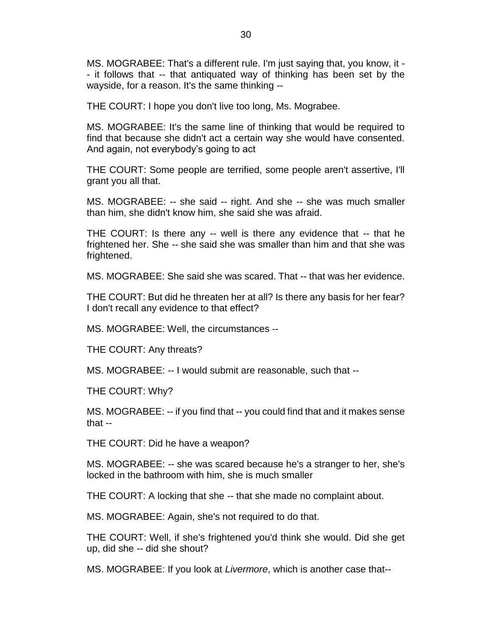MS. MOGRABEE: That's a different rule. I'm just saying that, you know, it - - it follows that -- that antiquated way of thinking has been set by the wayside, for a reason. It's the same thinking --

THE COURT: I hope you don't live too long, Ms. Mograbee.

MS. MOGRABEE: It's the same line of thinking that would be required to find that because she didn't act a certain way she would have consented. And again, not everybody's going to act

THE COURT: Some people are terrified, some people aren't assertive, I'll grant you all that.

MS. MOGRABEE: -- she said -- right. And she -- she was much smaller than him, she didn't know him, she said she was afraid.

THE COURT: Is there any -- well is there any evidence that -- that he frightened her. She -- she said she was smaller than him and that she was frightened.

MS. MOGRABEE: She said she was scared. That -- that was her evidence.

THE COURT: But did he threaten her at all? Is there any basis for her fear? I don't recall any evidence to that effect?

MS. MOGRABEE: Well, the circumstances --

THE COURT: Any threats?

MS. MOGRABEE: -- I would submit are reasonable, such that --

THE COURT: Why?

MS. MOGRABEE: -- if you find that -- you could find that and it makes sense that --

THE COURT: Did he have a weapon?

MS. MOGRABEE: -- she was scared because he's a stranger to her, she's locked in the bathroom with him, she is much smaller

THE COURT: A locking that she -- that she made no complaint about.

MS. MOGRABEE: Again, she's not required to do that.

THE COURT: Well, if she's frightened you'd think she would. Did she get up, did she -- did she shout?

MS. MOGRABEE: If you look at *Livermore*, which is another case that--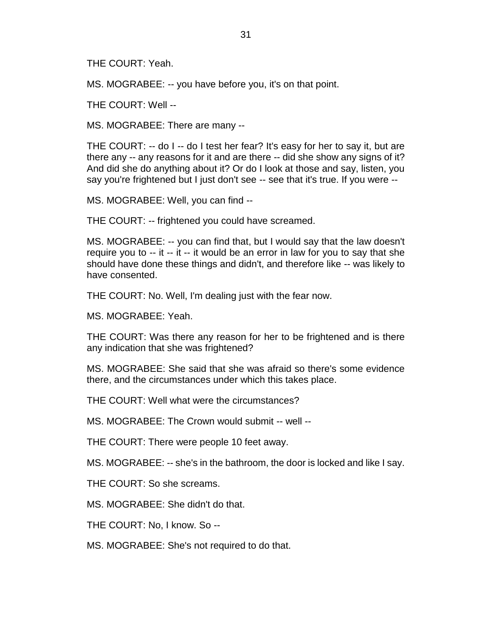THE COURT: Yeah.

MS. MOGRABEE: -- you have before you, it's on that point.

THE COURT: Well --

MS. MOGRABEE: There are many --

THE COURT: -- do I -- do I test her fear? It's easy for her to say it, but are there any -- any reasons for it and are there -- did she show any signs of it? And did she do anything about it? Or do I look at those and say, listen, you say you're frightened but I just don't see -- see that it's true. If you were --

MS. MOGRABEE: Well, you can find --

THE COURT: -- frightened you could have screamed.

MS. MOGRABEE: -- you can find that, but I would say that the law doesn't require you to -- it -- it -- it would be an error in law for you to say that she should have done these things and didn't, and therefore like -- was likely to have consented.

THE COURT: No. Well, I'm dealing just with the fear now.

MS. MOGRABEE: Yeah.

THE COURT: Was there any reason for her to be frightened and is there any indication that she was frightened?

MS. MOGRABEE: She said that she was afraid so there's some evidence there, and the circumstances under which this takes place.

THE COURT: Well what were the circumstances?

MS. MOGRABEE: The Crown would submit -- well --

THE COURT: There were people 10 feet away.

MS. MOGRABEE: -- she's in the bathroom, the door is locked and like I say.

THE COURT: So she screams.

MS. MOGRABEE: She didn't do that.

THE COURT: No, I know. So --

MS. MOGRABEE: She's not required to do that.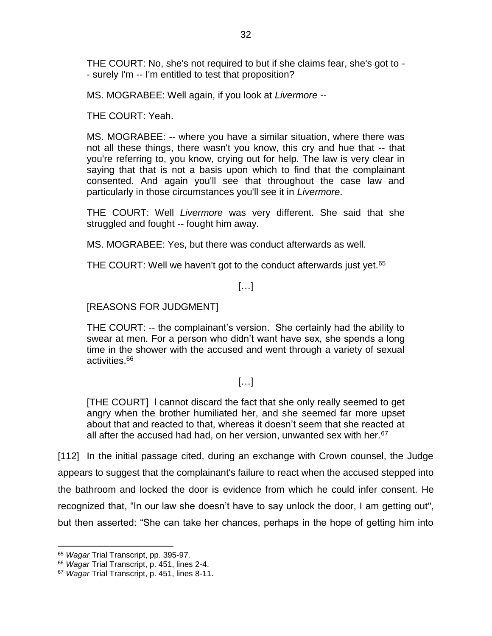THE COURT: No, she's not required to but if she claims fear, she's got to - - surely I'm -- I'm entitled to test that proposition?

MS. MOGRABEE: Well again, if you look at *Livermore* --

THE COURT: Yeah.

MS. MOGRABEE: -- where you have a similar situation, where there was not all these things, there wasn't you know, this cry and hue that -- that you're referring to, you know, crying out for help. The law is very clear in saying that that is not a basis upon which to find that the complainant consented. And again you'll see that throughout the case law and particularly in those circumstances you'll see it in *Livermore*.

THE COURT: Well *Livermore* was very different. She said that she struggled and fought -- fought him away.

MS. MOGRABEE: Yes, but there was conduct afterwards as well.

THE COURT: Well we haven't got to the conduct afterwards just yet.<sup>65</sup>

#### […]

[REASONS FOR JUDGMENT]

THE COURT: -- the complainant's version. She certainly had the ability to swear at men. For a person who didn't want have sex, she spends a long time in the shower with the accused and went through a variety of sexual activities.<sup>66</sup>

#### […]

[THE COURT] l cannot discard the fact that she only really seemed to get angry when the brother humiliated her, and she seemed far more upset about that and reacted to that, whereas it doesn't seem that she reacted at all after the accused had had, on her version, unwanted sex with her. $67$ 

[112] In the initial passage cited, during an exchange with Crown counsel, the Judge appears to suggest that the complainant's failure to react when the accused stepped into the bathroom and locked the door is evidence from which he could infer consent. He recognized that, "In our law she doesn't have to say unlock the door, I am getting out", but then asserted: "She can take her chances, perhaps in the hope of getting him into

<sup>65</sup> *Wagar* Trial Transcript, pp. 395-97.

<sup>66</sup> *Wagar* Trial Transcript, p. 451, lines 2-4.

<sup>67</sup> *Wagar* Trial Transcript, p. 451, lines 8-11.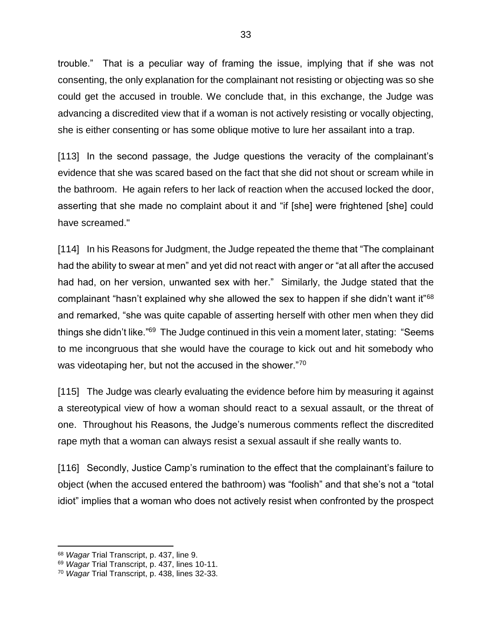trouble." That is a peculiar way of framing the issue, implying that if she was not consenting, the only explanation for the complainant not resisting or objecting was so she could get the accused in trouble. We conclude that, in this exchange, the Judge was advancing a discredited view that if a woman is not actively resisting or vocally objecting, she is either consenting or has some oblique motive to lure her assailant into a trap.

[113] In the second passage, the Judge questions the veracity of the complainant's evidence that she was scared based on the fact that she did not shout or scream while in the bathroom. He again refers to her lack of reaction when the accused locked the door, asserting that she made no complaint about it and "if [she] were frightened [she] could have screamed."

[114] In his Reasons for Judgment, the Judge repeated the theme that "The complainant" had the ability to swear at men" and yet did not react with anger or "at all after the accused had had, on her version, unwanted sex with her." Similarly, the Judge stated that the complainant "hasn't explained why she allowed the sex to happen if she didn't want it"<sup>68</sup> and remarked, "she was quite capable of asserting herself with other men when they did things she didn't like."<sup>69</sup> The Judge continued in this vein a moment later, stating: "Seems to me incongruous that she would have the courage to kick out and hit somebody who was videotaping her, but not the accused in the shower."70

[115] The Judge was clearly evaluating the evidence before him by measuring it against a stereotypical view of how a woman should react to a sexual assault, or the threat of one. Throughout his Reasons, the Judge's numerous comments reflect the discredited rape myth that a woman can always resist a sexual assault if she really wants to.

[116] Secondly, Justice Camp's rumination to the effect that the complainant's failure to object (when the accused entered the bathroom) was "foolish" and that she's not a "total idiot" implies that a woman who does not actively resist when confronted by the prospect

<sup>68</sup> *Wagar* Trial Transcript, p. 437, line 9.

<sup>69</sup> *Wagar* Trial Transcript, p. 437, lines 10-11.

<sup>70</sup> *Wagar* Trial Transcript, p. 438, lines 32-33.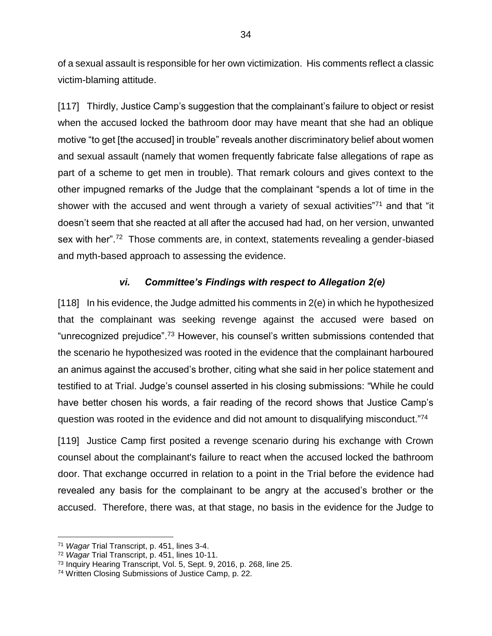of a sexual assault is responsible for her own victimization. His comments reflect a classic victim-blaming attitude.

[117] Thirdly, Justice Camp's suggestion that the complainant's failure to object or resist when the accused locked the bathroom door may have meant that she had an oblique motive "to get [the accused] in trouble" reveals another discriminatory belief about women and sexual assault (namely that women frequently fabricate false allegations of rape as part of a scheme to get men in trouble). That remark colours and gives context to the other impugned remarks of the Judge that the complainant "spends a lot of time in the shower with the accused and went through a variety of sexual activities"<sup>71</sup> and that "it doesn't seem that she reacted at all after the accused had had, on her version, unwanted sex with her".<sup>72</sup> Those comments are, in context, statements revealing a gender-biased and myth-based approach to assessing the evidence.

### *vi. Committee's Findings with respect to Allegation 2(e)*

 $[118]$  In his evidence, the Judge admitted his comments in  $2(e)$  in which he hypothesized that the complainant was seeking revenge against the accused were based on "unrecognized prejudice".<sup>73</sup> However, his counsel's written submissions contended that the scenario he hypothesized was rooted in the evidence that the complainant harboured an animus against the accused's brother, citing what she said in her police statement and testified to at Trial. Judge's counsel asserted in his closing submissions: "While he could have better chosen his words, a fair reading of the record shows that Justice Camp's question was rooted in the evidence and did not amount to disqualifying misconduct."74

[119] Justice Camp first posited a revenge scenario during his exchange with Crown counsel about the complainant's failure to react when the accused locked the bathroom door. That exchange occurred in relation to a point in the Trial before the evidence had revealed any basis for the complainant to be angry at the accused's brother or the accused. Therefore, there was, at that stage, no basis in the evidence for the Judge to

<sup>71</sup> *Wagar* Trial Transcript, p. 451, lines 3-4.

<sup>72</sup> *Wagar* Trial Transcript, p. 451, lines 10-11.

<sup>73</sup> Inquiry Hearing Transcript, Vol. 5, Sept. 9, 2016, p. 268, line 25.

<sup>74</sup> Written Closing Submissions of Justice Camp, p. 22.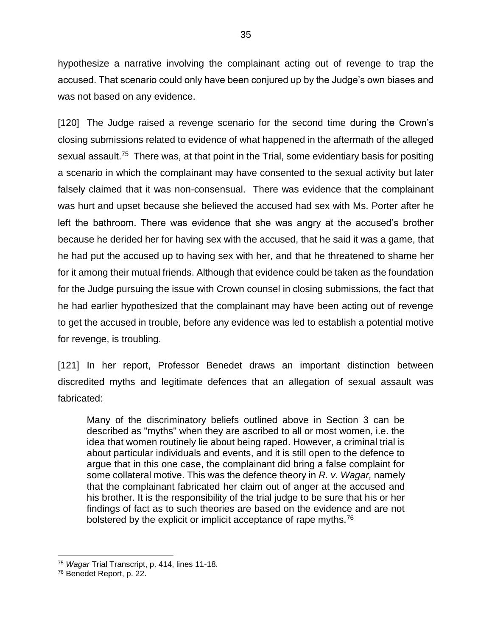hypothesize a narrative involving the complainant acting out of revenge to trap the accused. That scenario could only have been conjured up by the Judge's own biases and was not based on any evidence.

[120] The Judge raised a revenge scenario for the second time during the Crown's closing submissions related to evidence of what happened in the aftermath of the alleged sexual assault.<sup>75</sup> There was, at that point in the Trial, some evidentiary basis for positing a scenario in which the complainant may have consented to the sexual activity but later falsely claimed that it was non-consensual. There was evidence that the complainant was hurt and upset because she believed the accused had sex with Ms. Porter after he left the bathroom. There was evidence that she was angry at the accused's brother because he derided her for having sex with the accused, that he said it was a game, that he had put the accused up to having sex with her, and that he threatened to shame her for it among their mutual friends. Although that evidence could be taken as the foundation for the Judge pursuing the issue with Crown counsel in closing submissions, the fact that he had earlier hypothesized that the complainant may have been acting out of revenge to get the accused in trouble, before any evidence was led to establish a potential motive for revenge, is troubling.

[121] In her report, Professor Benedet draws an important distinction between discredited myths and legitimate defences that an allegation of sexual assault was fabricated:

Many of the discriminatory beliefs outlined above in Section 3 can be described as "myths" when they are ascribed to all or most women, i.e. the idea that women routinely lie about being raped. However, a criminal trial is about particular individuals and events, and it is still open to the defence to argue that in this one case, the complainant did bring a false complaint for some collateral motive. This was the defence theory in *R. v. Wagar,* namely that the complainant fabricated her claim out of anger at the accused and his brother. It is the responsibility of the trial judge to be sure that his or her findings of fact as to such theories are based on the evidence and are not bolstered by the explicit or implicit acceptance of rape myths.<sup>76</sup>

<sup>75</sup> *Wagar* Trial Transcript, p. 414, lines 11-18.

<sup>76</sup> Benedet Report, p. 22.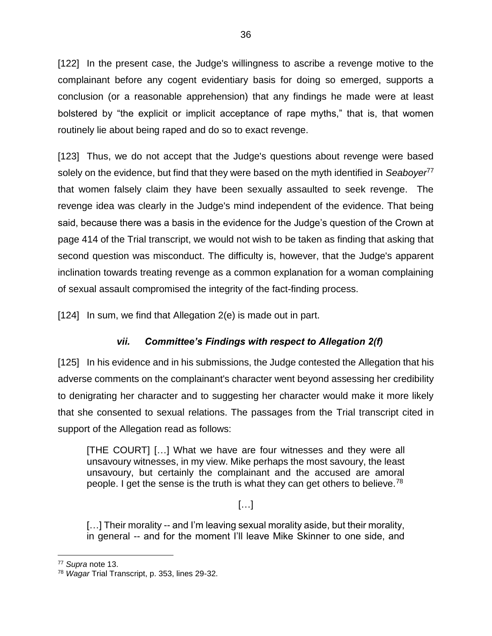[122] In the present case, the Judge's willingness to ascribe a revenge motive to the complainant before any cogent evidentiary basis for doing so emerged, supports a conclusion (or a reasonable apprehension) that any findings he made were at least bolstered by "the explicit or implicit acceptance of rape myths," that is, that women routinely lie about being raped and do so to exact revenge.

[123] Thus, we do not accept that the Judge's questions about revenge were based solely on the evidence, but find that they were based on the myth identified in *Seaboyer*<sup>77</sup> that women falsely claim they have been sexually assaulted to seek revenge. The revenge idea was clearly in the Judge's mind independent of the evidence. That being said, because there was a basis in the evidence for the Judge's question of the Crown at page 414 of the Trial transcript, we would not wish to be taken as finding that asking that second question was misconduct. The difficulty is, however, that the Judge's apparent inclination towards treating revenge as a common explanation for a woman complaining of sexual assault compromised the integrity of the fact-finding process.

[124] In sum, we find that Allegation 2(e) is made out in part.

## *vii. Committee's Findings with respect to Allegation 2(f)*

[125] In his evidence and in his submissions, the Judge contested the Allegation that his adverse comments on the complainant's character went beyond assessing her credibility to denigrating her character and to suggesting her character would make it more likely that she consented to sexual relations. The passages from the Trial transcript cited in support of the Allegation read as follows:

[THE COURT] […] What we have are four witnesses and they were all unsavoury witnesses, in my view. Mike perhaps the most savoury, the least unsavoury, but certainly the complainant and the accused are amoral people. I get the sense is the truth is what they can get others to believe.<sup>78</sup>

[…]

[...] Their morality -- and I'm leaving sexual morality aside, but their morality, in general -- and for the moment I'll leave Mike Skinner to one side, and

<sup>77</sup> *Supra* note [13.](#page-16-0)

<sup>78</sup> *Wagar* Trial Transcript, p. 353, lines 29-32.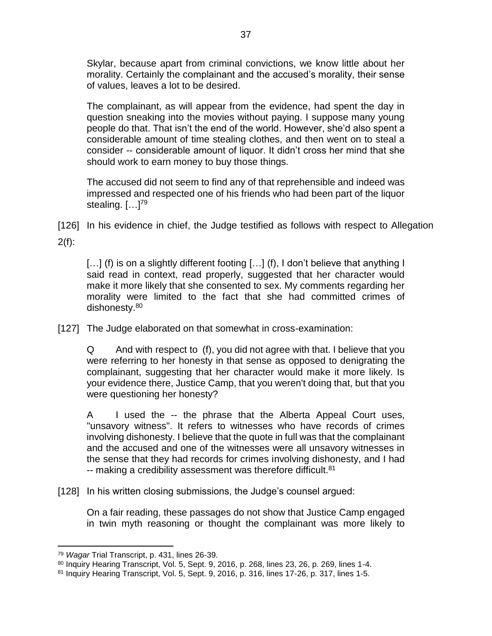Skylar, because apart from criminal convictions, we know little about her morality. Certainly the complainant and the accused's morality, their sense of values, leaves a lot to be desired.

The complainant, as will appear from the evidence, had spent the day in question sneaking into the movies without paying. I suppose many young people do that. That isn't the end of the world. However, she'd also spent a considerable amount of time stealing clothes, and then went on to steal a consider -- considerable amount of liquor. It didn't cross her mind that she should work to earn money to buy those things.

The accused did not seem to find any of that reprehensible and indeed was impressed and respected one of his friends who had been part of the liquor stealing. […]<sup>79</sup>

[126] In his evidence in chief, the Judge testified as follows with respect to Allegation  $2(f)$ :

[...] (f) is on a slightly different footing [...] (f), I don't believe that anything I said read in context, read properly, suggested that her character would make it more likely that she consented to sex. My comments regarding her morality were limited to the fact that she had committed crimes of dishonesty.<sup>80</sup>

[127] The Judge elaborated on that somewhat in cross-examination:

Q And with respect to (f), you did not agree with that. I believe that you were referring to her honesty in that sense as opposed to denigrating the complainant, suggesting that her character would make it more likely. Is your evidence there, Justice Camp, that you weren't doing that, but that you were questioning her honesty?

A I used the -- the phrase that the Alberta Appeal Court uses, "unsavory witness". It refers to witnesses who have records of crimes involving dishonesty. I believe that the quote in full was that the complainant and the accused and one of the witnesses were all unsavory witnesses in the sense that they had records for crimes involving dishonesty, and I had -- making a credibility assessment was therefore difficult.<sup>81</sup>

[128] In his written closing submissions, the Judge's counsel argued:

On a fair reading, these passages do not show that Justice Camp engaged in twin myth reasoning or thought the complainant was more likely to

<sup>79</sup> *Wagar* Trial Transcript, p. 431, lines 26-39.

<sup>80</sup> Inquiry Hearing Transcript, Vol. 5, Sept. 9, 2016, p. 268, lines 23, 26, p. 269, lines 1-4.

<sup>81</sup> Inquiry Hearing Transcript, Vol. 5, Sept. 9, 2016, p. 316, lines 17-26, p. 317, lines 1-5.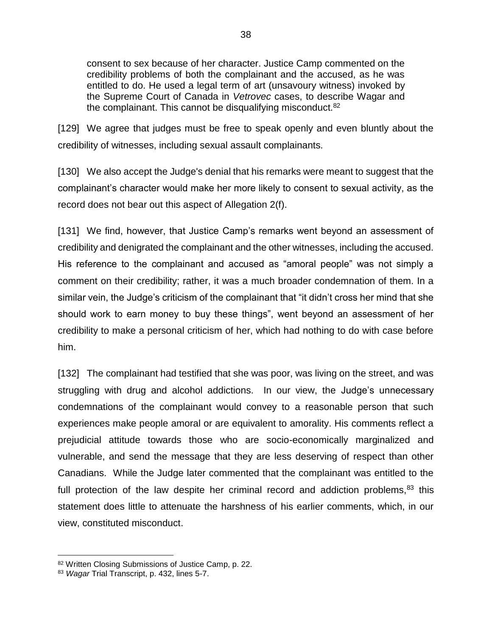consent to sex because of her character. Justice Camp commented on the credibility problems of both the complainant and the accused, as he was entitled to do. He used a legal term of art (unsavoury witness) invoked by the Supreme Court of Canada in *Vetrovec* cases, to describe Wagar and the complainant. This cannot be disqualifying misconduct. $82$ 

[129] We agree that judges must be free to speak openly and even bluntly about the credibility of witnesses, including sexual assault complainants.

[130] We also accept the Judge's denial that his remarks were meant to suggest that the complainant's character would make her more likely to consent to sexual activity, as the record does not bear out this aspect of Allegation 2(f).

[131] We find, however, that Justice Camp's remarks went beyond an assessment of credibility and denigrated the complainant and the other witnesses, including the accused. His reference to the complainant and accused as "amoral people" was not simply a comment on their credibility; rather, it was a much broader condemnation of them. In a similar vein, the Judge's criticism of the complainant that "it didn't cross her mind that she should work to earn money to buy these things", went beyond an assessment of her credibility to make a personal criticism of her, which had nothing to do with case before him.

[132] The complainant had testified that she was poor, was living on the street, and was struggling with drug and alcohol addictions. In our view, the Judge's unnecessary condemnations of the complainant would convey to a reasonable person that such experiences make people amoral or are equivalent to amorality. His comments reflect a prejudicial attitude towards those who are socio-economically marginalized and vulnerable, and send the message that they are less deserving of respect than other Canadians. While the Judge later commented that the complainant was entitled to the full protection of the law despite her criminal record and addiction problems, $83$  this statement does little to attenuate the harshness of his earlier comments, which, in our view, constituted misconduct.

<sup>82</sup> Written Closing Submissions of Justice Camp, p. 22.

<sup>83</sup> *Wagar* Trial Transcript, p. 432, lines 5-7.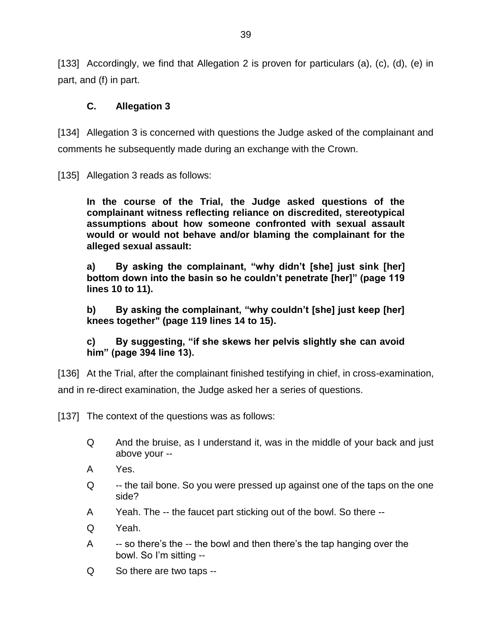[133] Accordingly, we find that Allegation 2 is proven for particulars (a), (c), (d), (e) in part, and (f) in part.

### **C. Allegation 3**

[134] Allegation 3 is concerned with questions the Judge asked of the complainant and comments he subsequently made during an exchange with the Crown.

[135] Allegation 3 reads as follows:

**In the course of the Trial, the Judge asked questions of the complainant witness reflecting reliance on discredited, stereotypical assumptions about how someone confronted with sexual assault would or would not behave and/or blaming the complainant for the alleged sexual assault:**

**a) By asking the complainant, "why didn't [she] just sink [her] bottom down into the basin so he couldn't penetrate [her]" (page 119 lines 10 to 11).**

**b) By asking the complainant, "why couldn't [she] just keep [her] knees together" (page 119 lines 14 to 15).**

**c) By suggesting, "if she skews her pelvis slightly she can avoid him" (page 394 line 13).**

[136] At the Trial, after the complainant finished testifying in chief, in cross-examination, and in re-direct examination, the Judge asked her a series of questions.

[137] The context of the questions was as follows:

- Q And the bruise, as I understand it, was in the middle of your back and just above your --
- A Yes.
- Q --- the tail bone. So you were pressed up against one of the taps on the one side?
- A Yeah. The -- the faucet part sticking out of the bowl. So there --
- Q Yeah.
- A -- so there's the -- the bowl and then there's the tap hanging over the bowl. So I'm sitting --
- Q So there are two taps --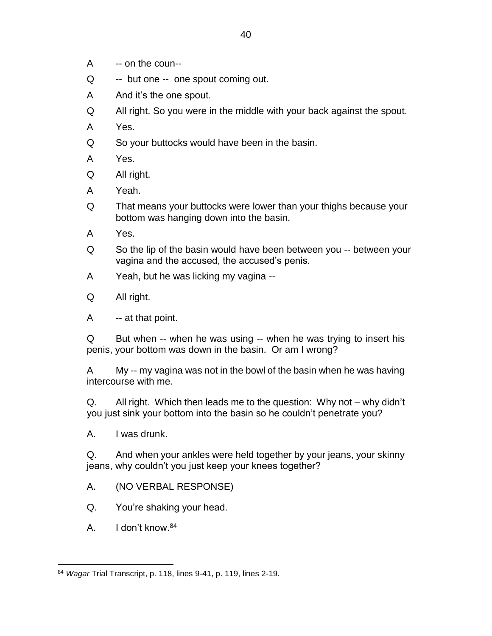- A -- on the coun--
- Q -- but one -- one spout coming out.
- A And it's the one spout.
- Q All right. So you were in the middle with your back against the spout.
- A Yes.
- Q So your buttocks would have been in the basin.
- A Yes.
- Q All right.
- A Yeah.
- Q That means your buttocks were lower than your thighs because your bottom was hanging down into the basin.
- A Yes.
- Q So the lip of the basin would have been between you -- between your vagina and the accused, the accused's penis.
- A Yeah, but he was licking my vagina --
- Q All right.
- A -- at that point.

Q But when -- when he was using -- when he was trying to insert his penis, your bottom was down in the basin. Or am I wrong?

A My -- my vagina was not in the bowl of the basin when he was having intercourse with me.

Q. All right. Which then leads me to the question: Why not – why didn't you just sink your bottom into the basin so he couldn't penetrate you?

A. I was drunk.

Q. And when your ankles were held together by your jeans, your skinny jeans, why couldn't you just keep your knees together?

A. (NO VERBAL RESPONSE)

Q. You're shaking your head.

A. I don't know.<sup>84</sup>

 $\overline{a}$ <sup>84</sup> *Wagar* Trial Transcript, p. 118, lines 9-41, p. 119, lines 2-19.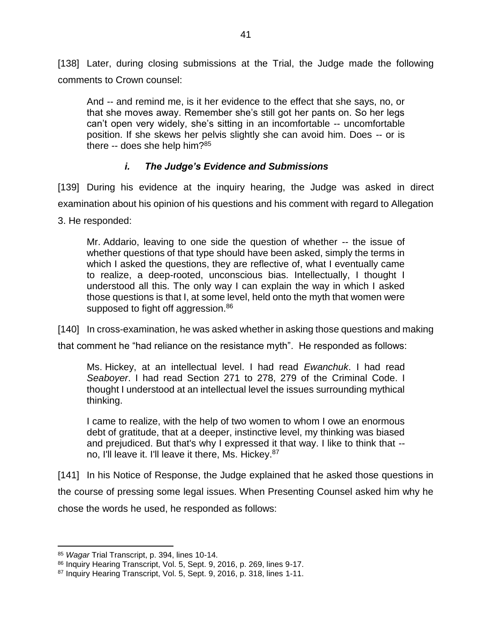[138] Later, during closing submissions at the Trial, the Judge made the following comments to Crown counsel:

And -- and remind me, is it her evidence to the effect that she says, no, or that she moves away. Remember she's still got her pants on. So her legs can't open very widely, she's sitting in an incomfortable -- uncomfortable position. If she skews her pelvis slightly she can avoid him. Does -- or is there -- does she help him?<sup>85</sup>

### *i. The Judge's Evidence and Submissions*

[139] During his evidence at the inquiry hearing, the Judge was asked in direct examination about his opinion of his questions and his comment with regard to Allegation

3. He responded:

Mr. Addario, leaving to one side the question of whether -- the issue of whether questions of that type should have been asked, simply the terms in which I asked the questions, they are reflective of, what I eventually came to realize, a deep-rooted, unconscious bias. Intellectually, I thought I understood all this. The only way I can explain the way in which I asked those questions is that I, at some level, held onto the myth that women were supposed to fight off aggression.<sup>86</sup>

[140] In cross-examination, he was asked whether in asking those questions and making

that comment he "had reliance on the resistance myth". He responded as follows:

Ms. Hickey, at an intellectual level. I had read *Ewanchuk*. I had read *Seaboyer*. I had read Section 271 to 278, 279 of the Criminal Code. I thought I understood at an intellectual level the issues surrounding mythical thinking.

I came to realize, with the help of two women to whom I owe an enormous debt of gratitude, that at a deeper, instinctive level, my thinking was biased and prejudiced. But that's why I expressed it that way. I like to think that - no, I'll leave it. I'll leave it there, Ms. Hickey.<sup>87</sup>

[141] In his Notice of Response, the Judge explained that he asked those questions in the course of pressing some legal issues. When Presenting Counsel asked him why he chose the words he used, he responded as follows:

<sup>85</sup> *Wagar* Trial Transcript, p. 394, lines 10-14.

<sup>86</sup> Inquiry Hearing Transcript, Vol. 5, Sept. 9, 2016, p. 269, lines 9-17.

<sup>87</sup> Inquiry Hearing Transcript, Vol. 5, Sept. 9, 2016, p. 318, lines 1-11.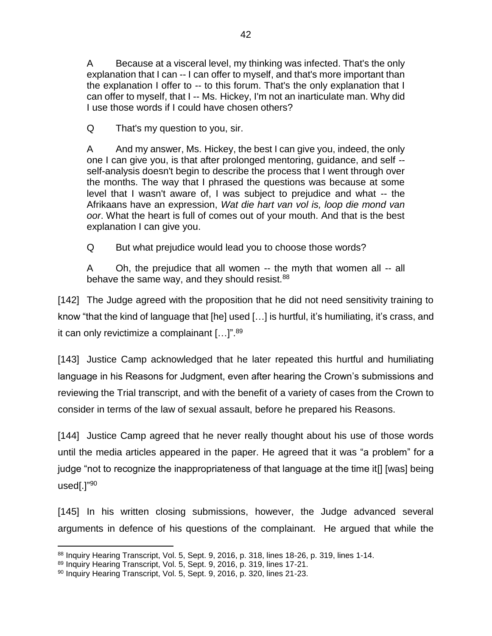A Because at a visceral level, my thinking was infected. That's the only explanation that I can -- I can offer to myself, and that's more important than the explanation I offer to -- to this forum. That's the only explanation that I can offer to myself, that I -- Ms. Hickey, I'm not an inarticulate man. Why did I use those words if I could have chosen others?

Q That's my question to you, sir.

A And my answer, Ms. Hickey, the best I can give you, indeed, the only one I can give you, is that after prolonged mentoring, guidance, and self - self-analysis doesn't begin to describe the process that I went through over the months. The way that I phrased the questions was because at some level that I wasn't aware of, I was subject to prejudice and what -- the Afrikaans have an expression, *Wat die hart van vol is, loop die mond van oor*. What the heart is full of comes out of your mouth. And that is the best explanation I can give you.

Q But what prejudice would lead you to choose those words?

A Oh, the prejudice that all women -- the myth that women all -- all behave the same way, and they should resist. $88$ 

[142] The Judge agreed with the proposition that he did not need sensitivity training to know "that the kind of language that [he] used […] is hurtful, it's humiliating, it's crass, and it can only revictimize a complainant [...]".<sup>89</sup>

[143] Justice Camp acknowledged that he later repeated this hurtful and humiliating language in his Reasons for Judgment, even after hearing the Crown's submissions and reviewing the Trial transcript, and with the benefit of a variety of cases from the Crown to consider in terms of the law of sexual assault, before he prepared his Reasons.

[144] Justice Camp agreed that he never really thought about his use of those words until the media articles appeared in the paper. He agreed that it was "a problem" for a judge "not to recognize the inappropriateness of that language at the time it[] [was] being used[.]"<sup>90</sup>

[145] In his written closing submissions, however, the Judge advanced several arguments in defence of his questions of the complainant. He argued that while the

 $\overline{a}$ 88 Inquiry Hearing Transcript, Vol. 5, Sept. 9, 2016, p. 318, lines 18-26, p. 319, lines 1-14.

<sup>89</sup> Inquiry Hearing Transcript, Vol. 5, Sept. 9, 2016, p. 319, lines 17-21.

<sup>90</sup> Inquiry Hearing Transcript, Vol. 5, Sept. 9, 2016, p. 320, lines 21-23.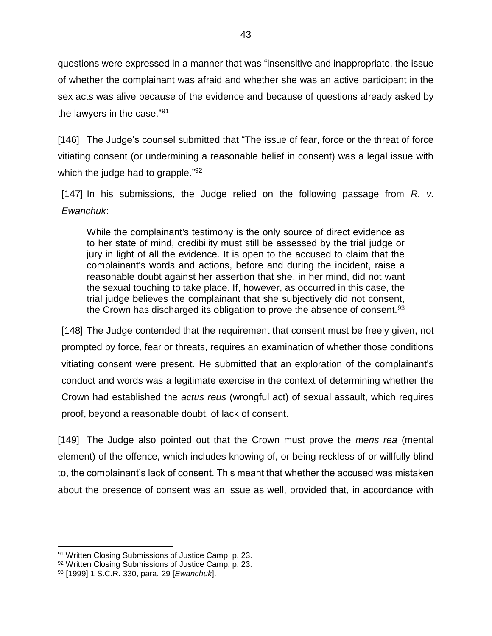questions were expressed in a manner that was "insensitive and inappropriate, the issue of whether the complainant was afraid and whether she was an active participant in the sex acts was alive because of the evidence and because of questions already asked by the lawyers in the case."<sup>91</sup>

[146] The Judge's counsel submitted that "The issue of fear, force or the threat of force vitiating consent (or undermining a reasonable belief in consent) was a legal issue with which the judge had to grapple."<sup>92</sup>

[147] In his submissions, the Judge relied on the following passage from *R. v. Ewanchuk*:

While the complainant's testimony is the only source of direct evidence as to her state of mind, credibility must still be assessed by the trial judge or jury in light of all the evidence. It is open to the accused to claim that the complainant's words and actions, before and during the incident, raise a reasonable doubt against her assertion that she, in her mind, did not want the sexual touching to take place. If, however, as occurred in this case, the trial judge believes the complainant that she subjectively did not consent, the Crown has discharged its obligation to prove the absence of consent.  $93$ 

[148] The Judge contended that the requirement that consent must be freely given, not prompted by force, fear or threats, requires an examination of whether those conditions vitiating consent were present. He submitted that an exploration of the complainant's conduct and words was a legitimate exercise in the context of determining whether the Crown had established the *actus reus* (wrongful act) of sexual assault, which requires proof, beyond a reasonable doubt, of lack of consent.

[149] The Judge also pointed out that the Crown must prove the *mens rea* (mental element) of the offence, which includes knowing of, or being reckless of or willfully blind to, the complainant's lack of consent. This meant that whether the accused was mistaken about the presence of consent was an issue as well, provided that, in accordance with

<sup>91</sup> Written Closing Submissions of Justice Camp, p. 23.

<sup>92</sup> Written Closing Submissions of Justice Camp, p. 23.

<sup>93</sup> [1999] 1 S.C.R. 330, para. 29 [*Ewanchuk*].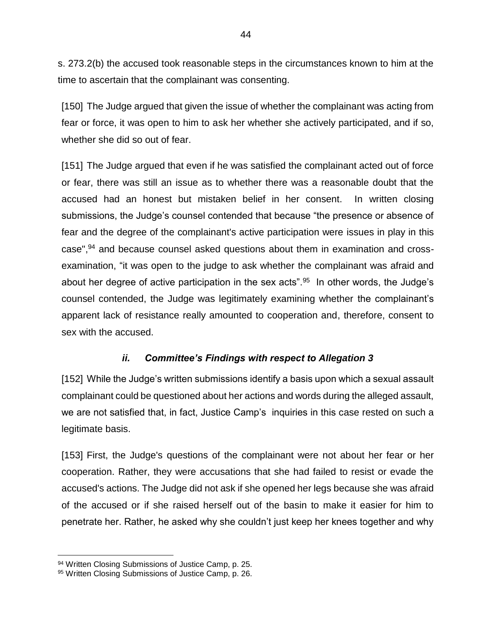s. 273.2(b) the accused took reasonable steps in the circumstances known to him at the time to ascertain that the complainant was consenting.

[150] The Judge argued that given the issue of whether the complainant was acting from fear or force, it was open to him to ask her whether she actively participated, and if so, whether she did so out of fear.

[151] The Judge argued that even if he was satisfied the complainant acted out of force or fear, there was still an issue as to whether there was a reasonable doubt that the accused had an honest but mistaken belief in her consent. In written closing submissions, the Judge's counsel contended that because "the presence or absence of fear and the degree of the complainant's active participation were issues in play in this case",<sup>94</sup> and because counsel asked questions about them in examination and crossexamination, "it was open to the judge to ask whether the complainant was afraid and about her degree of active participation in the sex acts".<sup>95</sup> In other words, the Judge's counsel contended, the Judge was legitimately examining whether the complainant's apparent lack of resistance really amounted to cooperation and, therefore, consent to sex with the accused.

### *ii. Committee's Findings with respect to Allegation 3*

[152] While the Judge's written submissions identify a basis upon which a sexual assault complainant could be questioned about her actions and words during the alleged assault, we are not satisfied that, in fact, Justice Camp's inquiries in this case rested on such a legitimate basis.

[153] First, the Judge's questions of the complainant were not about her fear or her cooperation. Rather, they were accusations that she had failed to resist or evade the accused's actions. The Judge did not ask if she opened her legs because she was afraid of the accused or if she raised herself out of the basin to make it easier for him to penetrate her. Rather, he asked why she couldn't just keep her knees together and why

<sup>94</sup> Written Closing Submissions of Justice Camp, p. 25.

<sup>95</sup> Written Closing Submissions of Justice Camp, p. 26.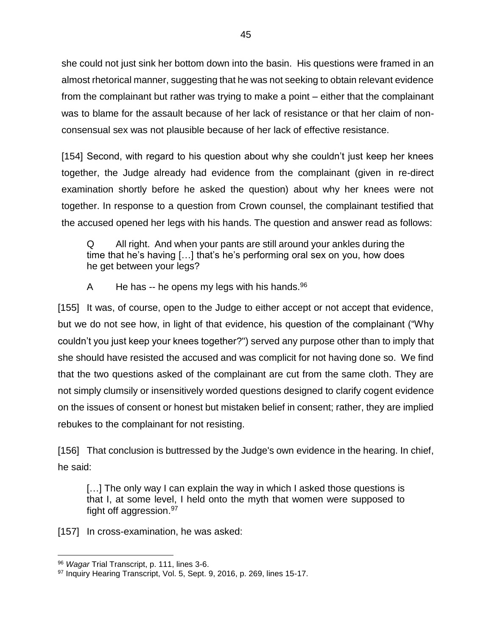she could not just sink her bottom down into the basin. His questions were framed in an almost rhetorical manner, suggesting that he was not seeking to obtain relevant evidence from the complainant but rather was trying to make a point – either that the complainant was to blame for the assault because of her lack of resistance or that her claim of nonconsensual sex was not plausible because of her lack of effective resistance.

[154] Second, with regard to his question about why she couldn't just keep her knees together, the Judge already had evidence from the complainant (given in re-direct examination shortly before he asked the question) about why her knees were not together. In response to a question from Crown counsel, the complainant testified that the accused opened her legs with his hands. The question and answer read as follows:

Q All right. And when your pants are still around your ankles during the time that he's having […] that's he's performing oral sex on you, how does he get between your legs?

A He has  $-$  he opens my legs with his hands.  $96$ 

[155] It was, of course, open to the Judge to either accept or not accept that evidence, but we do not see how, in light of that evidence, his question of the complainant ("Why couldn't you just keep your knees together?") served any purpose other than to imply that she should have resisted the accused and was complicit for not having done so. We find that the two questions asked of the complainant are cut from the same cloth. They are not simply clumsily or insensitively worded questions designed to clarify cogent evidence on the issues of consent or honest but mistaken belief in consent; rather, they are implied rebukes to the complainant for not resisting.

[156] That conclusion is buttressed by the Judge's own evidence in the hearing. In chief, he said:

[...] The only way I can explain the way in which I asked those questions is that I, at some level, I held onto the myth that women were supposed to fight off aggression.<sup>97</sup>

[157] In cross-examination, he was asked:

 $\overline{a}$ <sup>96</sup> *Wagar* Trial Transcript, p. 111, lines 3-6.

<sup>97</sup> Inquiry Hearing Transcript, Vol. 5, Sept. 9, 2016, p. 269, lines 15-17.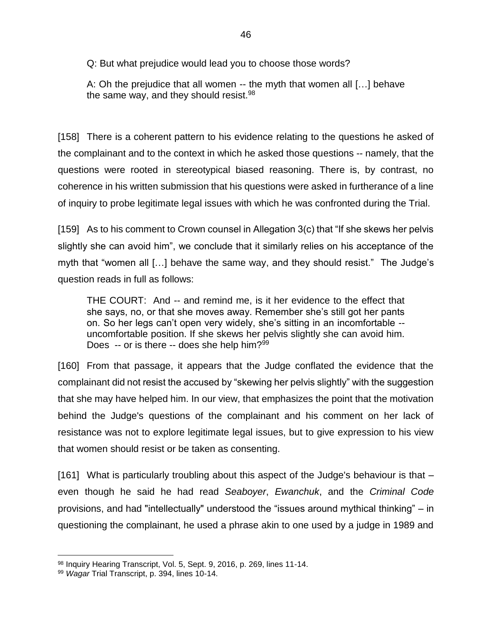Q: But what prejudice would lead you to choose those words?

A: Oh the prejudice that all women -- the myth that women all […] behave the same way, and they should resist.<sup>98</sup>

[158] There is a coherent pattern to his evidence relating to the questions he asked of the complainant and to the context in which he asked those questions -- namely, that the questions were rooted in stereotypical biased reasoning. There is, by contrast, no coherence in his written submission that his questions were asked in furtherance of a line of inquiry to probe legitimate legal issues with which he was confronted during the Trial.

[159] As to his comment to Crown counsel in Allegation 3(c) that "If she skews her pelvis slightly she can avoid him", we conclude that it similarly relies on his acceptance of the myth that "women all […] behave the same way, and they should resist." The Judge's question reads in full as follows:

THE COURT: And -- and remind me, is it her evidence to the effect that she says, no, or that she moves away. Remember she's still got her pants on. So her legs can't open very widely, she's sitting in an incomfortable - uncomfortable position. If she skews her pelvis slightly she can avoid him. Does  $-$  or is there  $-$  does she help him?<sup>99</sup>

[160] From that passage, it appears that the Judge conflated the evidence that the complainant did not resist the accused by "skewing her pelvis slightly" with the suggestion that she may have helped him. In our view, that emphasizes the point that the motivation behind the Judge's questions of the complainant and his comment on her lack of resistance was not to explore legitimate legal issues, but to give expression to his view that women should resist or be taken as consenting.

[161] What is particularly troubling about this aspect of the Judge's behaviour is that – even though he said he had read *Seaboyer*, *Ewanchuk*, and the *Criminal Code*  provisions, and had "intellectually" understood the "issues around mythical thinking" – in questioning the complainant, he used a phrase akin to one used by a judge in 1989 and

<sup>98</sup> Inquiry Hearing Transcript, Vol. 5, Sept. 9, 2016, p. 269, lines 11-14.

<sup>99</sup> *Wagar* Trial Transcript, p. 394, lines 10-14.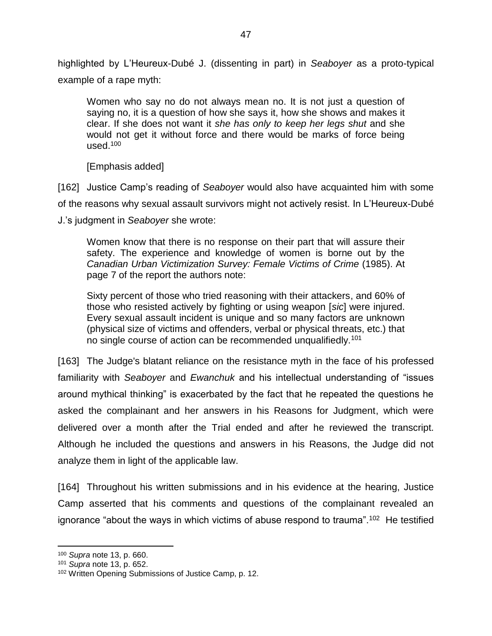highlighted by L'Heureux-Dubé J. (dissenting in part) in *Seaboyer* as a proto-typical example of a rape myth:

Women who say no do not always mean no. It is not just a question of saying no, it is a question of how she says it, how she shows and makes it clear. If she does not want it *she has only to keep her legs shut* and she would not get it without force and there would be marks of force being used. $100$ 

[Emphasis added]

[162] Justice Camp's reading of *Seaboyer* would also have acquainted him with some of the reasons why sexual assault survivors might not actively resist. In L'Heureux-Dubé J.'s judgment in *Seaboyer* she wrote:

Women know that there is no response on their part that will assure their safety. The experience and knowledge of women is borne out by the *Canadian Urban Victimization Survey: Female Victims of Crime* (1985). At page 7 of the report the authors note:

Sixty percent of those who tried reasoning with their attackers, and 60% of those who resisted actively by fighting or using weapon [*sic*] were injured. Every sexual assault incident is unique and so many factors are unknown (physical size of victims and offenders, verbal or physical threats, etc.) that no single course of action can be recommended unqualifiedly.<sup>101</sup>

[163] The Judge's blatant reliance on the resistance myth in the face of his professed familiarity with *Seaboyer* and *Ewanchuk* and his intellectual understanding of "issues around mythical thinking" is exacerbated by the fact that he repeated the questions he asked the complainant and her answers in his Reasons for Judgment, which were delivered over a month after the Trial ended and after he reviewed the transcript. Although he included the questions and answers in his Reasons, the Judge did not analyze them in light of the applicable law.

[164] Throughout his written submissions and in his evidence at the hearing, Justice Camp asserted that his comments and questions of the complainant revealed an ignorance "about the ways in which victims of abuse respond to trauma".<sup>102</sup> He testified

<sup>100</sup> *Supra* note [13,](#page-16-0) p. 660.

<sup>101</sup> *Supra* note [13,](#page-16-0) p. 652.

<sup>102</sup> Written Opening Submissions of Justice Camp, p. 12.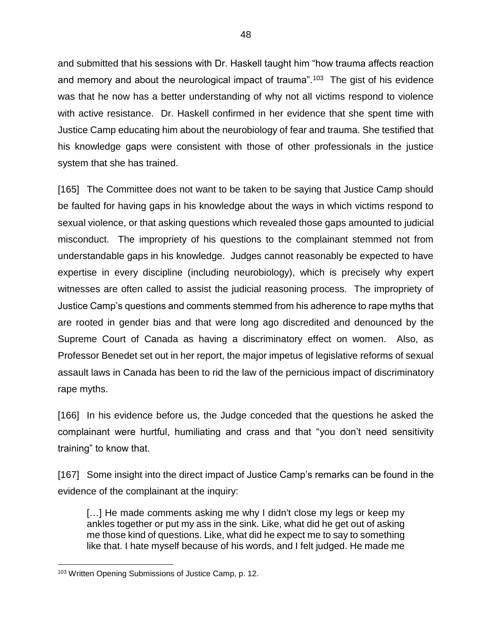and submitted that his sessions with Dr. Haskell taught him "how trauma affects reaction and memory and about the neurological impact of trauma".<sup>103</sup> The gist of his evidence was that he now has a better understanding of why not all victims respond to violence with active resistance. Dr. Haskell confirmed in her evidence that she spent time with Justice Camp educating him about the neurobiology of fear and trauma. She testified that his knowledge gaps were consistent with those of other professionals in the justice system that she has trained.

[165] The Committee does not want to be taken to be saying that Justice Camp should be faulted for having gaps in his knowledge about the ways in which victims respond to sexual violence, or that asking questions which revealed those gaps amounted to judicial misconduct. The impropriety of his questions to the complainant stemmed not from understandable gaps in his knowledge. Judges cannot reasonably be expected to have expertise in every discipline (including neurobiology), which is precisely why expert witnesses are often called to assist the judicial reasoning process. The impropriety of Justice Camp's questions and comments stemmed from his adherence to rape myths that are rooted in gender bias and that were long ago discredited and denounced by the Supreme Court of Canada as having a discriminatory effect on women. Also, as Professor Benedet set out in her report, the major impetus of legislative reforms of sexual assault laws in Canada has been to rid the law of the pernicious impact of discriminatory rape myths.

[166] In his evidence before us, the Judge conceded that the questions he asked the complainant were hurtful, humiliating and crass and that "you don't need sensitivity training" to know that.

[167] Some insight into the direct impact of Justice Camp's remarks can be found in the evidence of the complainant at the inquiry:

[...] He made comments asking me why I didn't close my legs or keep my ankles together or put my ass in the sink. Like, what did he get out of asking me those kind of questions. Like, what did he expect me to say to something like that. I hate myself because of his words, and I felt judged. He made me

<sup>103</sup> Written Opening Submissions of Justice Camp, p. 12.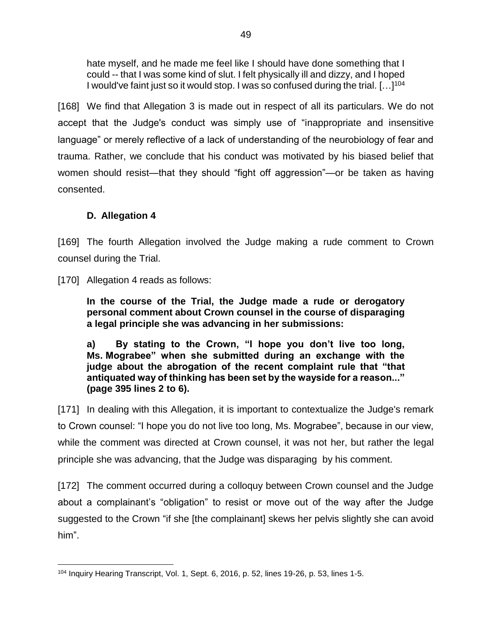hate myself, and he made me feel like I should have done something that I could -- that I was some kind of slut. I felt physically ill and dizzy, and I hoped I would've faint just so it would stop. I was so confused during the trial. [...]<sup>104</sup>

[168] We find that Allegation 3 is made out in respect of all its particulars. We do not accept that the Judge's conduct was simply use of "inappropriate and insensitive language" or merely reflective of a lack of understanding of the neurobiology of fear and trauma. Rather, we conclude that his conduct was motivated by his biased belief that women should resist—that they should "fight off aggression"—or be taken as having consented.

### **D. Allegation 4**

[169] The fourth Allegation involved the Judge making a rude comment to Crown counsel during the Trial.

[170] Allegation 4 reads as follows:

**In the course of the Trial, the Judge made a rude or derogatory personal comment about Crown counsel in the course of disparaging a legal principle she was advancing in her submissions:**

**a) By stating to the Crown, "I hope you don't live too long, Ms. Mograbee" when she submitted during an exchange with the judge about the abrogation of the recent complaint rule that "that antiquated way of thinking has been set by the wayside for a reason..." (page 395 lines 2 to 6).**

[171] In dealing with this Allegation, it is important to contextualize the Judge's remark to Crown counsel: "I hope you do not live too long, Ms. Mograbee", because in our view, while the comment was directed at Crown counsel, it was not her, but rather the legal principle she was advancing, that the Judge was disparaging by his comment.

[172] The comment occurred during a colloquy between Crown counsel and the Judge about a complainant's "obligation" to resist or move out of the way after the Judge suggested to the Crown "if she [the complainant] skews her pelvis slightly she can avoid him".

 $\overline{a}$ <sup>104</sup> Inquiry Hearing Transcript, Vol. 1, Sept. 6, 2016, p. 52, lines 19-26, p. 53, lines 1-5.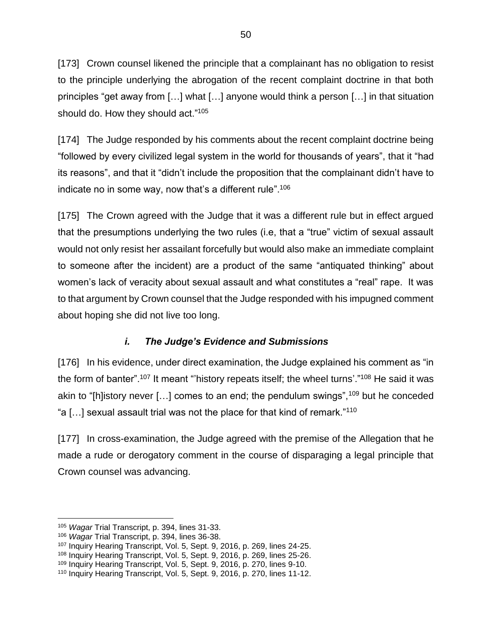[173] Crown counsel likened the principle that a complainant has no obligation to resist to the principle underlying the abrogation of the recent complaint doctrine in that both principles "get away from […] what […] anyone would think a person […] in that situation should do. How they should act."<sup>105</sup>

[174] The Judge responded by his comments about the recent complaint doctrine being "followed by every civilized legal system in the world for thousands of years", that it "had its reasons", and that it "didn't include the proposition that the complainant didn't have to indicate no in some way, now that's a different rule".<sup>106</sup>

[175] The Crown agreed with the Judge that it was a different rule but in effect argued that the presumptions underlying the two rules (i.e, that a "true" victim of sexual assault would not only resist her assailant forcefully but would also make an immediate complaint to someone after the incident) are a product of the same "antiquated thinking" about women's lack of veracity about sexual assault and what constitutes a "real" rape. It was to that argument by Crown counsel that the Judge responded with his impugned comment about hoping she did not live too long.

## *i. The Judge's Evidence and Submissions*

[176] In his evidence, under direct examination, the Judge explained his comment as "in the form of banter".<sup>107</sup> It meant "'history repeats itself; the wheel turns'."<sup>108</sup> He said it was akin to "[h]istory never [...] comes to an end; the pendulum swings",<sup>109</sup> but he conceded "a […] sexual assault trial was not the place for that kind of remark."<sup>110</sup>

[177] In cross-examination, the Judge agreed with the premise of the Allegation that he made a rude or derogatory comment in the course of disparaging a legal principle that Crown counsel was advancing.

 $\overline{a}$ <sup>105</sup> *Wagar* Trial Transcript, p. 394, lines 31-33.

<sup>106</sup> *Wagar* Trial Transcript, p. 394, lines 36-38.

<sup>107</sup> Inquiry Hearing Transcript, Vol. 5, Sept. 9, 2016, p. 269, lines 24-25.

<sup>108</sup> Inquiry Hearing Transcript, Vol. 5, Sept. 9, 2016, p. 269, lines 25-26.

<sup>109</sup> Inquiry Hearing Transcript, Vol. 5, Sept. 9, 2016, p. 270, lines 9-10.

<sup>110</sup> Inquiry Hearing Transcript, Vol. 5, Sept. 9, 2016, p. 270, lines 11-12.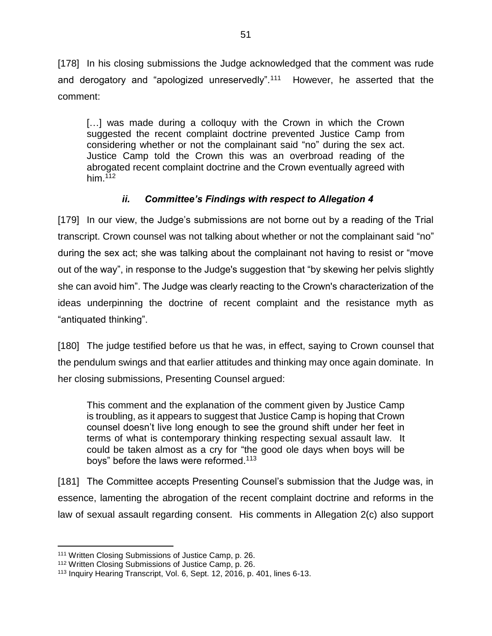[178] In his closing submissions the Judge acknowledged that the comment was rude and derogatory and "apologized unreservedly".<sup>111</sup> However, he asserted that the comment:

[…] was made during a colloquy with the Crown in which the Crown suggested the recent complaint doctrine prevented Justice Camp from considering whether or not the complainant said "no" during the sex act. Justice Camp told the Crown this was an overbroad reading of the abrogated recent complaint doctrine and the Crown eventually agreed with him. $112$ 

## *ii. Committee's Findings with respect to Allegation 4*

[179] In our view, the Judge's submissions are not borne out by a reading of the Trial transcript. Crown counsel was not talking about whether or not the complainant said "no" during the sex act; she was talking about the complainant not having to resist or "move out of the way", in response to the Judge's suggestion that "by skewing her pelvis slightly she can avoid him". The Judge was clearly reacting to the Crown's characterization of the ideas underpinning the doctrine of recent complaint and the resistance myth as "antiquated thinking".

[180] The judge testified before us that he was, in effect, saying to Crown counsel that the pendulum swings and that earlier attitudes and thinking may once again dominate. In her closing submissions, Presenting Counsel argued:

This comment and the explanation of the comment given by Justice Camp is troubling, as it appears to suggest that Justice Camp is hoping that Crown counsel doesn't live long enough to see the ground shift under her feet in terms of what is contemporary thinking respecting sexual assault law. It could be taken almost as a cry for "the good ole days when boys will be boys" before the laws were reformed.<sup>113</sup>

[181] The Committee accepts Presenting Counsel's submission that the Judge was, in essence, lamenting the abrogation of the recent complaint doctrine and reforms in the law of sexual assault regarding consent. His comments in Allegation 2(c) also support

<sup>111</sup> Written Closing Submissions of Justice Camp, p. 26.

<sup>112</sup> Written Closing Submissions of Justice Camp, p. 26.

<sup>113</sup> Inquiry Hearing Transcript, Vol. 6, Sept. 12, 2016, p. 401, lines 6-13.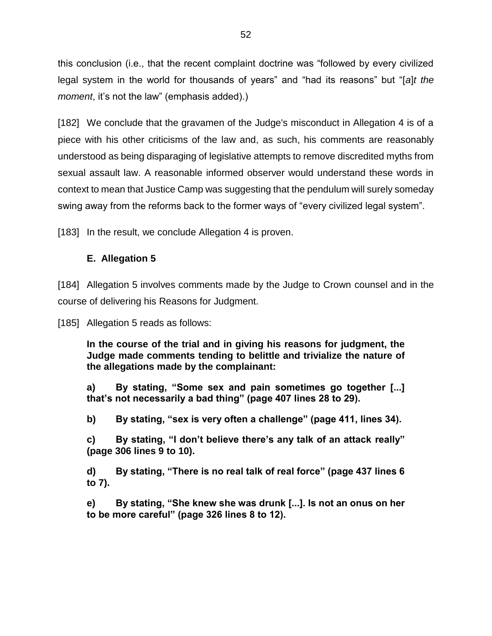this conclusion (i.e., that the recent complaint doctrine was "followed by every civilized legal system in the world for thousands of years" and "had its reasons" but "[*a*]*t the moment*, it's not the law" (emphasis added).)

[182] We conclude that the gravamen of the Judge's misconduct in Allegation 4 is of a piece with his other criticisms of the law and, as such, his comments are reasonably understood as being disparaging of legislative attempts to remove discredited myths from sexual assault law. A reasonable informed observer would understand these words in context to mean that Justice Camp was suggesting that the pendulum will surely someday swing away from the reforms back to the former ways of "every civilized legal system".

[183] In the result, we conclude Allegation 4 is proven.

### **E. Allegation 5**

[184] Allegation 5 involves comments made by the Judge to Crown counsel and in the course of delivering his Reasons for Judgment.

[185] Allegation 5 reads as follows:

**In the course of the trial and in giving his reasons for judgment, the Judge made comments tending to belittle and trivialize the nature of the allegations made by the complainant:**

**a) By stating, "Some sex and pain sometimes go together [...] that's not necessarily a bad thing" (page 407 lines 28 to 29).**

**b) By stating, "sex is very often a challenge" (page 411, lines 34).**

**c) By stating, "I don't believe there's any talk of an attack really" (page 306 lines 9 to 10).**

**d) By stating, "There is no real talk of real force" (page 437 lines 6 to 7).**

**e) By stating, "She knew she was drunk [...]. Is not an onus on her to be more careful" (page 326 lines 8 to 12).**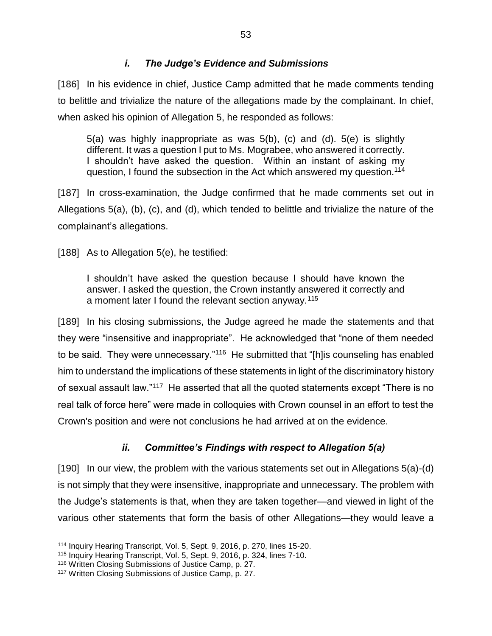#### *i. The Judge's Evidence and Submissions*

[186] In his evidence in chief, Justice Camp admitted that he made comments tending to belittle and trivialize the nature of the allegations made by the complainant. In chief, when asked his opinion of Allegation 5, he responded as follows:

5(a) was highly inappropriate as was 5(b), (c) and (d). 5(e) is slightly different. It was a question I put to Ms. Mograbee, who answered it correctly. I shouldn't have asked the question. Within an instant of asking my question, I found the subsection in the Act which answered my question.<sup>114</sup>

[187] In cross-examination, the Judge confirmed that he made comments set out in Allegations 5(a), (b), (c), and (d), which tended to belittle and trivialize the nature of the complainant's allegations.

[188] As to Allegation 5(e), he testified:

I shouldn't have asked the question because I should have known the answer. I asked the question, the Crown instantly answered it correctly and a moment later I found the relevant section anyway.<sup>115</sup>

[189] In his closing submissions, the Judge agreed he made the statements and that they were "insensitive and inappropriate". He acknowledged that "none of them needed to be said. They were unnecessary."<sup>116</sup> He submitted that "[h]is counseling has enabled him to understand the implications of these statements in light of the discriminatory history of sexual assault law."<sup>117</sup> He asserted that all the quoted statements except "There is no real talk of force here" were made in colloquies with Crown counsel in an effort to test the Crown's position and were not conclusions he had arrived at on the evidence.

### *ii. Committee's Findings with respect to Allegation 5(a)*

[190] In our view, the problem with the various statements set out in Allegations 5(a)-(d) is not simply that they were insensitive, inappropriate and unnecessary. The problem with the Judge's statements is that, when they are taken together—and viewed in light of the various other statements that form the basis of other Allegations—they would leave a

<sup>114</sup> Inquiry Hearing Transcript, Vol. 5, Sept. 9, 2016, p. 270, lines 15-20.

<sup>115</sup> Inquiry Hearing Transcript, Vol. 5, Sept. 9, 2016, p. 324, lines 7-10.

<sup>116</sup> Written Closing Submissions of Justice Camp, p. 27.

<sup>117</sup> Written Closing Submissions of Justice Camp, p. 27.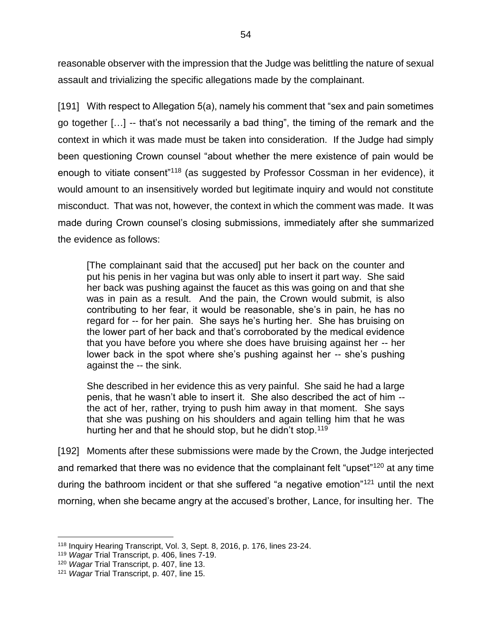reasonable observer with the impression that the Judge was belittling the nature of sexual assault and trivializing the specific allegations made by the complainant.

[191] With respect to Allegation 5(a), namely his comment that "sex and pain sometimes go together […] -- that's not necessarily a bad thing", the timing of the remark and the context in which it was made must be taken into consideration. If the Judge had simply been questioning Crown counsel "about whether the mere existence of pain would be enough to vitiate consent"<sup>118</sup> (as suggested by Professor Cossman in her evidence), it would amount to an insensitively worded but legitimate inquiry and would not constitute misconduct. That was not, however, the context in which the comment was made. It was made during Crown counsel's closing submissions, immediately after she summarized the evidence as follows:

[The complainant said that the accused] put her back on the counter and put his penis in her vagina but was only able to insert it part way. She said her back was pushing against the faucet as this was going on and that she was in pain as a result. And the pain, the Crown would submit, is also contributing to her fear, it would be reasonable, she's in pain, he has no regard for -- for her pain. She says he's hurting her. She has bruising on the lower part of her back and that's corroborated by the medical evidence that you have before you where she does have bruising against her -- her lower back in the spot where she's pushing against her -- she's pushing against the -- the sink.

She described in her evidence this as very painful. She said he had a large penis, that he wasn't able to insert it. She also described the act of him - the act of her, rather, trying to push him away in that moment. She says that she was pushing on his shoulders and again telling him that he was hurting her and that he should stop, but he didn't stop.<sup>119</sup>

[192] Moments after these submissions were made by the Crown, the Judge interjected and remarked that there was no evidence that the complainant felt "upset"<sup>120</sup> at any time during the bathroom incident or that she suffered "a negative emotion"<sup>121</sup> until the next morning, when she became angry at the accused's brother, Lance, for insulting her. The

<sup>118</sup> Inquiry Hearing Transcript, Vol. 3, Sept. 8, 2016, p. 176, lines 23-24.

<sup>119</sup> *Wagar* Trial Transcript, p. 406, lines 7-19.

<sup>120</sup> *Wagar* Trial Transcript, p. 407, line 13.

<sup>121</sup> *Wagar* Trial Transcript, p. 407, line 15.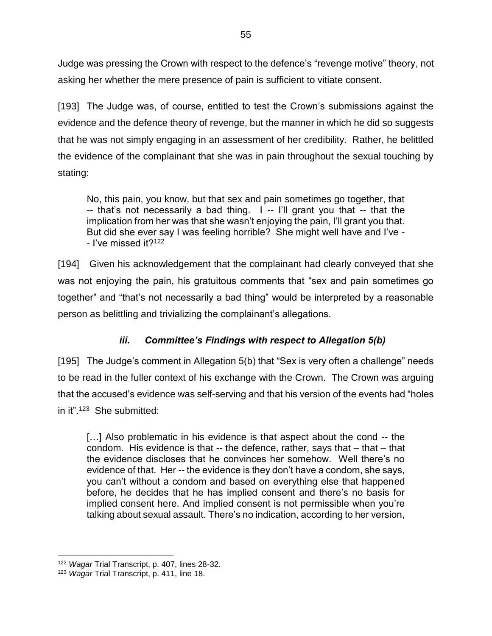Judge was pressing the Crown with respect to the defence's "revenge motive" theory, not asking her whether the mere presence of pain is sufficient to vitiate consent.

[193] The Judge was, of course, entitled to test the Crown's submissions against the evidence and the defence theory of revenge, but the manner in which he did so suggests that he was not simply engaging in an assessment of her credibility. Rather, he belittled the evidence of the complainant that she was in pain throughout the sexual touching by stating:

No, this pain, you know, but that sex and pain sometimes go together, that -- that's not necessarily a bad thing. I -- I'll grant you that -- that the implication from her was that she wasn't enjoying the pain, I'll grant you that. But did she ever say I was feeling horrible? She might well have and I've - - I've missed it?<sup>122</sup>

[194] Given his acknowledgement that the complainant had clearly conveyed that she was not enjoying the pain, his gratuitous comments that "sex and pain sometimes go together" and "that's not necessarily a bad thing" would be interpreted by a reasonable person as belittling and trivializing the complainant's allegations.

# *iii. Committee's Findings with respect to Allegation 5(b)*

[195] The Judge's comment in Allegation 5(b) that "Sex is very often a challenge" needs to be read in the fuller context of his exchange with the Crown. The Crown was arguing that the accused's evidence was self-serving and that his version of the events had "holes in it".<sup>123</sup> She submitted:

[...] Also problematic in his evidence is that aspect about the cond -- the condom. His evidence is that -- the defence, rather, says that – that – that the evidence discloses that he convinces her somehow. Well there's no evidence of that. Her -- the evidence is they don't have a condom, she says, you can't without a condom and based on everything else that happened before, he decides that he has implied consent and there's no basis for implied consent here. And implied consent is not permissible when you're talking about sexual assault. There's no indication, according to her version,

 $\overline{a}$ <sup>122</sup> *Wagar* Trial Transcript, p. 407, lines 28-32.

<sup>123</sup> *Wagar* Trial Transcript, p. 411, line 18.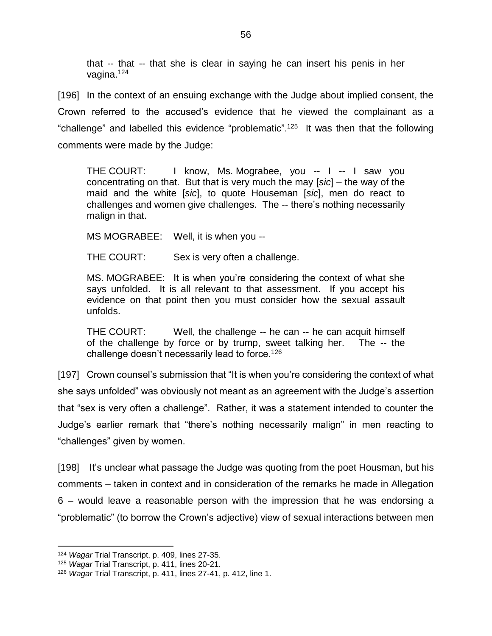that -- that -- that she is clear in saying he can insert his penis in her vagina.<sup>124</sup>

[196] In the context of an ensuing exchange with the Judge about implied consent, the Crown referred to the accused's evidence that he viewed the complainant as a "challenge" and labelled this evidence "problematic".<sup>125</sup> It was then that the following comments were made by the Judge:

THE COURT: I know, Ms. Mograbee, you -- I -- I saw you concentrating on that. But that is very much the may [*sic*] – the way of the maid and the white [*sic*], to quote Houseman [*sic*], men do react to challenges and women give challenges. The -- there's nothing necessarily malign in that.

MS MOGRABEE: Well, it is when you --

THE COURT: Sex is very often a challenge.

MS. MOGRABEE: It is when you're considering the context of what she says unfolded. It is all relevant to that assessment. If you accept his evidence on that point then you must consider how the sexual assault unfolds.

THE COURT: Well, the challenge -- he can -- he can acquit himself of the challenge by force or by trump, sweet talking her. The -- the challenge doesn't necessarily lead to force.<sup>126</sup>

[197] Crown counsel's submission that "It is when you're considering the context of what she says unfolded" was obviously not meant as an agreement with the Judge's assertion that "sex is very often a challenge". Rather, it was a statement intended to counter the Judge's earlier remark that "there's nothing necessarily malign" in men reacting to "challenges" given by women.

[198] It's unclear what passage the Judge was quoting from the poet Housman, but his comments – taken in context and in consideration of the remarks he made in Allegation 6 – would leave a reasonable person with the impression that he was endorsing a "problematic" (to borrow the Crown's adjective) view of sexual interactions between men

<sup>124</sup> *Wagar* Trial Transcript, p. 409, lines 27-35.

<sup>125</sup> *Wagar* Trial Transcript, p. 411, lines 20-21.

<sup>126</sup> *Wagar* Trial Transcript, p. 411, lines 27-41, p. 412, line 1.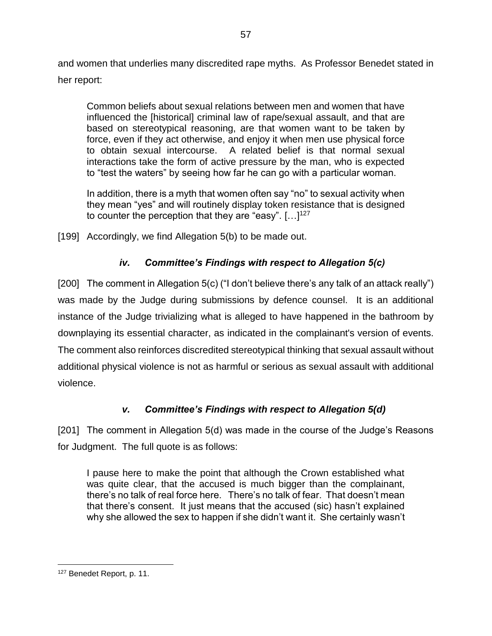and women that underlies many discredited rape myths. As Professor Benedet stated in her report:

Common beliefs about sexual relations between men and women that have influenced the [historical] criminal law of rape/sexual assault, and that are based on stereotypical reasoning, are that women want to be taken by force, even if they act otherwise, and enjoy it when men use physical force to obtain sexual intercourse. A related belief is that normal sexual interactions take the form of active pressure by the man, who is expected to "test the waters" by seeing how far he can go with a particular woman.

In addition, there is a myth that women often say "no" to sexual activity when they mean "yes" and will routinely display token resistance that is designed to counter the perception that they are "easy".  $[...]^{127}$ 

[199] Accordingly, we find Allegation 5(b) to be made out.

# *iv. Committee's Findings with respect to Allegation 5(c)*

[200] The comment in Allegation 5(c) ("I don't believe there's any talk of an attack really") was made by the Judge during submissions by defence counsel. It is an additional instance of the Judge trivializing what is alleged to have happened in the bathroom by downplaying its essential character, as indicated in the complainant's version of events. The comment also reinforces discredited stereotypical thinking that sexual assault without additional physical violence is not as harmful or serious as sexual assault with additional violence.

# *v. Committee's Findings with respect to Allegation 5(d)*

[201] The comment in Allegation 5(d) was made in the course of the Judge's Reasons for Judgment. The full quote is as follows:

I pause here to make the point that although the Crown established what was quite clear, that the accused is much bigger than the complainant, there's no talk of real force here. There's no talk of fear. That doesn't mean that there's consent. It just means that the accused (sic) hasn't explained why she allowed the sex to happen if she didn't want it. She certainly wasn't

 $\overline{a}$ <sup>127</sup> Benedet Report, p. 11.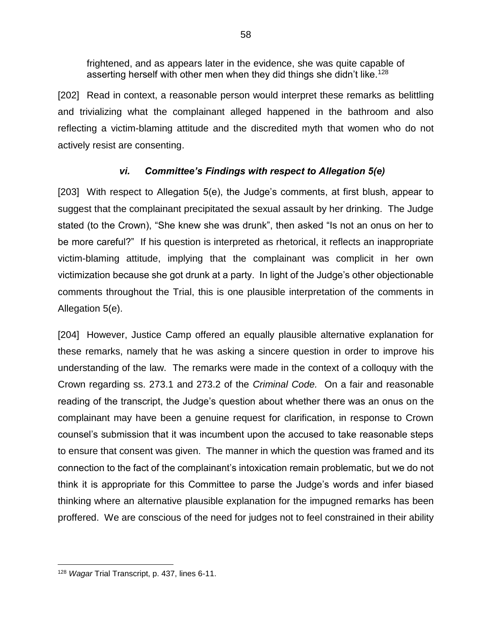frightened, and as appears later in the evidence, she was quite capable of asserting herself with other men when they did things she didn't like.<sup>128</sup>

[202] Read in context, a reasonable person would interpret these remarks as belittling and trivializing what the complainant alleged happened in the bathroom and also reflecting a victim-blaming attitude and the discredited myth that women who do not actively resist are consenting.

## *vi. Committee's Findings with respect to Allegation 5(e)*

[203] With respect to Allegation 5(e), the Judge's comments, at first blush, appear to suggest that the complainant precipitated the sexual assault by her drinking. The Judge stated (to the Crown), "She knew she was drunk", then asked "Is not an onus on her to be more careful?" If his question is interpreted as rhetorical, it reflects an inappropriate victim-blaming attitude, implying that the complainant was complicit in her own victimization because she got drunk at a party. In light of the Judge's other objectionable comments throughout the Trial, this is one plausible interpretation of the comments in Allegation 5(e).

[204] However, Justice Camp offered an equally plausible alternative explanation for these remarks, namely that he was asking a sincere question in order to improve his understanding of the law. The remarks were made in the context of a colloquy with the Crown regarding ss. 273.1 and 273.2 of the *Criminal Code.* On a fair and reasonable reading of the transcript, the Judge's question about whether there was an onus on the complainant may have been a genuine request for clarification, in response to Crown counsel's submission that it was incumbent upon the accused to take reasonable steps to ensure that consent was given. The manner in which the question was framed and its connection to the fact of the complainant's intoxication remain problematic, but we do not think it is appropriate for this Committee to parse the Judge's words and infer biased thinking where an alternative plausible explanation for the impugned remarks has been proffered. We are conscious of the need for judges not to feel constrained in their ability

 $\overline{a}$ <sup>128</sup> *Wagar* Trial Transcript, p. 437, lines 6-11.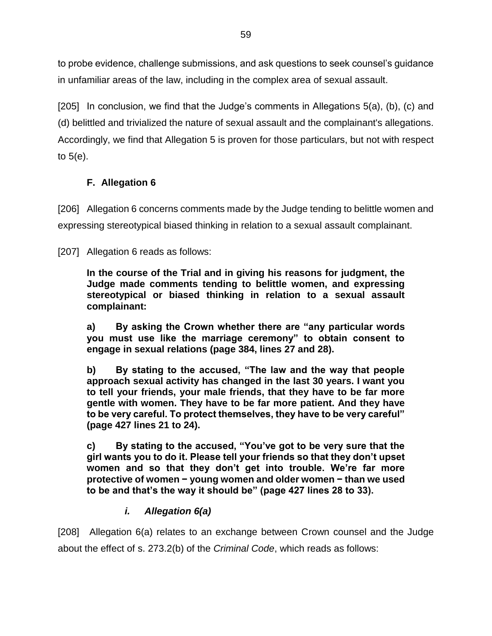to probe evidence, challenge submissions, and ask questions to seek counsel's guidance in unfamiliar areas of the law, including in the complex area of sexual assault.

[205] In conclusion, we find that the Judge's comments in Allegations 5(a), (b), (c) and (d) belittled and trivialized the nature of sexual assault and the complainant's allegations. Accordingly, we find that Allegation 5 is proven for those particulars, but not with respect to 5(e).

## **F. Allegation 6**

[206] Allegation 6 concerns comments made by the Judge tending to belittle women and expressing stereotypical biased thinking in relation to a sexual assault complainant.

[207] Allegation 6 reads as follows:

**In the course of the Trial and in giving his reasons for judgment, the Judge made comments tending to belittle women, and expressing stereotypical or biased thinking in relation to a sexual assault complainant:**

**a) By asking the Crown whether there are "any particular words you must use like the marriage ceremony" to obtain consent to engage in sexual relations (page 384, lines 27 and 28).**

**b) By stating to the accused, "The law and the way that people approach sexual activity has changed in the last 30 years. I want you to tell your friends, your male friends, that they have to be far more gentle with women. They have to be far more patient. And they have to be very careful. To protect themselves, they have to be very careful" (page 427 lines 21 to 24).**

**c) By stating to the accused, "You've got to be very sure that the girl wants you to do it. Please tell your friends so that they don't upset women and so that they don't get into trouble. We're far more protective of women − young women and older women − than we used to be and that's the way it should be" (page 427 lines 28 to 33).**

## *i. Allegation 6(a)*

[208] Allegation 6(a) relates to an exchange between Crown counsel and the Judge about the effect of s. 273.2(b) of the *Criminal Code*, which reads as follows: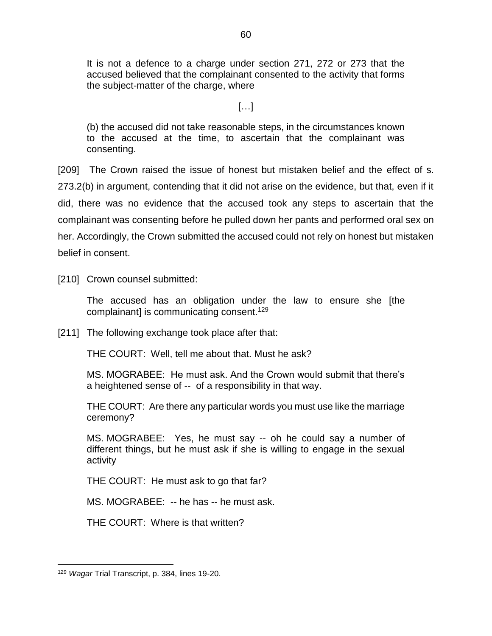It is not a defence to a charge under section 271, 272 or 273 that the accused believed that the complainant consented to the activity that forms the subject-matter of the charge, where

[…]

(b) the accused did not take reasonable steps, in the circumstances known to the accused at the time, to ascertain that the complainant was consenting.

[209] The Crown raised the issue of honest but mistaken belief and the effect of s. 273.2(b) in argument, contending that it did not arise on the evidence, but that, even if it did, there was no evidence that the accused took any steps to ascertain that the complainant was consenting before he pulled down her pants and performed oral sex on her. Accordingly, the Crown submitted the accused could not rely on honest but mistaken belief in consent.

[210] Crown counsel submitted:

The accused has an obligation under the law to ensure she [the complainant] is communicating consent.<sup>129</sup>

[211] The following exchange took place after that:

THE COURT: Well, tell me about that. Must he ask?

MS. MOGRABEE: He must ask. And the Crown would submit that there's a heightened sense of -- of a responsibility in that way.

THE COURT: Are there any particular words you must use like the marriage ceremony?

MS. MOGRABEE: Yes, he must say -- oh he could say a number of different things, but he must ask if she is willing to engage in the sexual activity

THE COURT: He must ask to go that far?

MS. MOGRABEE: -- he has -- he must ask.

THE COURT: Where is that written?

<sup>129</sup> *Wagar* Trial Transcript, p. 384, lines 19-20.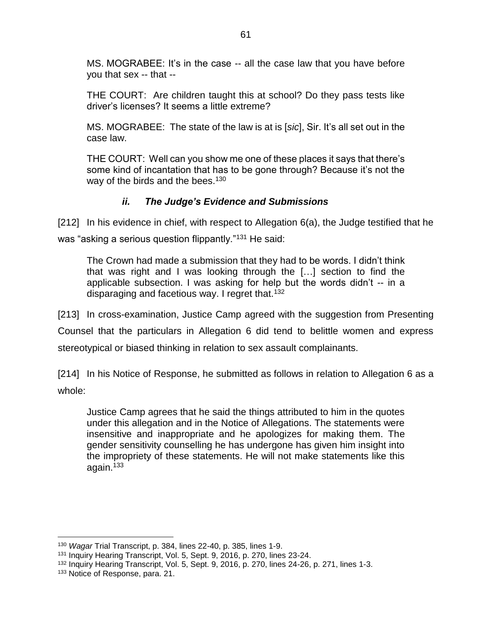MS. MOGRABEE: It's in the case -- all the case law that you have before you that sex -- that --

THE COURT: Are children taught this at school? Do they pass tests like driver's licenses? It seems a little extreme?

MS. MOGRABEE: The state of the law is at is [*sic*], Sir. It's all set out in the case law.

THE COURT: Well can you show me one of these places it says that there's some kind of incantation that has to be gone through? Because it's not the way of the birds and the bees.<sup>130</sup>

### *ii. The Judge's Evidence and Submissions*

[212] In his evidence in chief, with respect to Allegation 6(a), the Judge testified that he was "asking a serious question flippantly."<sup>131</sup> He said:

The Crown had made a submission that they had to be words. I didn't think that was right and I was looking through the […] section to find the applicable subsection. I was asking for help but the words didn't -- in a disparaging and facetious way. I regret that.<sup>132</sup>

[213] In cross-examination, Justice Camp agreed with the suggestion from Presenting Counsel that the particulars in Allegation 6 did tend to belittle women and express stereotypical or biased thinking in relation to sex assault complainants.

[214] In his Notice of Response, he submitted as follows in relation to Allegation 6 as a whole:

Justice Camp agrees that he said the things attributed to him in the quotes under this allegation and in the Notice of Allegations. The statements were insensitive and inappropriate and he apologizes for making them. The gender sensitivity counselling he has undergone has given him insight into the impropriety of these statements. He will not make statements like this again.<sup>133</sup>

<sup>130</sup> *Wagar* Trial Transcript, p. 384, lines 22-40, p. 385, lines 1-9.

<sup>131</sup> Inquiry Hearing Transcript, Vol. 5, Sept. 9, 2016, p. 270, lines 23-24.

<sup>&</sup>lt;sup>132</sup> Inquiry Hearing Transcript, Vol. 5, Sept. 9, 2016, p. 270, lines 24-26, p. 271, lines 1-3.

<sup>133</sup> Notice of Response, para. 21.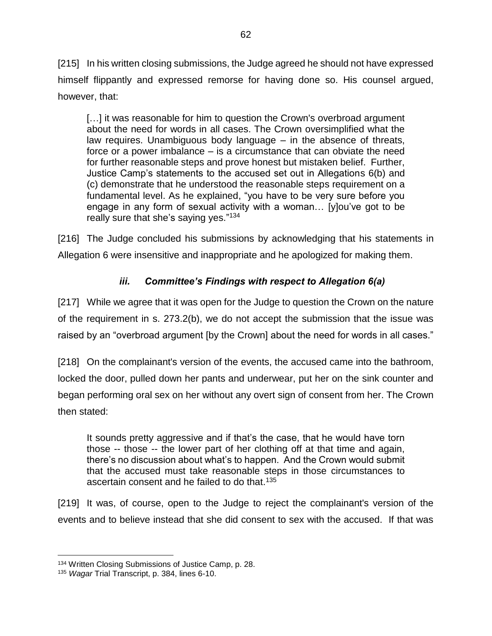[215] In his written closing submissions, the Judge agreed he should not have expressed himself flippantly and expressed remorse for having done so. His counsel argued, however, that:

[...] it was reasonable for him to question the Crown's overbroad argument about the need for words in all cases. The Crown oversimplified what the law requires. Unambiguous body language – in the absence of threats, force or a power imbalance – is a circumstance that can obviate the need for further reasonable steps and prove honest but mistaken belief. Further, Justice Camp's statements to the accused set out in Allegations 6(b) and (c) demonstrate that he understood the reasonable steps requirement on a fundamental level. As he explained, "you have to be very sure before you engage in any form of sexual activity with a woman… [y]ou've got to be really sure that she's saying yes."<sup>134</sup>

[216] The Judge concluded his submissions by acknowledging that his statements in Allegation 6 were insensitive and inappropriate and he apologized for making them.

# *iii. Committee's Findings with respect to Allegation 6(a)*

[217] While we agree that it was open for the Judge to question the Crown on the nature of the requirement in s. 273.2(b), we do not accept the submission that the issue was raised by an "overbroad argument [by the Crown] about the need for words in all cases."

[218] On the complainant's version of the events, the accused came into the bathroom, locked the door, pulled down her pants and underwear, put her on the sink counter and began performing oral sex on her without any overt sign of consent from her. The Crown then stated:

It sounds pretty aggressive and if that's the case, that he would have torn those -- those -- the lower part of her clothing off at that time and again, there's no discussion about what's to happen. And the Crown would submit that the accused must take reasonable steps in those circumstances to ascertain consent and he failed to do that.<sup>135</sup>

[219] It was, of course, open to the Judge to reject the complainant's version of the events and to believe instead that she did consent to sex with the accused. If that was

<sup>134</sup> Written Closing Submissions of Justice Camp, p. 28.

<sup>135</sup> *Wagar* Trial Transcript, p. 384, lines 6-10.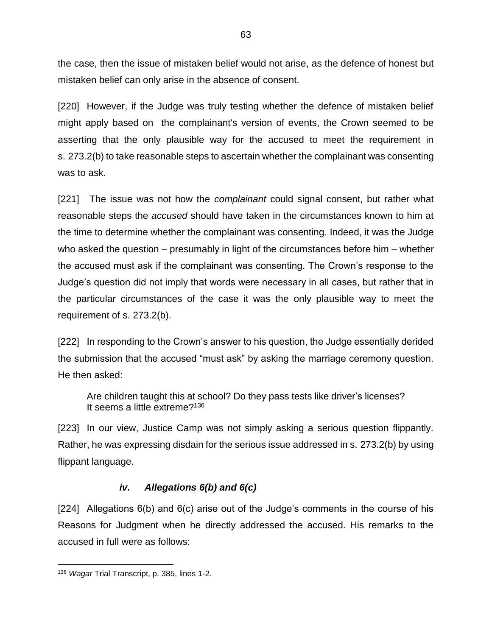the case, then the issue of mistaken belief would not arise, as the defence of honest but mistaken belief can only arise in the absence of consent.

[220] However, if the Judge was truly testing whether the defence of mistaken belief might apply based on the complainant's version of events, the Crown seemed to be asserting that the only plausible way for the accused to meet the requirement in s. 273.2(b) to take reasonable steps to ascertain whether the complainant was consenting was to ask.

[221] The issue was not how the *complainant* could signal consent, but rather what reasonable steps the *accused* should have taken in the circumstances known to him at the time to determine whether the complainant was consenting. Indeed, it was the Judge who asked the question – presumably in light of the circumstances before him – whether the accused must ask if the complainant was consenting. The Crown's response to the Judge's question did not imply that words were necessary in all cases, but rather that in the particular circumstances of the case it was the only plausible way to meet the requirement of s. 273.2(b).

[222] In responding to the Crown's answer to his question, the Judge essentially derided the submission that the accused "must ask" by asking the marriage ceremony question. He then asked:

Are children taught this at school? Do they pass tests like driver's licenses? It seems a little extreme? 136

[223] In our view, Justice Camp was not simply asking a serious question flippantly. Rather, he was expressing disdain for the serious issue addressed in s. 273.2(b) by using flippant language.

#### *iv. Allegations 6(b) and 6(c)*

[224] Allegations 6(b) and 6(c) arise out of the Judge's comments in the course of his Reasons for Judgment when he directly addressed the accused. His remarks to the accused in full were as follows:

<sup>136</sup> *Wagar* Trial Transcript, p. 385, lines 1-2.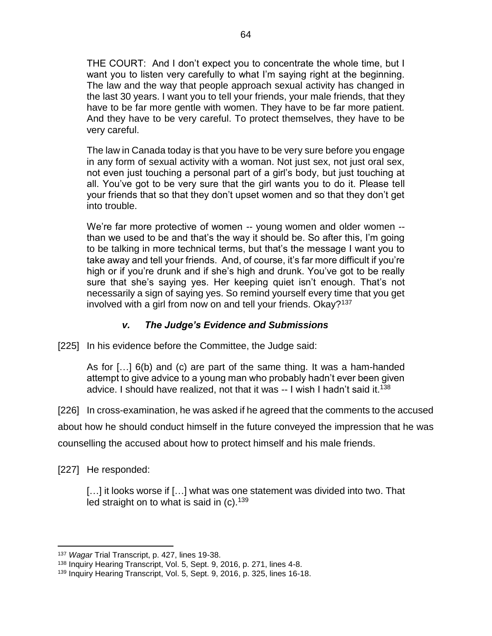THE COURT: And I don't expect you to concentrate the whole time, but I want you to listen very carefully to what I'm saying right at the beginning. The law and the way that people approach sexual activity has changed in the last 30 years. I want you to tell your friends, your male friends, that they have to be far more gentle with women. They have to be far more patient. And they have to be very careful. To protect themselves, they have to be very careful.

The law in Canada today is that you have to be very sure before you engage in any form of sexual activity with a woman. Not just sex, not just oral sex, not even just touching a personal part of a girl's body, but just touching at all. You've got to be very sure that the girl wants you to do it. Please tell your friends that so that they don't upset women and so that they don't get into trouble.

We're far more protective of women -- young women and older women - than we used to be and that's the way it should be. So after this, I'm going to be talking in more technical terms, but that's the message I want you to take away and tell your friends. And, of course, it's far more difficult if you're high or if you're drunk and if she's high and drunk. You've got to be really sure that she's saying yes. Her keeping quiet isn't enough. That's not necessarily a sign of saying yes. So remind yourself every time that you get involved with a girl from now on and tell your friends. Okay?<sup>137</sup>

## *v. The Judge's Evidence and Submissions*

[225] In his evidence before the Committee, the Judge said:

As for […] 6(b) and (c) are part of the same thing. It was a ham-handed attempt to give advice to a young man who probably hadn't ever been given advice. I should have realized, not that it was -- I wish I hadn't said it.<sup>138</sup>

[226] In cross-examination, he was asked if he agreed that the comments to the accused

about how he should conduct himself in the future conveyed the impression that he was

counselling the accused about how to protect himself and his male friends.

[227] He responded:

[...] it looks worse if [...] what was one statement was divided into two. That led straight on to what is said in  $(c)$ .<sup>139</sup>

 $\overline{a}$ <sup>137</sup> *Wagar* Trial Transcript, p. 427, lines 19-38.

<sup>138</sup> Inquiry Hearing Transcript, Vol. 5, Sept. 9, 2016, p. 271, lines 4-8.

<sup>139</sup> Inquiry Hearing Transcript, Vol. 5, Sept. 9, 2016, p. 325, lines 16-18.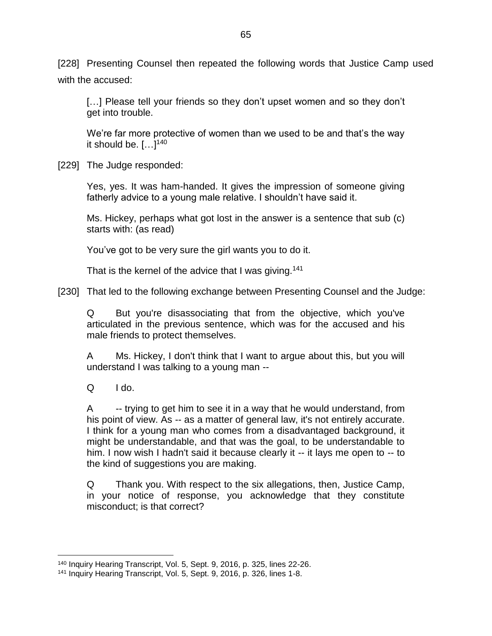[228] Presenting Counsel then repeated the following words that Justice Camp used with the accused:

[...] Please tell your friends so they don't upset women and so they don't get into trouble.

We're far more protective of women than we used to be and that's the way it should be.  $[...]^{140}$ 

[229] The Judge responded:

Yes, yes. It was ham-handed. It gives the impression of someone giving fatherly advice to a young male relative. I shouldn't have said it.

Ms. Hickey, perhaps what got lost in the answer is a sentence that sub (c) starts with: (as read)

You've got to be very sure the girl wants you to do it.

That is the kernel of the advice that I was giving.<sup>141</sup>

[230] That led to the following exchange between Presenting Counsel and the Judge:

Q But you're disassociating that from the objective, which you've articulated in the previous sentence, which was for the accused and his male friends to protect themselves.

A Ms. Hickey, I don't think that I want to argue about this, but you will understand I was talking to a young man --

 $Q$   $1$  do.

 $\overline{a}$ 

A -- trying to get him to see it in a way that he would understand, from his point of view. As -- as a matter of general law, it's not entirely accurate. I think for a young man who comes from a disadvantaged background, it might be understandable, and that was the goal, to be understandable to him. I now wish I hadn't said it because clearly it -- it lays me open to -- to the kind of suggestions you are making.

Q Thank you. With respect to the six allegations, then, Justice Camp, in your notice of response, you acknowledge that they constitute misconduct; is that correct?

<sup>140</sup> Inquiry Hearing Transcript, Vol. 5, Sept. 9, 2016, p. 325, lines 22-26.

<sup>141</sup> Inquiry Hearing Transcript, Vol. 5, Sept. 9, 2016, p. 326, lines 1-8.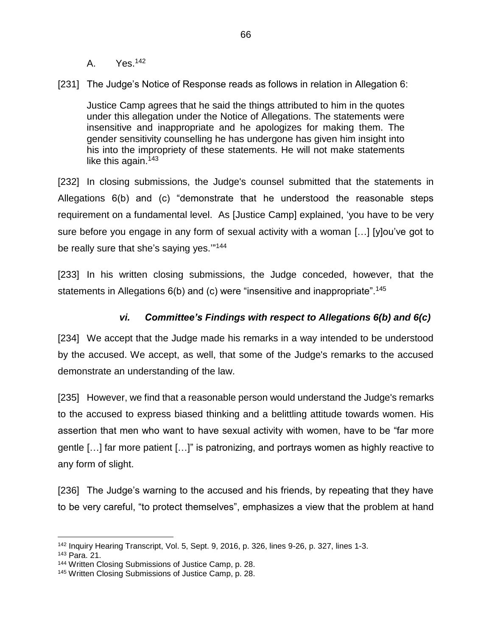A. Yes.<sup>142</sup>

[231] The Judge's Notice of Response reads as follows in relation in Allegation 6:

Justice Camp agrees that he said the things attributed to him in the quotes under this allegation under the Notice of Allegations. The statements were insensitive and inappropriate and he apologizes for making them. The gender sensitivity counselling he has undergone has given him insight into his into the impropriety of these statements. He will not make statements like this again.<sup>143</sup>

[232] In closing submissions, the Judge's counsel submitted that the statements in Allegations 6(b) and (c) "demonstrate that he understood the reasonable steps requirement on a fundamental level. As [Justice Camp] explained, 'you have to be very sure before you engage in any form of sexual activity with a woman […] [y]ou've got to be really sure that she's saying yes.""<sup>144</sup>

[233] In his written closing submissions, the Judge conceded, however, that the statements in Allegations 6(b) and (c) were "insensitive and inappropriate".<sup>145</sup>

#### *vi. Committee's Findings with respect to Allegations 6(b) and 6(c)*

[234] We accept that the Judge made his remarks in a way intended to be understood by the accused. We accept, as well, that some of the Judge's remarks to the accused demonstrate an understanding of the law.

[235] However, we find that a reasonable person would understand the Judge's remarks to the accused to express biased thinking and a belittling attitude towards women. His assertion that men who want to have sexual activity with women, have to be "far more gentle […] far more patient […]" is patronizing, and portrays women as highly reactive to any form of slight.

[236] The Judge's warning to the accused and his friends, by repeating that they have to be very careful, "to protect themselves", emphasizes a view that the problem at hand

 $\overline{a}$ <sup>142</sup> Inquiry Hearing Transcript, Vol. 5, Sept. 9, 2016, p. 326, lines 9-26, p. 327, lines 1-3.

<sup>143</sup> Para. 21.

<sup>144</sup> Written Closing Submissions of Justice Camp, p. 28.

<sup>145</sup> Written Closing Submissions of Justice Camp, p. 28.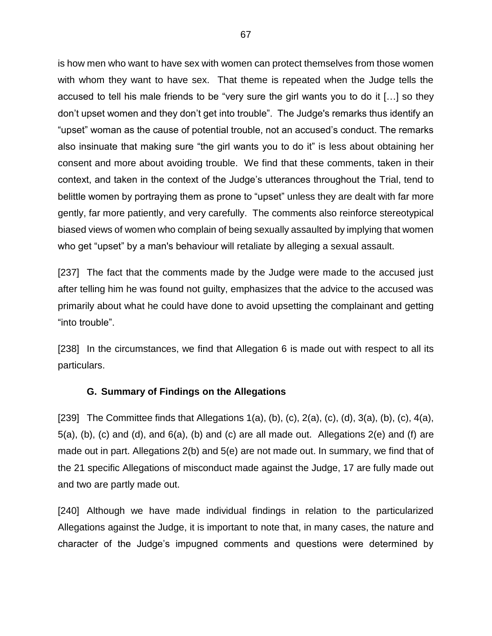is how men who want to have sex with women can protect themselves from those women with whom they want to have sex. That theme is repeated when the Judge tells the accused to tell his male friends to be "very sure the girl wants you to do it […] so they don't upset women and they don't get into trouble". The Judge's remarks thus identify an "upset" woman as the cause of potential trouble, not an accused's conduct. The remarks also insinuate that making sure "the girl wants you to do it" is less about obtaining her consent and more about avoiding trouble. We find that these comments, taken in their context, and taken in the context of the Judge's utterances throughout the Trial, tend to belittle women by portraying them as prone to "upset" unless they are dealt with far more gently, far more patiently, and very carefully. The comments also reinforce stereotypical biased views of women who complain of being sexually assaulted by implying that women who get "upset" by a man's behaviour will retaliate by alleging a sexual assault.

[237] The fact that the comments made by the Judge were made to the accused just after telling him he was found not guilty, emphasizes that the advice to the accused was primarily about what he could have done to avoid upsetting the complainant and getting "into trouble".

[238] In the circumstances, we find that Allegation 6 is made out with respect to all its particulars.

#### **G. Summary of Findings on the Allegations**

[239] The Committee finds that Allegations  $1(a)$ , (b), (c),  $2(a)$ , (c),  $(d)$ ,  $3(a)$ , (b), (c),  $4(a)$ ,  $5(a)$ , (b), (c) and (d), and  $6(a)$ , (b) and (c) are all made out. Allegations  $2(e)$  and (f) are made out in part. Allegations 2(b) and 5(e) are not made out. In summary, we find that of the 21 specific Allegations of misconduct made against the Judge, 17 are fully made out and two are partly made out.

[240] Although we have made individual findings in relation to the particularized Allegations against the Judge, it is important to note that, in many cases, the nature and character of the Judge's impugned comments and questions were determined by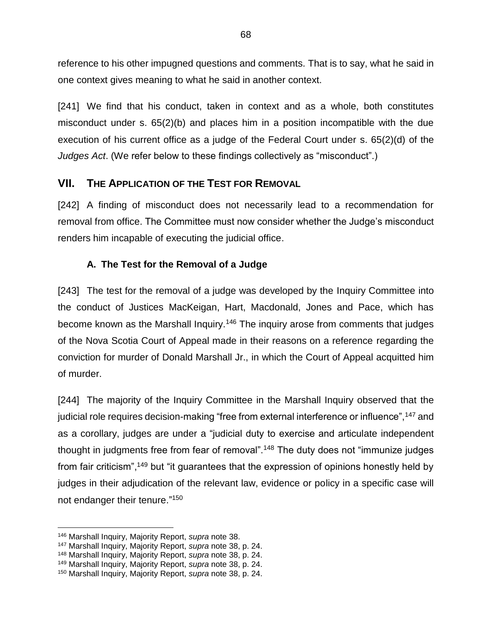reference to his other impugned questions and comments. That is to say, what he said in one context gives meaning to what he said in another context.

[241] We find that his conduct, taken in context and as a whole, both constitutes misconduct under s. 65(2)(b) and places him in a position incompatible with the due execution of his current office as a judge of the Federal Court under s. 65(2)(d) of the *Judges Act*. (We refer below to these findings collectively as "misconduct".)

## **VII. THE APPLICATION OF THE TEST FOR REMOVAL**

[242] A finding of misconduct does not necessarily lead to a recommendation for removal from office. The Committee must now consider whether the Judge's misconduct renders him incapable of executing the judicial office.

## **A. The Test for the Removal of a Judge**

[243] The test for the removal of a judge was developed by the Inquiry Committee into the conduct of Justices MacKeigan, Hart, Macdonald, Jones and Pace, which has become known as the Marshall Inquiry.<sup>146</sup> The inquiry arose from comments that judges of the Nova Scotia Court of Appeal made in their reasons on a reference regarding the conviction for murder of Donald Marshall Jr., in which the Court of Appeal acquitted him of murder.

[244] The majority of the Inquiry Committee in the Marshall Inquiry observed that the judicial role requires decision-making "free from external interference or influence", <sup>147</sup> and as a corollary, judges are under a "judicial duty to exercise and articulate independent thought in judgments free from fear of removal".<sup>148</sup> The duty does not "immunize judges from fair criticism",<sup>149</sup> but "it guarantees that the expression of opinions honestly held by judges in their adjudication of the relevant law, evidence or policy in a specific case will not endanger their tenure."<sup>150</sup>

 $\overline{a}$ <sup>146</sup> Marshall Inquiry, Majority Report, *supra* note [38.](#page-24-0)

<sup>147</sup> Marshall Inquiry, Majority Report, *supra* note [38,](#page-24-0) p. 24.

<sup>148</sup> Marshall Inquiry, Majority Report, *supra* note [38,](#page-24-0) p. 24.

<sup>149</sup> Marshall Inquiry, Majority Report, *supra* note [38,](#page-24-0) p. 24.

<sup>150</sup> Marshall Inquiry, Majority Report, *supra* note [38,](#page-24-0) p. 24.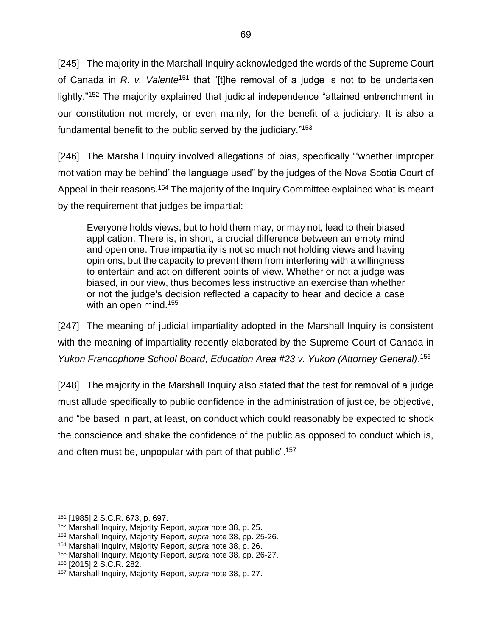[245] The majority in the Marshall Inquiry acknowledged the words of the Supreme Court of Canada in *R. v. Valente*<sup>151</sup> that "[t]he removal of a judge is not to be undertaken lightly."<sup>152</sup> The majority explained that judicial independence "attained entrenchment in our constitution not merely, or even mainly, for the benefit of a judiciary. It is also a fundamental benefit to the public served by the judiciary." 153

[246] The Marshall Inquiry involved allegations of bias, specifically "'whether improper motivation may be behind' the language used" by the judges of the Nova Scotia Court of Appeal in their reasons.<sup>154</sup> The majority of the Inquiry Committee explained what is meant by the requirement that judges be impartial:

Everyone holds views, but to hold them may, or may not, lead to their biased application. There is, in short, a crucial difference between an empty mind and open one. True impartiality is not so much not holding views and having opinions, but the capacity to prevent them from interfering with a willingness to entertain and act on different points of view. Whether or not a judge was biased, in our view, thus becomes less instructive an exercise than whether or not the judge's decision reflected a capacity to hear and decide a case with an open mind.<sup>155</sup>

[247] The meaning of judicial impartiality adopted in the Marshall Inquiry is consistent with the meaning of impartiality recently elaborated by the Supreme Court of Canada in *Yukon Francophone School Board, Education Area #23 v. Yukon (Attorney General)*. 156

[248] The majority in the Marshall Inquiry also stated that the test for removal of a judge must allude specifically to public confidence in the administration of justice, be objective, and "be based in part, at least, on conduct which could reasonably be expected to shock the conscience and shake the confidence of the public as opposed to conduct which is, and often must be, unpopular with part of that public". 157

<sup>151</sup> [1985] 2 S.C.R. 673, p. 697.

<sup>152</sup> Marshall Inquiry, Majority Report, *supra* note [38,](#page-24-0) p. 25.

<sup>153</sup> Marshall Inquiry, Majority Report, *supra* note [38,](#page-24-0) pp. 25-26.

<sup>154</sup> Marshall Inquiry, Majority Report, *supra* note [38,](#page-24-0) p. 26.

<sup>155</sup> Marshall Inquiry, Majority Report, *supra* note [38,](#page-24-0) pp. 26-27.

<sup>156</sup> [2015] 2 S.C.R. 282.

<sup>157</sup> Marshall Inquiry, Majority Report, *supra* note [38,](#page-24-0) p. 27.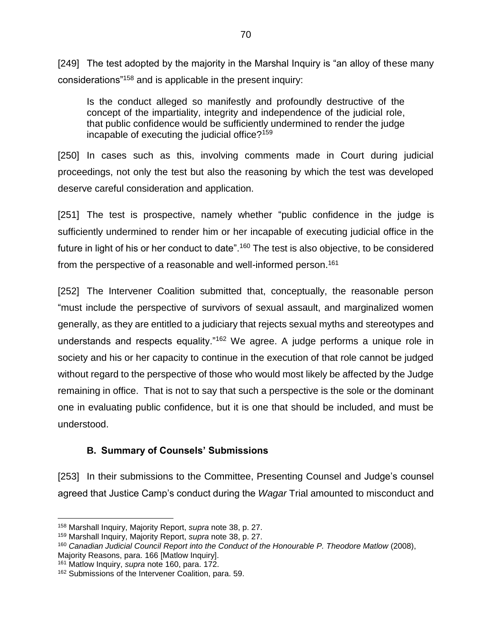[249] The test adopted by the majority in the Marshal Inquiry is "an alloy of these many considerations"<sup>158</sup> and is applicable in the present inquiry:

Is the conduct alleged so manifestly and profoundly destructive of the concept of the impartiality, integrity and independence of the judicial role, that public confidence would be sufficiently undermined to render the judge incapable of executing the judicial office?<sup>159</sup>

[250] In cases such as this, involving comments made in Court during judicial proceedings, not only the test but also the reasoning by which the test was developed deserve careful consideration and application.

<span id="page-73-0"></span>[251] The test is prospective, namely whether "public confidence in the judge is sufficiently undermined to render him or her incapable of executing judicial office in the future in light of his or her conduct to date".<sup>160</sup> The test is also objective, to be considered from the perspective of a reasonable and well-informed person.<sup>161</sup>

[252] The Intervener Coalition submitted that, conceptually, the reasonable person "must include the perspective of survivors of sexual assault, and marginalized women generally, as they are entitled to a judiciary that rejects sexual myths and stereotypes and understands and respects equality."<sup>162</sup> We agree. A judge performs a unique role in society and his or her capacity to continue in the execution of that role cannot be judged without regard to the perspective of those who would most likely be affected by the Judge remaining in office. That is not to say that such a perspective is the sole or the dominant one in evaluating public confidence, but it is one that should be included, and must be understood.

# **B. Summary of Counsels' Submissions**

[253] In their submissions to the Committee, Presenting Counsel and Judge's counsel agreed that Justice Camp's conduct during the *Wagar* Trial amounted to misconduct and

<sup>158</sup> Marshall Inquiry, Majority Report, *supra* note [38,](#page-24-0) p. 27.

<sup>159</sup> Marshall Inquiry, Majority Report, *supra* note [38,](#page-24-0) p. 27.

<sup>&</sup>lt;sup>160</sup> Canadian Judicial Council Report into the Conduct of the Honourable P. Theodore Matlow (2008), Majority Reasons, para. 166 [Matlow Inquiry].

<sup>161</sup> Matlow Inquiry, *supra* note [160,](#page-73-0) para. 172.

<sup>162</sup> Submissions of the Intervener Coalition, para. 59.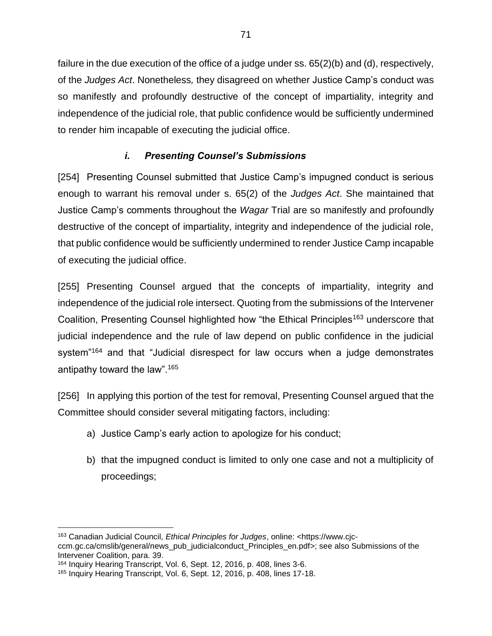failure in the due execution of the office of a judge under ss. 65(2)(b) and (d), respectively, of the *Judges Act*. Nonetheless*,* they disagreed on whether Justice Camp's conduct was so manifestly and profoundly destructive of the concept of impartiality, integrity and independence of the judicial role, that public confidence would be sufficiently undermined to render him incapable of executing the judicial office.

# <span id="page-74-0"></span>*i. Presenting Counsel's Submissions*

[254] Presenting Counsel submitted that Justice Camp's impugned conduct is serious enough to warrant his removal under s. 65(2) of the *Judges Act*. She maintained that Justice Camp's comments throughout the *Wagar* Trial are so manifestly and profoundly destructive of the concept of impartiality, integrity and independence of the judicial role, that public confidence would be sufficiently undermined to render Justice Camp incapable of executing the judicial office.

[255] Presenting Counsel argued that the concepts of impartiality, integrity and independence of the judicial role intersect. Quoting from the submissions of the Intervener Coalition, Presenting Counsel highlighted how "the Ethical Principles<sup>163</sup> underscore that judicial independence and the rule of law depend on public confidence in the judicial system<sup>"164</sup> and that "Judicial disrespect for law occurs when a judge demonstrates antipathy toward the law".<sup>165</sup>

[256] In applying this portion of the test for removal, Presenting Counsel argued that the Committee should consider several mitigating factors, including:

- a) Justice Camp's early action to apologize for his conduct;
- b) that the impugned conduct is limited to only one case and not a multiplicity of proceedings;

 $\overline{a}$ <sup>163</sup> Canadian Judicial Council, *Ethical Principles for Judges*, online: <https://www.cjcccm.gc.ca/cmslib/general/news\_pub\_judicialconduct\_Principles\_en.pdf>; see also Submissions of the Intervener Coalition, para. 39.

<sup>164</sup> Inquiry Hearing Transcript, Vol. 6, Sept. 12, 2016, p. 408, lines 3-6.

<sup>165</sup> Inquiry Hearing Transcript, Vol. 6, Sept. 12, 2016, p. 408, lines 17-18.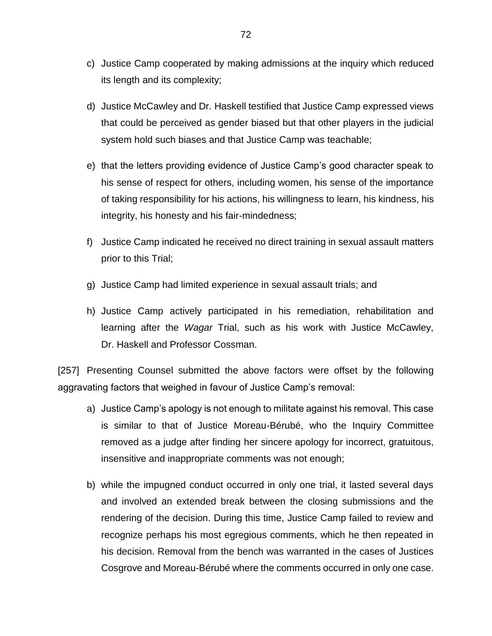- c) Justice Camp cooperated by making admissions at the inquiry which reduced its length and its complexity;
- d) Justice McCawley and Dr. Haskell testified that Justice Camp expressed views that could be perceived as gender biased but that other players in the judicial system hold such biases and that Justice Camp was teachable;
- e) that the letters providing evidence of Justice Camp's good character speak to his sense of respect for others, including women, his sense of the importance of taking responsibility for his actions, his willingness to learn, his kindness, his integrity, his honesty and his fair-mindedness;
- f) Justice Camp indicated he received no direct training in sexual assault matters prior to this Trial;
- g) Justice Camp had limited experience in sexual assault trials; and
- h) Justice Camp actively participated in his remediation, rehabilitation and learning after the *Wagar* Trial, such as his work with Justice McCawley, Dr. Haskell and Professor Cossman.

[257] Presenting Counsel submitted the above factors were offset by the following aggravating factors that weighed in favour of Justice Camp's removal:

- a) Justice Camp's apology is not enough to militate against his removal. This case is similar to that of Justice Moreau-Bérubé, who the Inquiry Committee removed as a judge after finding her sincere apology for incorrect, gratuitous, insensitive and inappropriate comments was not enough;
- b) while the impugned conduct occurred in only one trial, it lasted several days and involved an extended break between the closing submissions and the rendering of the decision. During this time, Justice Camp failed to review and recognize perhaps his most egregious comments, which he then repeated in his decision. Removal from the bench was warranted in the cases of Justices Cosgrove and Moreau-Bérubé where the comments occurred in only one case.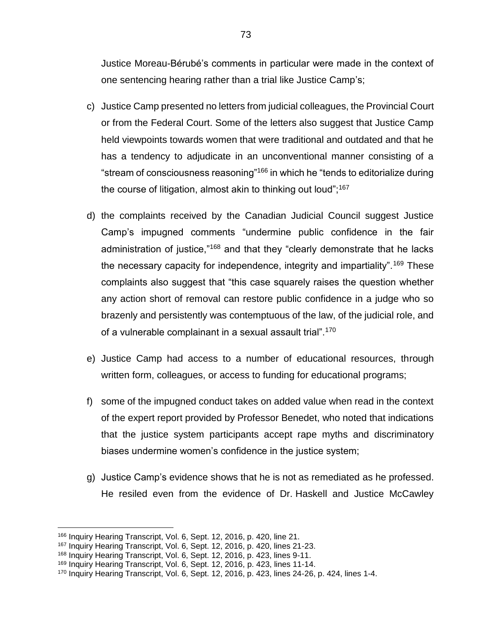Justice Moreau-Bérubé's comments in particular were made in the context of one sentencing hearing rather than a trial like Justice Camp's;

- c) Justice Camp presented no letters from judicial colleagues, the Provincial Court or from the Federal Court. Some of the letters also suggest that Justice Camp held viewpoints towards women that were traditional and outdated and that he has a tendency to adjudicate in an unconventional manner consisting of a "stream of consciousness reasoning"<sup>166</sup> in which he "tends to editorialize during the course of litigation, almost akin to thinking out loud"; $167$
- d) the complaints received by the Canadian Judicial Council suggest Justice Camp's impugned comments "undermine public confidence in the fair administration of justice,<sup>"168</sup> and that they "clearly demonstrate that he lacks the necessary capacity for independence, integrity and impartiality".<sup>169</sup> These complaints also suggest that "this case squarely raises the question whether any action short of removal can restore public confidence in a judge who so brazenly and persistently was contemptuous of the law, of the judicial role, and of a vulnerable complainant in a sexual assault trial".<sup>170</sup>
- e) Justice Camp had access to a number of educational resources, through written form, colleagues, or access to funding for educational programs;
- f) some of the impugned conduct takes on added value when read in the context of the expert report provided by Professor Benedet, who noted that indications that the justice system participants accept rape myths and discriminatory biases undermine women's confidence in the justice system;
- g) Justice Camp's evidence shows that he is not as remediated as he professed. He resiled even from the evidence of Dr. Haskell and Justice McCawley

<sup>166</sup> Inquiry Hearing Transcript, Vol. 6, Sept. 12, 2016, p. 420, line 21.

<sup>167</sup> Inquiry Hearing Transcript, Vol. 6, Sept. 12, 2016, p. 420, lines 21-23.

<sup>168</sup> Inquiry Hearing Transcript, Vol. 6, Sept. 12, 2016, p. 423, lines 9-11.

<sup>169</sup> Inquiry Hearing Transcript, Vol. 6, Sept. 12, 2016, p. 423, lines 11-14.

<sup>170</sup> Inquiry Hearing Transcript, Vol. 6, Sept. 12, 2016, p. 423, lines 24-26, p. 424, lines 1-4.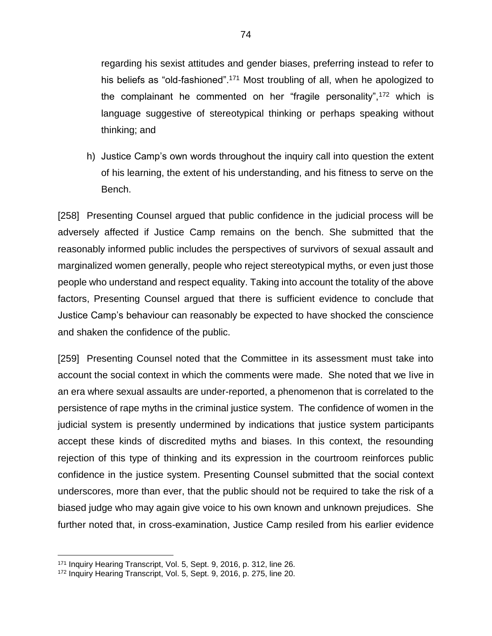regarding his sexist attitudes and gender biases, preferring instead to refer to his beliefs as "old-fashioned".<sup>171</sup> Most troubling of all, when he apologized to the complainant he commented on her "fragile personality",<sup>172</sup> which is language suggestive of stereotypical thinking or perhaps speaking without thinking; and

h) Justice Camp's own words throughout the inquiry call into question the extent of his learning, the extent of his understanding, and his fitness to serve on the Bench.

[258] Presenting Counsel argued that public confidence in the judicial process will be adversely affected if Justice Camp remains on the bench. She submitted that the reasonably informed public includes the perspectives of survivors of sexual assault and marginalized women generally, people who reject stereotypical myths, or even just those people who understand and respect equality. Taking into account the totality of the above factors, Presenting Counsel argued that there is sufficient evidence to conclude that Justice Camp's behaviour can reasonably be expected to have shocked the conscience and shaken the confidence of the public.

[259] Presenting Counsel noted that the Committee in its assessment must take into account the social context in which the comments were made. She noted that we live in an era where sexual assaults are under-reported, a phenomenon that is correlated to the persistence of rape myths in the criminal justice system. The confidence of women in the judicial system is presently undermined by indications that justice system participants accept these kinds of discredited myths and biases. In this context, the resounding rejection of this type of thinking and its expression in the courtroom reinforces public confidence in the justice system. Presenting Counsel submitted that the social context underscores, more than ever, that the public should not be required to take the risk of a biased judge who may again give voice to his own known and unknown prejudices. She further noted that, in cross-examination, Justice Camp resiled from his earlier evidence

<sup>171</sup> Inquiry Hearing Transcript, Vol. 5, Sept. 9, 2016, p. 312, line 26.

<sup>172</sup> Inquiry Hearing Transcript, Vol. 5, Sept. 9, 2016, p. 275, line 20.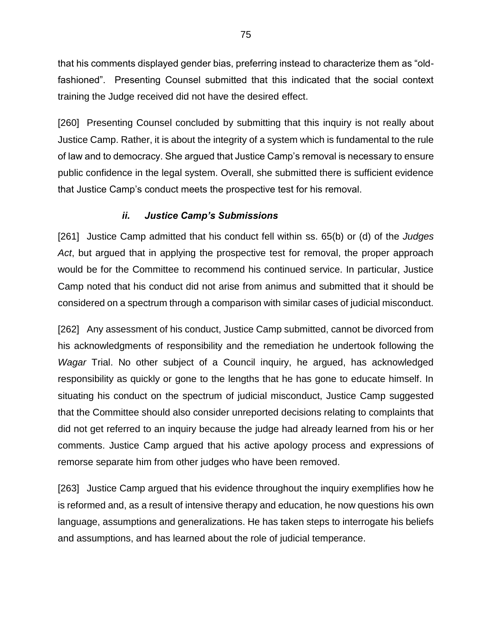that his comments displayed gender bias, preferring instead to characterize them as "oldfashioned". Presenting Counsel submitted that this indicated that the social context training the Judge received did not have the desired effect.

[260] Presenting Counsel concluded by submitting that this inquiry is not really about Justice Camp. Rather, it is about the integrity of a system which is fundamental to the rule of law and to democracy. She argued that Justice Camp's removal is necessary to ensure public confidence in the legal system. Overall, she submitted there is sufficient evidence that Justice Camp's conduct meets the prospective test for his removal.

# *ii. Justice Camp's Submissions*

[261] Justice Camp admitted that his conduct fell within ss. 65(b) or (d) of the *Judges Act*, but argued that in applying the prospective test for removal, the proper approach would be for the Committee to recommend his continued service. In particular, Justice Camp noted that his conduct did not arise from animus and submitted that it should be considered on a spectrum through a comparison with similar cases of judicial misconduct.

[262] Any assessment of his conduct, Justice Camp submitted, cannot be divorced from his acknowledgments of responsibility and the remediation he undertook following the *Wagar* Trial. No other subject of a Council inquiry, he argued, has acknowledged responsibility as quickly or gone to the lengths that he has gone to educate himself. In situating his conduct on the spectrum of judicial misconduct, Justice Camp suggested that the Committee should also consider unreported decisions relating to complaints that did not get referred to an inquiry because the judge had already learned from his or her comments. Justice Camp argued that his active apology process and expressions of remorse separate him from other judges who have been removed.

[263] Justice Camp argued that his evidence throughout the inquiry exemplifies how he is reformed and, as a result of intensive therapy and education, he now questions his own language, assumptions and generalizations. He has taken steps to interrogate his beliefs and assumptions, and has learned about the role of judicial temperance.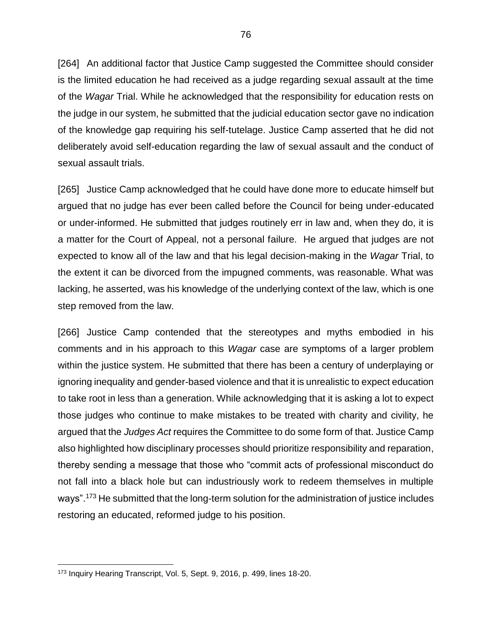[264] An additional factor that Justice Camp suggested the Committee should consider is the limited education he had received as a judge regarding sexual assault at the time of the *Wagar* Trial. While he acknowledged that the responsibility for education rests on the judge in our system, he submitted that the judicial education sector gave no indication of the knowledge gap requiring his self-tutelage. Justice Camp asserted that he did not deliberately avoid self-education regarding the law of sexual assault and the conduct of sexual assault trials.

[265] Justice Camp acknowledged that he could have done more to educate himself but argued that no judge has ever been called before the Council for being under-educated or under-informed. He submitted that judges routinely err in law and, when they do, it is a matter for the Court of Appeal, not a personal failure. He argued that judges are not expected to know all of the law and that his legal decision-making in the *Wagar* Trial, to the extent it can be divorced from the impugned comments, was reasonable. What was lacking, he asserted, was his knowledge of the underlying context of the law, which is one step removed from the law.

[266] Justice Camp contended that the stereotypes and myths embodied in his comments and in his approach to this *Wagar* case are symptoms of a larger problem within the justice system. He submitted that there has been a century of underplaying or ignoring inequality and gender-based violence and that it is unrealistic to expect education to take root in less than a generation. While acknowledging that it is asking a lot to expect those judges who continue to make mistakes to be treated with charity and civility, he argued that the *Judges Act* requires the Committee to do some form of that. Justice Camp also highlighted how disciplinary processes should prioritize responsibility and reparation, thereby sending a message that those who "commit acts of professional misconduct do not fall into a black hole but can industriously work to redeem themselves in multiple ways".<sup>173</sup> He submitted that the long-term solution for the administration of justice includes restoring an educated, reformed judge to his position.

<sup>173</sup> Inquiry Hearing Transcript, Vol. 5, Sept. 9, 2016, p. 499, lines 18-20.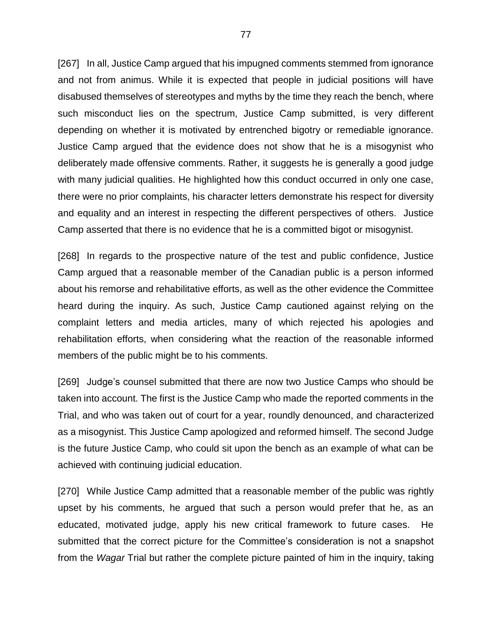[267] In all, Justice Camp argued that his impugned comments stemmed from ignorance and not from animus. While it is expected that people in judicial positions will have disabused themselves of stereotypes and myths by the time they reach the bench, where such misconduct lies on the spectrum, Justice Camp submitted, is very different depending on whether it is motivated by entrenched bigotry or remediable ignorance. Justice Camp argued that the evidence does not show that he is a misogynist who deliberately made offensive comments. Rather, it suggests he is generally a good judge with many judicial qualities. He highlighted how this conduct occurred in only one case, there were no prior complaints, his character letters demonstrate his respect for diversity and equality and an interest in respecting the different perspectives of others. Justice Camp asserted that there is no evidence that he is a committed bigot or misogynist.

[268] In regards to the prospective nature of the test and public confidence, Justice Camp argued that a reasonable member of the Canadian public is a person informed about his remorse and rehabilitative efforts, as well as the other evidence the Committee heard during the inquiry. As such, Justice Camp cautioned against relying on the complaint letters and media articles, many of which rejected his apologies and rehabilitation efforts, when considering what the reaction of the reasonable informed members of the public might be to his comments.

[269] Judge's counsel submitted that there are now two Justice Camps who should be taken into account. The first is the Justice Camp who made the reported comments in the Trial, and who was taken out of court for a year, roundly denounced, and characterized as a misogynist. This Justice Camp apologized and reformed himself. The second Judge is the future Justice Camp, who could sit upon the bench as an example of what can be achieved with continuing judicial education.

[270] While Justice Camp admitted that a reasonable member of the public was rightly upset by his comments, he argued that such a person would prefer that he, as an educated, motivated judge, apply his new critical framework to future cases. He submitted that the correct picture for the Committee's consideration is not a snapshot from the *Wagar* Trial but rather the complete picture painted of him in the inquiry, taking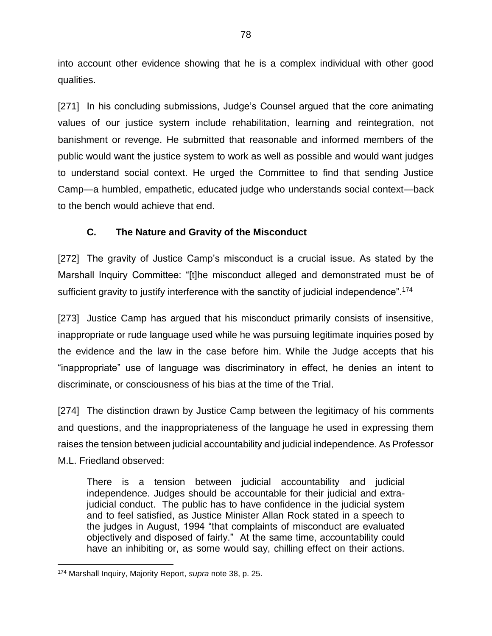into account other evidence showing that he is a complex individual with other good qualities.

[271] In his concluding submissions, Judge's Counsel argued that the core animating values of our justice system include rehabilitation, learning and reintegration, not banishment or revenge. He submitted that reasonable and informed members of the public would want the justice system to work as well as possible and would want judges to understand social context. He urged the Committee to find that sending Justice Camp—a humbled, empathetic, educated judge who understands social context—back to the bench would achieve that end.

# **C. The Nature and Gravity of the Misconduct**

[272] The gravity of Justice Camp's misconduct is a crucial issue. As stated by the Marshall Inquiry Committee: "[t]he misconduct alleged and demonstrated must be of sufficient gravity to justify interference with the sanctity of judicial independence".<sup>174</sup>

[273] Justice Camp has argued that his misconduct primarily consists of insensitive, inappropriate or rude language used while he was pursuing legitimate inquiries posed by the evidence and the law in the case before him. While the Judge accepts that his "inappropriate" use of language was discriminatory in effect, he denies an intent to discriminate, or consciousness of his bias at the time of the Trial.

[274] The distinction drawn by Justice Camp between the legitimacy of his comments and questions, and the inappropriateness of the language he used in expressing them raises the tension between judicial accountability and judicial independence. As Professor M.L. Friedland observed:

There is a tension between judicial accountability and judicial independence. Judges should be accountable for their judicial and extrajudicial conduct. The public has to have confidence in the judicial system and to feel satisfied, as Justice Minister Allan Rock stated in a speech to the judges in August, 1994 "that complaints of misconduct are evaluated objectively and disposed of fairly." At the same time, accountability could have an inhibiting or, as some would say, chilling effect on their actions.

<sup>174</sup> Marshall Inquiry, Majority Report, *supra* note [38,](#page-24-0) p. 25.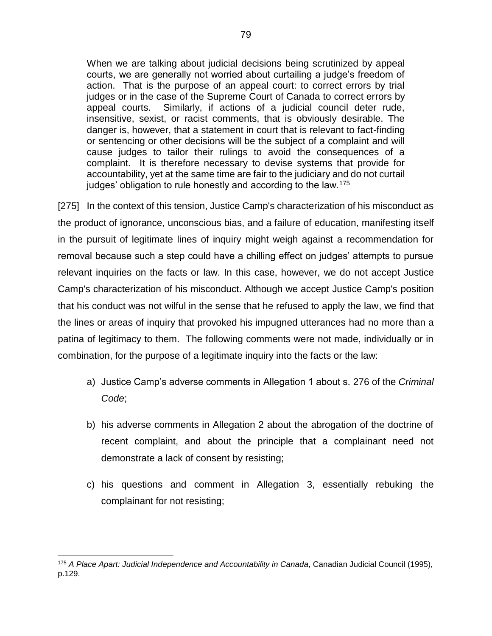When we are talking about judicial decisions being scrutinized by appeal courts, we are generally not worried about curtailing a judge's freedom of action. That is the purpose of an appeal court: to correct errors by trial judges or in the case of the Supreme Court of Canada to correct errors by appeal courts. Similarly, if actions of a judicial council deter rude, insensitive, sexist, or racist comments, that is obviously desirable. The danger is, however, that a statement in court that is relevant to fact-finding or sentencing or other decisions will be the subject of a complaint and will cause judges to tailor their rulings to avoid the consequences of a complaint. It is therefore necessary to devise systems that provide for accountability, yet at the same time are fair to the judiciary and do not curtail judges' obligation to rule honestly and according to the law.<sup>175</sup>

[275] In the context of this tension, Justice Camp's characterization of his misconduct as the product of ignorance, unconscious bias, and a failure of education, manifesting itself in the pursuit of legitimate lines of inquiry might weigh against a recommendation for removal because such a step could have a chilling effect on judges' attempts to pursue relevant inquiries on the facts or law. In this case, however, we do not accept Justice Camp's characterization of his misconduct. Although we accept Justice Camp's position that his conduct was not wilful in the sense that he refused to apply the law, we find that the lines or areas of inquiry that provoked his impugned utterances had no more than a patina of legitimacy to them. The following comments were not made, individually or in combination, for the purpose of a legitimate inquiry into the facts or the law:

- a) Justice Camp's adverse comments in Allegation 1 about s. 276 of the *Criminal Code*;
- b) his adverse comments in Allegation 2 about the abrogation of the doctrine of recent complaint, and about the principle that a complainant need not demonstrate a lack of consent by resisting;
- c) his questions and comment in Allegation 3, essentially rebuking the complainant for not resisting;

<sup>175</sup> *A Place Apart: Judicial Independence and Accountability in Canada*, Canadian Judicial Council (1995), p.129.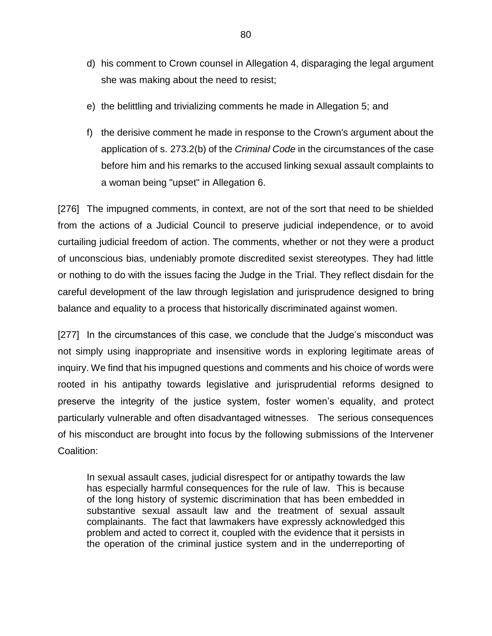- d) his comment to Crown counsel in Allegation 4, disparaging the legal argument she was making about the need to resist;
- e) the belittling and trivializing comments he made in Allegation 5; and
- f) the derisive comment he made in response to the Crown's argument about the application of s. 273.2(b) of the *Criminal Code* in the circumstances of the case before him and his remarks to the accused linking sexual assault complaints to a woman being "upset" in Allegation 6.

[276] The impugned comments, in context, are not of the sort that need to be shielded from the actions of a Judicial Council to preserve judicial independence, or to avoid curtailing judicial freedom of action. The comments, whether or not they were a product of unconscious bias, undeniably promote discredited sexist stereotypes. They had little or nothing to do with the issues facing the Judge in the Trial. They reflect disdain for the careful development of the law through legislation and jurisprudence designed to bring balance and equality to a process that historically discriminated against women.

[277] In the circumstances of this case, we conclude that the Judge's misconduct was not simply using inappropriate and insensitive words in exploring legitimate areas of inquiry. We find that his impugned questions and comments and his choice of words were rooted in his antipathy towards legislative and jurisprudential reforms designed to preserve the integrity of the justice system, foster women's equality, and protect particularly vulnerable and often disadvantaged witnesses. The serious consequences of his misconduct are brought into focus by the following submissions of the Intervener Coalition:

In sexual assault cases, judicial disrespect for or antipathy towards the law has especially harmful consequences for the rule of law. This is because of the long history of systemic discrimination that has been embedded in substantive sexual assault law and the treatment of sexual assault complainants. The fact that lawmakers have expressly acknowledged this problem and acted to correct it, coupled with the evidence that it persists in the operation of the criminal justice system and in the underreporting of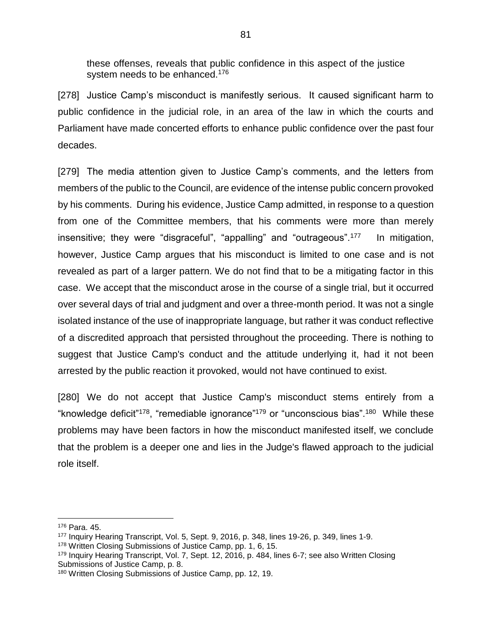these offenses, reveals that public confidence in this aspect of the justice system needs to be enhanced.<sup>176</sup>

[278] Justice Camp's misconduct is manifestly serious. It caused significant harm to public confidence in the judicial role, in an area of the law in which the courts and Parliament have made concerted efforts to enhance public confidence over the past four decades.

[279] The media attention given to Justice Camp's comments, and the letters from members of the public to the Council, are evidence of the intense public concern provoked by his comments. During his evidence, Justice Camp admitted, in response to a question from one of the Committee members, that his comments were more than merely insensitive; they were "disgraceful", "appalling" and "outrageous".<sup>177</sup> In mitigation, however, Justice Camp argues that his misconduct is limited to one case and is not revealed as part of a larger pattern. We do not find that to be a mitigating factor in this case. We accept that the misconduct arose in the course of a single trial, but it occurred over several days of trial and judgment and over a three-month period. It was not a single isolated instance of the use of inappropriate language, but rather it was conduct reflective of a discredited approach that persisted throughout the proceeding. There is nothing to suggest that Justice Camp's conduct and the attitude underlying it, had it not been arrested by the public reaction it provoked, would not have continued to exist.

[280] We do not accept that Justice Camp's misconduct stems entirely from a "knowledge deficit"<sup>178</sup>, "remediable ignorance"<sup>179</sup> or "unconscious bias".<sup>180</sup> While these problems may have been factors in how the misconduct manifested itself, we conclude that the problem is a deeper one and lies in the Judge's flawed approach to the judicial role itself.

 $\overline{a}$ <sup>176</sup> Para. 45.

<sup>177</sup> Inquiry Hearing Transcript, Vol. 5, Sept. 9, 2016, p. 348, lines 19-26, p. 349, lines 1-9.

<sup>178</sup> Written Closing Submissions of Justice Camp, pp. 1, 6, 15.

<sup>179</sup> Inquiry Hearing Transcript, Vol. 7, Sept. 12, 2016, p. 484, lines 6-7; see also Written Closing Submissions of Justice Camp, p. 8.

<sup>180</sup> Written Closing Submissions of Justice Camp, pp. 12, 19.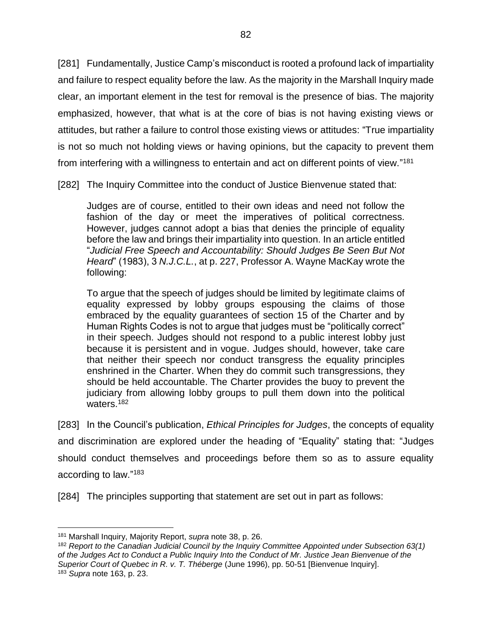[281] Fundamentally, Justice Camp's misconduct is rooted a profound lack of impartiality and failure to respect equality before the law. As the majority in the Marshall Inquiry made clear, an important element in the test for removal is the presence of bias. The majority emphasized, however, that what is at the core of bias is not having existing views or attitudes, but rather a failure to control those existing views or attitudes: "True impartiality is not so much not holding views or having opinions, but the capacity to prevent them from interfering with a willingness to entertain and act on different points of view."<sup>181</sup>

[282] The Inquiry Committee into the conduct of Justice Bienvenue stated that:

Judges are of course, entitled to their own ideas and need not follow the fashion of the day or meet the imperatives of political correctness. However, judges cannot adopt a bias that denies the principle of equality before the law and brings their impartiality into question. In an article entitled "*Judicial Free Speech and Accountability: Should Judges Be Seen But Not Heard*" (1983), 3 *N.J.C.L.*, at p. 227, Professor A. Wayne MacKay wrote the following:

To argue that the speech of judges should be limited by legitimate claims of equality expressed by lobby groups espousing the claims of those embraced by the equality guarantees of section 15 of the Charter and by Human Rights Codes is not to argue that judges must be "politically correct" in their speech. Judges should not respond to a public interest lobby just because it is persistent and in vogue. Judges should, however, take care that neither their speech nor conduct transgress the equality principles enshrined in the Charter. When they do commit such transgressions, they should be held accountable. The Charter provides the buoy to prevent the judiciary from allowing lobby groups to pull them down into the political waters.<sup>182</sup>

<span id="page-85-0"></span>[283] In the Council's publication, *Ethical Principles for Judges*, the concepts of equality and discrimination are explored under the heading of "Equality" stating that: "Judges should conduct themselves and proceedings before them so as to assure equality according to law."<sup>183</sup>

[284] The principles supporting that statement are set out in part as follows:

<sup>181</sup> Marshall Inquiry, Majority Report, *supra* note [38,](#page-24-0) p. 26.

<sup>182</sup> *Report to the Canadian Judicial Council by the Inquiry Committee Appointed under Subsection 63(1) of the Judges Act to Conduct a Public Inquiry Into the Conduct of Mr. Justice Jean Bienvenue of the Superior Court of Quebec in R. v. T. Théberge* (June 1996), pp. 50-51 [Bienvenue Inquiry]. <sup>183</sup> *Supra* note [163,](#page-74-0) p. 23.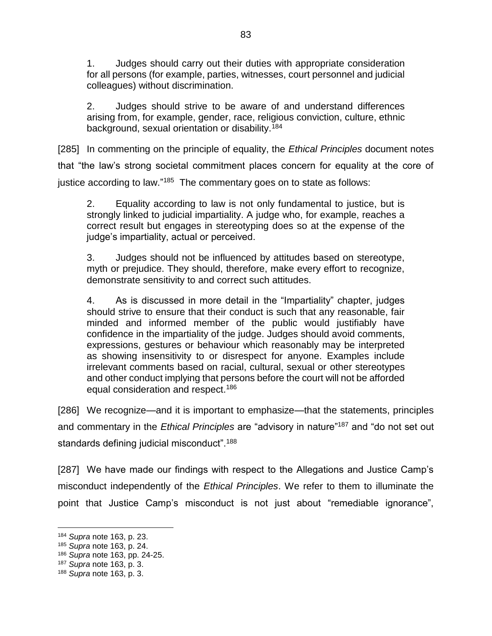1. Judges should carry out their duties with appropriate consideration for all persons (for example, parties, witnesses, court personnel and judicial colleagues) without discrimination.

2. Judges should strive to be aware of and understand differences arising from, for example, gender, race, religious conviction, culture, ethnic background, sexual orientation or disability.<sup>184</sup>

[285] In commenting on the principle of equality, the *Ethical Principles* document notes that "the law's strong societal commitment places concern for equality at the core of justice according to law."<sup>185</sup> The commentary goes on to state as follows:

2. Equality according to law is not only fundamental to justice, but is strongly linked to judicial impartiality. A judge who, for example, reaches a correct result but engages in stereotyping does so at the expense of the judge's impartiality, actual or perceived.

3. Judges should not be influenced by attitudes based on stereotype, myth or prejudice. They should, therefore, make every effort to recognize, demonstrate sensitivity to and correct such attitudes.

4. As is discussed in more detail in the "Impartiality" chapter, judges should strive to ensure that their conduct is such that any reasonable, fair minded and informed member of the public would justifiably have confidence in the impartiality of the judge. Judges should avoid comments, expressions, gestures or behaviour which reasonably may be interpreted as showing insensitivity to or disrespect for anyone. Examples include irrelevant comments based on racial, cultural, sexual or other stereotypes and other conduct implying that persons before the court will not be afforded equal consideration and respect.<sup>186</sup>

[286] We recognize—and it is important to emphasize—that the statements, principles and commentary in the *Ethical Principles* are "advisory in nature"<sup>187</sup> and "do not set out standards defining judicial misconduct".<sup>188</sup>

[287] We have made our findings with respect to the Allegations and Justice Camp's misconduct independently of the *Ethical Principles*. We refer to them to illuminate the point that Justice Camp's misconduct is not just about "remediable ignorance",

<sup>184</sup> *Supra* note [163,](#page-74-0) p. 23.

<sup>185</sup> *Supra* note [163,](#page-74-0) p. 24.

<sup>186</sup> *Supra* note [163,](#page-74-0) pp. 24-25.

<sup>187</sup> *Supra* note [163,](#page-74-0) p. 3.

<sup>188</sup> *Supra* note [163,](#page-74-0) p. 3.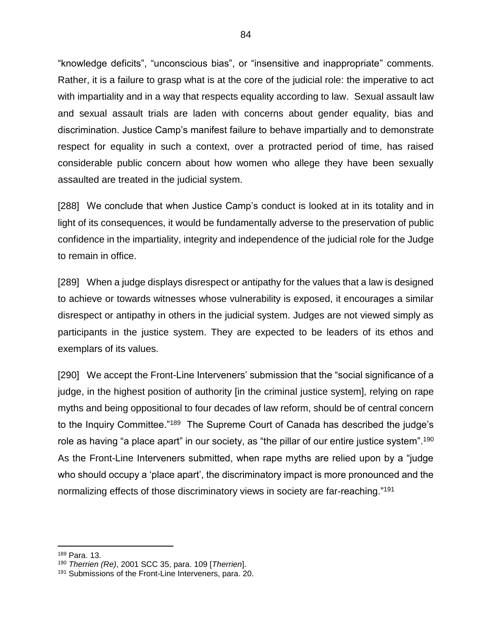"knowledge deficits", "unconscious bias", or "insensitive and inappropriate" comments. Rather, it is a failure to grasp what is at the core of the judicial role: the imperative to act with impartiality and in a way that respects equality according to law. Sexual assault law and sexual assault trials are laden with concerns about gender equality, bias and discrimination. Justice Camp's manifest failure to behave impartially and to demonstrate respect for equality in such a context, over a protracted period of time, has raised considerable public concern about how women who allege they have been sexually assaulted are treated in the judicial system.

[288] We conclude that when Justice Camp's conduct is looked at in its totality and in light of its consequences, it would be fundamentally adverse to the preservation of public confidence in the impartiality, integrity and independence of the judicial role for the Judge to remain in office.

[289] When a judge displays disrespect or antipathy for the values that a law is designed to achieve or towards witnesses whose vulnerability is exposed, it encourages a similar disrespect or antipathy in others in the judicial system. Judges are not viewed simply as participants in the justice system. They are expected to be leaders of its ethos and exemplars of its values.

<span id="page-87-0"></span>[290] We accept the Front-Line Interveners' submission that the "social significance of a judge, in the highest position of authority [in the criminal justice system], relying on rape myths and being oppositional to four decades of law reform, should be of central concern to the Inquiry Committee."<sup>189</sup> The Supreme Court of Canada has described the judge's role as having "a place apart" in our society, as "the pillar of our entire justice system".<sup>190</sup> As the Front-Line Interveners submitted, when rape myths are relied upon by a "judge who should occupy a 'place apart', the discriminatory impact is more pronounced and the normalizing effects of those discriminatory views in society are far-reaching."<sup>191</sup>

<sup>189</sup> Para. 13.

<sup>190</sup> *Therrien (Re)*, 2001 SCC 35, para. 109 [*Therrien*].

<sup>191</sup> Submissions of the Front-Line Interveners, para. 20.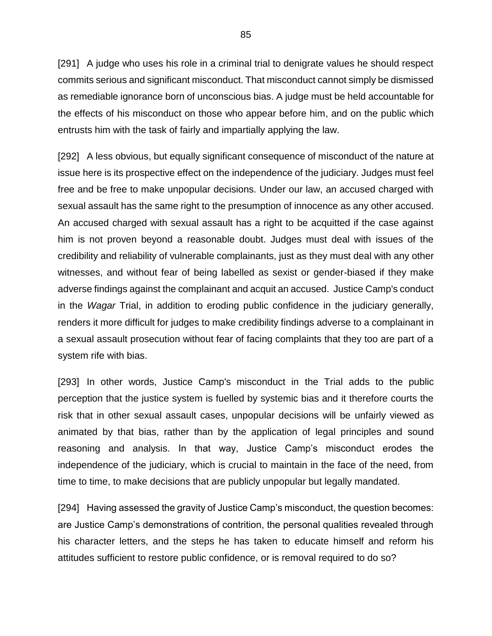[291] A judge who uses his role in a criminal trial to denigrate values he should respect commits serious and significant misconduct. That misconduct cannot simply be dismissed as remediable ignorance born of unconscious bias. A judge must be held accountable for the effects of his misconduct on those who appear before him, and on the public which entrusts him with the task of fairly and impartially applying the law.

[292] A less obvious, but equally significant consequence of misconduct of the nature at issue here is its prospective effect on the independence of the judiciary. Judges must feel free and be free to make unpopular decisions. Under our law, an accused charged with sexual assault has the same right to the presumption of innocence as any other accused. An accused charged with sexual assault has a right to be acquitted if the case against him is not proven beyond a reasonable doubt. Judges must deal with issues of the credibility and reliability of vulnerable complainants, just as they must deal with any other witnesses, and without fear of being labelled as sexist or gender-biased if they make adverse findings against the complainant and acquit an accused. Justice Camp's conduct in the *Wagar* Trial, in addition to eroding public confidence in the judiciary generally, renders it more difficult for judges to make credibility findings adverse to a complainant in a sexual assault prosecution without fear of facing complaints that they too are part of a system rife with bias.

[293] In other words, Justice Camp's misconduct in the Trial adds to the public perception that the justice system is fuelled by systemic bias and it therefore courts the risk that in other sexual assault cases, unpopular decisions will be unfairly viewed as animated by that bias, rather than by the application of legal principles and sound reasoning and analysis. In that way, Justice Camp's misconduct erodes the independence of the judiciary, which is crucial to maintain in the face of the need, from time to time, to make decisions that are publicly unpopular but legally mandated.

[294] Having assessed the gravity of Justice Camp's misconduct, the question becomes: are Justice Camp's demonstrations of contrition, the personal qualities revealed through his character letters, and the steps he has taken to educate himself and reform his attitudes sufficient to restore public confidence, or is removal required to do so?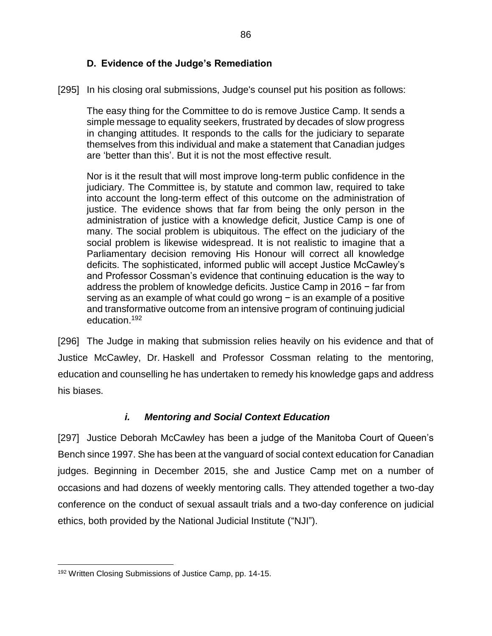#### **D. Evidence of the Judge's Remediation**

[295] In his closing oral submissions, Judge's counsel put his position as follows:

The easy thing for the Committee to do is remove Justice Camp. It sends a simple message to equality seekers, frustrated by decades of slow progress in changing attitudes. It responds to the calls for the judiciary to separate themselves from this individual and make a statement that Canadian judges are 'better than this'. But it is not the most effective result.

Nor is it the result that will most improve long-term public confidence in the judiciary. The Committee is, by statute and common law, required to take into account the long-term effect of this outcome on the administration of justice. The evidence shows that far from being the only person in the administration of justice with a knowledge deficit, Justice Camp is one of many. The social problem is ubiquitous. The effect on the judiciary of the social problem is likewise widespread. It is not realistic to imagine that a Parliamentary decision removing His Honour will correct all knowledge deficits. The sophisticated, informed public will accept Justice McCawley's and Professor Cossman's evidence that continuing education is the way to address the problem of knowledge deficits. Justice Camp in 2016 − far from serving as an example of what could go wrong – is an example of a positive and transformative outcome from an intensive program of continuing judicial education.<sup>192</sup>

[296] The Judge in making that submission relies heavily on his evidence and that of Justice McCawley, Dr. Haskell and Professor Cossman relating to the mentoring, education and counselling he has undertaken to remedy his knowledge gaps and address his biases.

#### *i. Mentoring and Social Context Education*

[297] Justice Deborah McCawley has been a judge of the Manitoba Court of Queen's Bench since 1997. She has been at the vanguard of social context education for Canadian judges. Beginning in December 2015, she and Justice Camp met on a number of occasions and had dozens of weekly mentoring calls. They attended together a two-day conference on the conduct of sexual assault trials and a two-day conference on judicial ethics, both provided by the National Judicial Institute ("NJI").

<sup>192</sup> Written Closing Submissions of Justice Camp, pp. 14-15.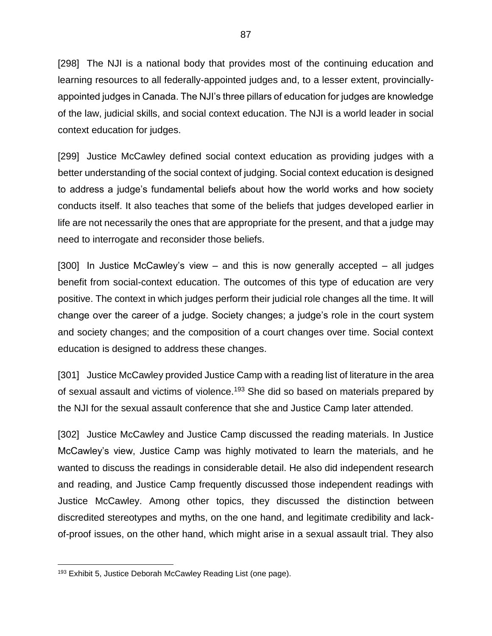[298] The NJI is a national body that provides most of the continuing education and learning resources to all federally-appointed judges and, to a lesser extent, provinciallyappointed judges in Canada. The NJI's three pillars of education for judges are knowledge of the law, judicial skills, and social context education. The NJI is a world leader in social context education for judges.

[299] Justice McCawley defined social context education as providing judges with a better understanding of the social context of judging. Social context education is designed to address a judge's fundamental beliefs about how the world works and how society conducts itself. It also teaches that some of the beliefs that judges developed earlier in life are not necessarily the ones that are appropriate for the present, and that a judge may need to interrogate and reconsider those beliefs.

[300] In Justice McCawley's view – and this is now generally accepted – all judges benefit from social-context education. The outcomes of this type of education are very positive. The context in which judges perform their judicial role changes all the time. It will change over the career of a judge. Society changes; a judge's role in the court system and society changes; and the composition of a court changes over time. Social context education is designed to address these changes.

[301] Justice McCawley provided Justice Camp with a reading list of literature in the area of sexual assault and victims of violence.<sup>193</sup> She did so based on materials prepared by the NJI for the sexual assault conference that she and Justice Camp later attended.

[302] Justice McCawley and Justice Camp discussed the reading materials. In Justice McCawley's view, Justice Camp was highly motivated to learn the materials, and he wanted to discuss the readings in considerable detail. He also did independent research and reading, and Justice Camp frequently discussed those independent readings with Justice McCawley. Among other topics, they discussed the distinction between discredited stereotypes and myths, on the one hand, and legitimate credibility and lackof-proof issues, on the other hand, which might arise in a sexual assault trial. They also

<sup>&</sup>lt;sup>193</sup> Exhibit 5, Justice Deborah McCawley Reading List (one page).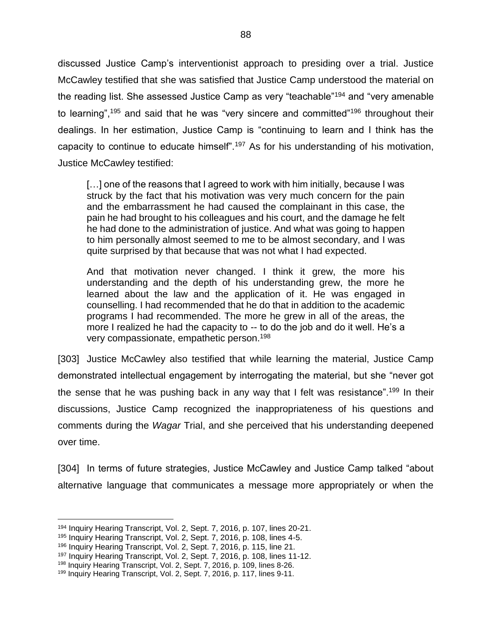discussed Justice Camp's interventionist approach to presiding over a trial. Justice McCawley testified that she was satisfied that Justice Camp understood the material on the reading list. She assessed Justice Camp as very "teachable"<sup>194</sup> and "very amenable to learning",<sup>195</sup> and said that he was "very sincere and committed"<sup>196</sup> throughout their dealings. In her estimation, Justice Camp is "continuing to learn and I think has the capacity to continue to educate himself".<sup>197</sup> As for his understanding of his motivation, Justice McCawley testified:

[...] one of the reasons that I agreed to work with him initially, because I was struck by the fact that his motivation was very much concern for the pain and the embarrassment he had caused the complainant in this case, the pain he had brought to his colleagues and his court, and the damage he felt he had done to the administration of justice. And what was going to happen to him personally almost seemed to me to be almost secondary, and I was quite surprised by that because that was not what I had expected.

And that motivation never changed. I think it grew, the more his understanding and the depth of his understanding grew, the more he learned about the law and the application of it. He was engaged in counselling. I had recommended that he do that in addition to the academic programs I had recommended. The more he grew in all of the areas, the more I realized he had the capacity to -- to do the job and do it well. He's a very compassionate, empathetic person.<sup>198</sup>

[303] Justice McCawley also testified that while learning the material, Justice Camp demonstrated intellectual engagement by interrogating the material, but she "never got the sense that he was pushing back in any way that I felt was resistance".<sup>199</sup> In their discussions, Justice Camp recognized the inappropriateness of his questions and comments during the *Wagar* Trial, and she perceived that his understanding deepened over time.

[304] In terms of future strategies, Justice McCawley and Justice Camp talked "about alternative language that communicates a message more appropriately or when the

<sup>194</sup> Inquiry Hearing Transcript, Vol. 2, Sept. 7, 2016, p. 107, lines 20-21.

<sup>195</sup> Inquiry Hearing Transcript, Vol. 2, Sept. 7, 2016, p. 108, lines 4-5.

<sup>196</sup> Inquiry Hearing Transcript, Vol. 2, Sept. 7, 2016, p. 115, line 21.

<sup>197</sup> Inquiry Hearing Transcript, Vol. 2, Sept. 7, 2016, p. 108, lines 11-12.

<sup>&</sup>lt;sup>198</sup> Inquiry Hearing Transcript, Vol. 2, Sept. 7, 2016, p. 109, lines 8-26.

<sup>&</sup>lt;sup>199</sup> Inquiry Hearing Transcript, Vol. 2, Sept. 7, 2016, p. 117, lines 9-11.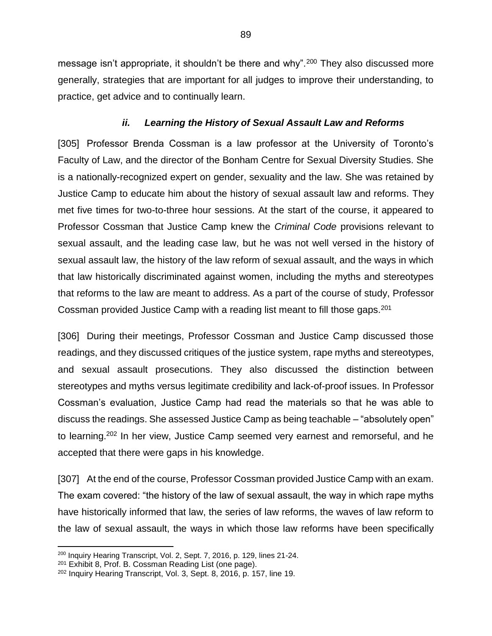message isn't appropriate, it shouldn't be there and why".<sup>200</sup> They also discussed more generally, strategies that are important for all judges to improve their understanding, to practice, get advice and to continually learn.

#### *ii. Learning the History of Sexual Assault Law and Reforms*

[305] Professor Brenda Cossman is a law professor at the University of Toronto's Faculty of Law, and the director of the Bonham Centre for Sexual Diversity Studies. She is a nationally-recognized expert on gender, sexuality and the law. She was retained by Justice Camp to educate him about the history of sexual assault law and reforms. They met five times for two-to-three hour sessions. At the start of the course, it appeared to Professor Cossman that Justice Camp knew the *Criminal Code* provisions relevant to sexual assault, and the leading case law, but he was not well versed in the history of sexual assault law, the history of the law reform of sexual assault, and the ways in which that law historically discriminated against women, including the myths and stereotypes that reforms to the law are meant to address. As a part of the course of study, Professor Cossman provided Justice Camp with a reading list meant to fill those gaps.<sup>201</sup>

[306] During their meetings, Professor Cossman and Justice Camp discussed those readings, and they discussed critiques of the justice system, rape myths and stereotypes, and sexual assault prosecutions. They also discussed the distinction between stereotypes and myths versus legitimate credibility and lack-of-proof issues. In Professor Cossman's evaluation, Justice Camp had read the materials so that he was able to discuss the readings. She assessed Justice Camp as being teachable – "absolutely open" to learning.<sup>202</sup> In her view, Justice Camp seemed very earnest and remorseful, and he accepted that there were gaps in his knowledge.

[307] At the end of the course, Professor Cossman provided Justice Camp with an exam. The exam covered: "the history of the law of sexual assault, the way in which rape myths have historically informed that law, the series of law reforms, the waves of law reform to the law of sexual assault, the ways in which those law reforms have been specifically

<sup>&</sup>lt;sup>200</sup> Inquiry Hearing Transcript, Vol. 2, Sept. 7, 2016, p. 129, lines 21-24.

<sup>201</sup> Exhibit 8, Prof. B. Cossman Reading List (one page).

<sup>202</sup> Inquiry Hearing Transcript, Vol. 3, Sept. 8, 2016, p. 157, line 19.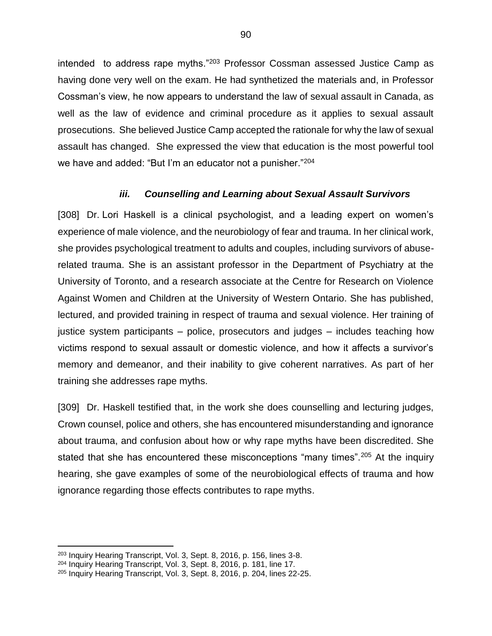intended to address rape myths."<sup>203</sup> Professor Cossman assessed Justice Camp as having done very well on the exam. He had synthetized the materials and, in Professor Cossman's view, he now appears to understand the law of sexual assault in Canada, as well as the law of evidence and criminal procedure as it applies to sexual assault prosecutions. She believed Justice Camp accepted the rationale for why the law of sexual assault has changed. She expressed the view that education is the most powerful tool we have and added: "But I'm an educator not a punisher."<sup>204</sup>

#### *iii. Counselling and Learning about Sexual Assault Survivors*

[308] Dr. Lori Haskell is a clinical psychologist, and a leading expert on women's experience of male violence, and the neurobiology of fear and trauma. In her clinical work, she provides psychological treatment to adults and couples, including survivors of abuserelated trauma. She is an assistant professor in the Department of Psychiatry at the University of Toronto, and a research associate at the Centre for Research on Violence Against Women and Children at the University of Western Ontario. She has published, lectured, and provided training in respect of trauma and sexual violence. Her training of justice system participants – police, prosecutors and judges – includes teaching how victims respond to sexual assault or domestic violence, and how it affects a survivor's memory and demeanor, and their inability to give coherent narratives. As part of her training she addresses rape myths.

[309] Dr. Haskell testified that, in the work she does counselling and lecturing judges, Crown counsel, police and others, she has encountered misunderstanding and ignorance about trauma, and confusion about how or why rape myths have been discredited. She stated that she has encountered these misconceptions "many times".<sup>205</sup> At the inquiry hearing, she gave examples of some of the neurobiological effects of trauma and how ignorance regarding those effects contributes to rape myths.

<sup>203</sup> Inquiry Hearing Transcript, Vol. 3, Sept. 8, 2016, p. 156, lines 3-8.

<sup>204</sup> Inquiry Hearing Transcript, Vol. 3, Sept. 8, 2016, p. 181, line 17.

<sup>205</sup> Inquiry Hearing Transcript, Vol. 3, Sept. 8, 2016, p. 204, lines 22-25.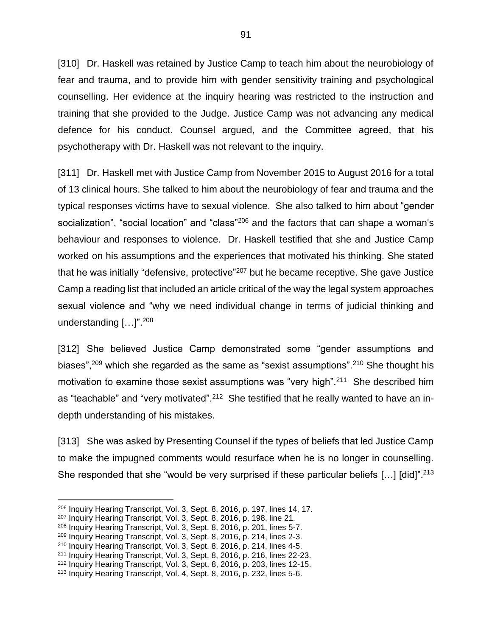[310] Dr. Haskell was retained by Justice Camp to teach him about the neurobiology of fear and trauma, and to provide him with gender sensitivity training and psychological counselling. Her evidence at the inquiry hearing was restricted to the instruction and training that she provided to the Judge. Justice Camp was not advancing any medical defence for his conduct. Counsel argued, and the Committee agreed, that his psychotherapy with Dr. Haskell was not relevant to the inquiry.

[311] Dr. Haskell met with Justice Camp from November 2015 to August 2016 for a total of 13 clinical hours. She talked to him about the neurobiology of fear and trauma and the typical responses victims have to sexual violence. She also talked to him about "gender socialization", "social location" and "class"<sup>206</sup> and the factors that can shape a woman's behaviour and responses to violence. Dr. Haskell testified that she and Justice Camp worked on his assumptions and the experiences that motivated his thinking. She stated that he was initially "defensive, protective"<sup>207</sup> but he became receptive. She gave Justice Camp a reading list that included an article critical of the way the legal system approaches sexual violence and "why we need individual change in terms of judicial thinking and understanding [...]".<sup>208</sup>

[312] She believed Justice Camp demonstrated some "gender assumptions and biases",<sup>209</sup> which she regarded as the same as "sexist assumptions".<sup>210</sup> She thought his motivation to examine those sexist assumptions was "very high".<sup>211</sup> She described him as "teachable" and "very motivated".<sup>212</sup> She testified that he really wanted to have an indepth understanding of his mistakes.

[313] She was asked by Presenting Counsel if the types of beliefs that led Justice Camp to make the impugned comments would resurface when he is no longer in counselling. She responded that she "would be very surprised if these particular beliefs  $[...]$  [did]".<sup>213</sup>

<sup>206</sup> Inquiry Hearing Transcript, Vol. 3, Sept. 8, 2016, p. 197, lines 14, 17.

<sup>207</sup> Inquiry Hearing Transcript, Vol. 3, Sept. 8, 2016, p. 198, line 21.

<sup>208</sup> Inquiry Hearing Transcript, Vol. 3, Sept. 8, 2016, p. 201, lines 5-7.

<sup>209</sup> Inquiry Hearing Transcript, Vol. 3, Sept. 8, 2016, p. 214, lines 2-3.

<sup>210</sup> Inquiry Hearing Transcript, Vol. 3, Sept. 8, 2016, p. 214, lines 4-5.

<sup>211</sup> Inquiry Hearing Transcript, Vol. 3, Sept. 8, 2016, p. 216, lines 22-23.

<sup>212</sup> Inquiry Hearing Transcript, Vol. 3, Sept. 8, 2016, p. 203, lines 12-15.

<sup>213</sup> Inquiry Hearing Transcript, Vol. 4, Sept. 8, 2016, p. 232, lines 5-6.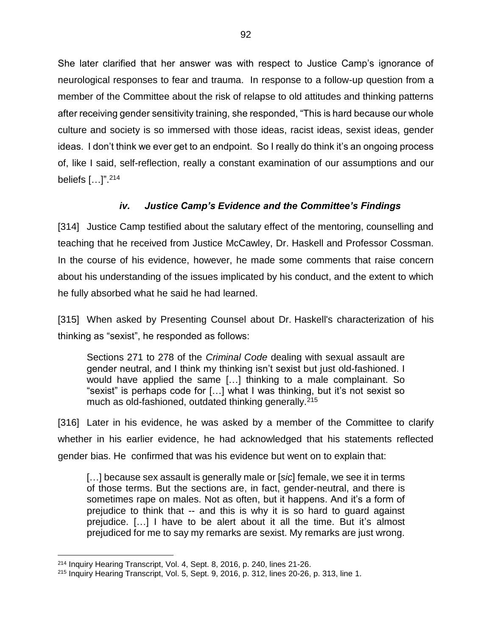She later clarified that her answer was with respect to Justice Camp's ignorance of neurological responses to fear and trauma. In response to a follow-up question from a member of the Committee about the risk of relapse to old attitudes and thinking patterns after receiving gender sensitivity training, she responded, "This is hard because our whole culture and society is so immersed with those ideas, racist ideas, sexist ideas, gender ideas. I don't think we ever get to an endpoint. So I really do think it's an ongoing process of, like I said, self-reflection, really a constant examination of our assumptions and our beliefs […]".<sup>214</sup>

# *iv. Justice Camp's Evidence and the Committee's Findings*

[314] Justice Camp testified about the salutary effect of the mentoring, counselling and teaching that he received from Justice McCawley, Dr. Haskell and Professor Cossman. In the course of his evidence, however, he made some comments that raise concern about his understanding of the issues implicated by his conduct, and the extent to which he fully absorbed what he said he had learned.

[315] When asked by Presenting Counsel about Dr. Haskell's characterization of his thinking as "sexist", he responded as follows:

Sections 271 to 278 of the *Criminal Code* dealing with sexual assault are gender neutral, and I think my thinking isn't sexist but just old-fashioned. I would have applied the same […] thinking to a male complainant. So "sexist" is perhaps code for […] what I was thinking, but it's not sexist so much as old-fashioned, outdated thinking generally.<sup>215</sup>

[316] Later in his evidence, he was asked by a member of the Committee to clarify whether in his earlier evidence, he had acknowledged that his statements reflected gender bias. He confirmed that was his evidence but went on to explain that:

[…] because sex assault is generally male or [*sic*] female, we see it in terms of those terms. But the sections are, in fact, gender-neutral, and there is sometimes rape on males. Not as often, but it happens. And it's a form of prejudice to think that -- and this is why it is so hard to guard against prejudice. […] I have to be alert about it all the time. But it's almost prejudiced for me to say my remarks are sexist. My remarks are just wrong.

<sup>214</sup> Inquiry Hearing Transcript, Vol. 4, Sept. 8, 2016, p. 240, lines 21-26.

<sup>215</sup> Inquiry Hearing Transcript, Vol. 5, Sept. 9, 2016, p. 312, lines 20-26, p. 313, line 1.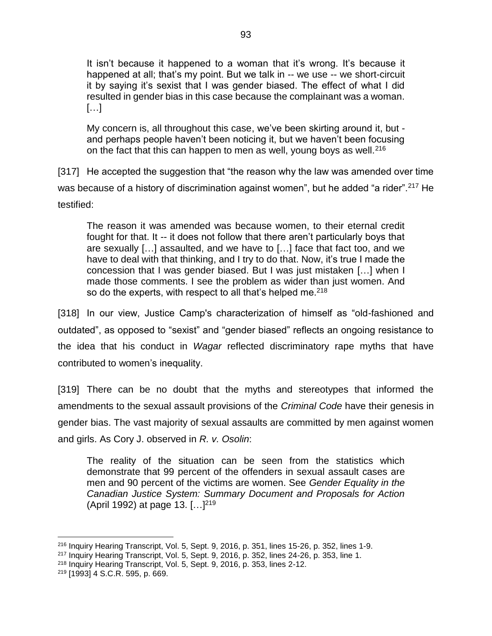It isn't because it happened to a woman that it's wrong. It's because it happened at all; that's my point. But we talk in -- we use -- we short-circuit it by saying it's sexist that I was gender biased. The effect of what I did resulted in gender bias in this case because the complainant was a woman. […]

My concern is, all throughout this case, we've been skirting around it, but and perhaps people haven't been noticing it, but we haven't been focusing on the fact that this can happen to men as well, young boys as well.<sup>216</sup>

[317] He accepted the suggestion that "the reason why the law was amended over time was because of a history of discrimination against women", but he added "a rider".<sup>217</sup> He testified:

The reason it was amended was because women, to their eternal credit fought for that. It -- it does not follow that there aren't particularly boys that are sexually […] assaulted, and we have to […] face that fact too, and we have to deal with that thinking, and I try to do that. Now, it's true I made the concession that I was gender biased. But I was just mistaken […] when I made those comments. I see the problem as wider than just women. And so do the experts, with respect to all that's helped me.<sup>218</sup>

[318] In our view, Justice Camp's characterization of himself as "old-fashioned and outdated", as opposed to "sexist" and "gender biased" reflects an ongoing resistance to the idea that his conduct in *Wagar* reflected discriminatory rape myths that have contributed to women's inequality.

[319] There can be no doubt that the myths and stereotypes that informed the amendments to the sexual assault provisions of the *Criminal Code* have their genesis in gender bias. The vast majority of sexual assaults are committed by men against women and girls. As Cory J. observed in *R. v. Osolin*:

The reality of the situation can be seen from the statistics which demonstrate that 99 percent of the offenders in sexual assault cases are men and 90 percent of the victims are women. See *Gender Equality in the Canadian Justice System: Summary Document and Proposals for Action* (April 1992) at page 13. […] 219

 $\overline{a}$ <sup>216</sup> Inquiry Hearing Transcript, Vol. 5, Sept. 9, 2016, p. 351, lines 15-26, p. 352, lines 1-9.

 $217$  Inquiry Hearing Transcript, Vol. 5, Sept. 9, 2016, p. 352, lines 24-26, p. 353, line 1.

<sup>218</sup> Inquiry Hearing Transcript, Vol. 5, Sept. 9, 2016, p. 353, lines 2-12.

<sup>219</sup> [1993] 4 S.C.R. 595, p. 669.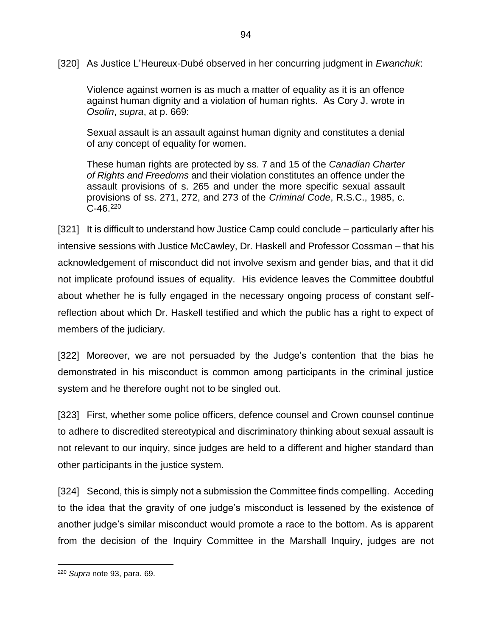[320] As Justice L'Heureux-Dubé observed in her concurring judgment in *Ewanchuk*:

Violence against women is as much a matter of equality as it is an offence against human dignity and a violation of human rights. As Cory J. wrote in *Osolin*, *supra*, at p. 669:

Sexual assault is an assault against human dignity and constitutes a denial of any concept of equality for women.

These human rights are protected by ss. 7 and 15 of the *Canadian Charter of Rights and Freedoms* and their violation constitutes an offence under the assault provisions of s. 265 and under the more specific sexual assault provisions of ss. 271, 272, and 273 of the *Criminal Code*, R.S.C., 1985, c.  $C-46.<sup>220</sup>$ 

[321] It is difficult to understand how Justice Camp could conclude – particularly after his intensive sessions with Justice McCawley, Dr. Haskell and Professor Cossman – that his acknowledgement of misconduct did not involve sexism and gender bias, and that it did not implicate profound issues of equality. His evidence leaves the Committee doubtful about whether he is fully engaged in the necessary ongoing process of constant selfreflection about which Dr. Haskell testified and which the public has a right to expect of members of the judiciary.

[322] Moreover, we are not persuaded by the Judge's contention that the bias he demonstrated in his misconduct is common among participants in the criminal justice system and he therefore ought not to be singled out.

[323] First, whether some police officers, defence counsel and Crown counsel continue to adhere to discredited stereotypical and discriminatory thinking about sexual assault is not relevant to our inquiry, since judges are held to a different and higher standard than other participants in the justice system.

[324] Second, this is simply not a submission the Committee finds compelling. Acceding to the idea that the gravity of one judge's misconduct is lessened by the existence of another judge's similar misconduct would promote a race to the bottom. As is apparent from the decision of the Inquiry Committee in the Marshall Inquiry, judges are not

<sup>220</sup> *Supra* note [93,](#page-46-0) para. 69.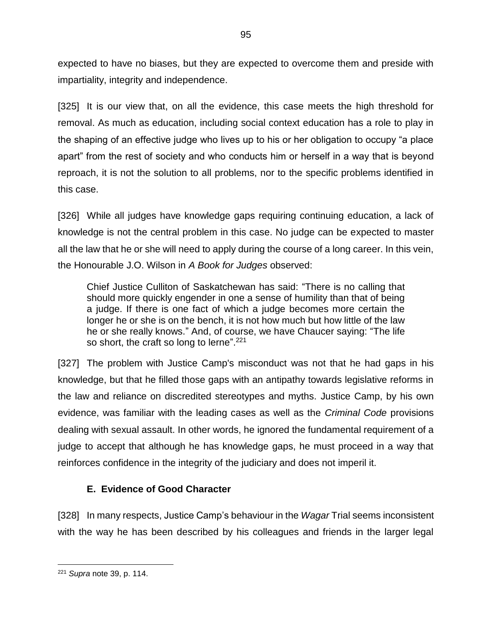expected to have no biases, but they are expected to overcome them and preside with impartiality, integrity and independence.

[325] It is our view that, on all the evidence, this case meets the high threshold for removal. As much as education, including social context education has a role to play in the shaping of an effective judge who lives up to his or her obligation to occupy "a place apart" from the rest of society and who conducts him or herself in a way that is beyond reproach, it is not the solution to all problems, nor to the specific problems identified in this case.

[326] While all judges have knowledge gaps requiring continuing education, a lack of knowledge is not the central problem in this case. No judge can be expected to master all the law that he or she will need to apply during the course of a long career. In this vein, the Honourable J.O. Wilson in *A Book for Judges* observed:

Chief Justice Culliton of Saskatchewan has said: "There is no calling that should more quickly engender in one a sense of humility than that of being a judge. If there is one fact of which a judge becomes more certain the longer he or she is on the bench, it is not how much but how little of the law he or she really knows." And, of course, we have Chaucer saying: "The life so short, the craft so long to lerne".<sup>221</sup>

[327] The problem with Justice Camp's misconduct was not that he had gaps in his knowledge, but that he filled those gaps with an antipathy towards legislative reforms in the law and reliance on discredited stereotypes and myths. Justice Camp, by his own evidence, was familiar with the leading cases as well as the *Criminal Code* provisions dealing with sexual assault. In other words, he ignored the fundamental requirement of a judge to accept that although he has knowledge gaps, he must proceed in a way that reinforces confidence in the integrity of the judiciary and does not imperil it.

# **E. Evidence of Good Character**

[328] In many respects, Justice Camp's behaviour in the *Wagar* Trial seems inconsistent with the way he has been described by his colleagues and friends in the larger legal

<sup>221</sup> *Supra* note [39,](#page-25-0) p. 114.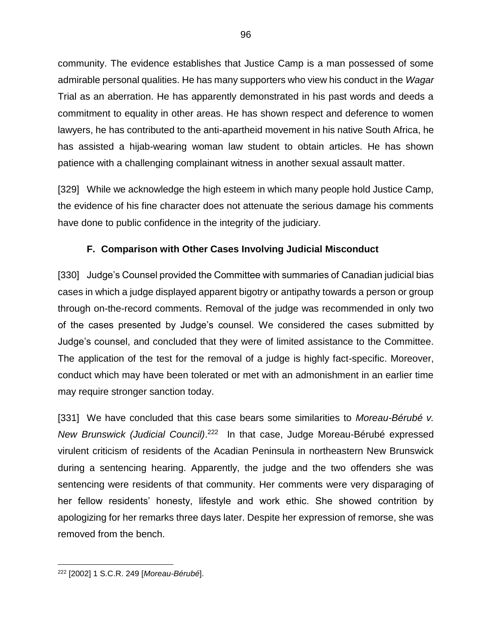community. The evidence establishes that Justice Camp is a man possessed of some admirable personal qualities. He has many supporters who view his conduct in the *Wagar*  Trial as an aberration. He has apparently demonstrated in his past words and deeds a commitment to equality in other areas. He has shown respect and deference to women lawyers, he has contributed to the anti-apartheid movement in his native South Africa, he has assisted a hijab-wearing woman law student to obtain articles. He has shown patience with a challenging complainant witness in another sexual assault matter.

[329] While we acknowledge the high esteem in which many people hold Justice Camp, the evidence of his fine character does not attenuate the serious damage his comments have done to public confidence in the integrity of the judiciary.

# **F. Comparison with Other Cases Involving Judicial Misconduct**

[330] Judge's Counsel provided the Committee with summaries of Canadian judicial bias cases in which a judge displayed apparent bigotry or antipathy towards a person or group through on-the-record comments. Removal of the judge was recommended in only two of the cases presented by Judge's counsel. We considered the cases submitted by Judge's counsel, and concluded that they were of limited assistance to the Committee. The application of the test for the removal of a judge is highly fact-specific. Moreover, conduct which may have been tolerated or met with an admonishment in an earlier time may require stronger sanction today.

<span id="page-99-0"></span>[331] We have concluded that this case bears some similarities to *Moreau-Bérubé v.*  New Brunswick (Judicial Council).<sup>222</sup> In that case, Judge Moreau-Bérubé expressed virulent criticism of residents of the Acadian Peninsula in northeastern New Brunswick during a sentencing hearing. Apparently, the judge and the two offenders she was sentencing were residents of that community. Her comments were very disparaging of her fellow residents' honesty, lifestyle and work ethic. She showed contrition by apologizing for her remarks three days later. Despite her expression of remorse, she was removed from the bench.

 $\overline{a}$ <sup>222</sup> [2002] 1 S.C.R. 249 [*Moreau-Bérubé*].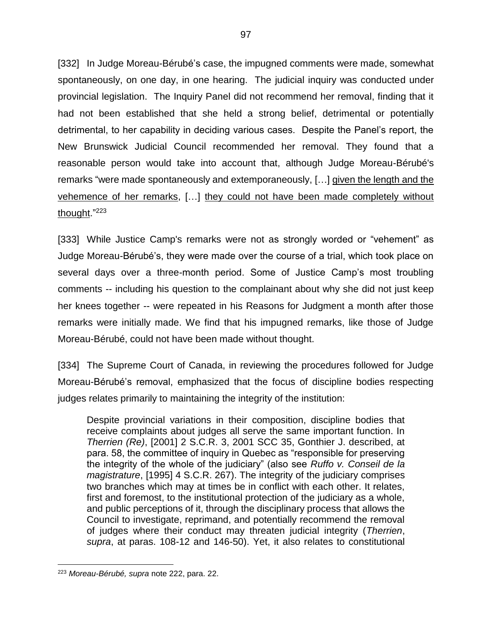[332] In Judge Moreau-Bérubé's case, the impugned comments were made, somewhat spontaneously, on one day, in one hearing. The judicial inquiry was conducted under provincial legislation. The Inquiry Panel did not recommend her removal, finding that it had not been established that she held a strong belief, detrimental or potentially detrimental, to her capability in deciding various cases. Despite the Panel's report, the New Brunswick Judicial Council recommended her removal. They found that a reasonable person would take into account that, although Judge Moreau-Bérubé's remarks "were made spontaneously and extemporaneously, […] given the length and the vehemence of her remarks, […] they could not have been made completely without thought." 223

[333] While Justice Camp's remarks were not as strongly worded or "vehement" as Judge Moreau-Bérubé's, they were made over the course of a trial, which took place on several days over a three-month period. Some of Justice Camp's most troubling comments -- including his question to the complainant about why she did not just keep her knees together -- were repeated in his Reasons for Judgment a month after those remarks were initially made. We find that his impugned remarks, like those of Judge Moreau-Bérubé, could not have been made without thought.

[334] The Supreme Court of Canada, in reviewing the procedures followed for Judge Moreau-Bérubé's removal, emphasized that the focus of discipline bodies respecting judges relates primarily to maintaining the integrity of the institution:

Despite provincial variations in their composition, discipline bodies that receive complaints about judges all serve the same important function. In *Therrien (Re)*, [2001] 2 S.C.R. 3, 2001 SCC 35, Gonthier J. described, at para. 58, the committee of inquiry in Quebec as "responsible for preserving the integrity of the whole of the judiciary" (also see *Ruffo v. Conseil de la magistrature*, [1995] 4 S.C.R. 267). The integrity of the judiciary comprises two branches which may at times be in conflict with each other. It relates, first and foremost, to the institutional protection of the judiciary as a whole, and public perceptions of it, through the disciplinary process that allows the Council to investigate, reprimand, and potentially recommend the removal of judges where their conduct may threaten judicial integrity (*Therrien*, *supra*, at paras. 108-12 and 146-50). Yet, it also relates to constitutional

<sup>223</sup> *Moreau-Bérubé, supra* note [222,](#page-99-0) para. 22.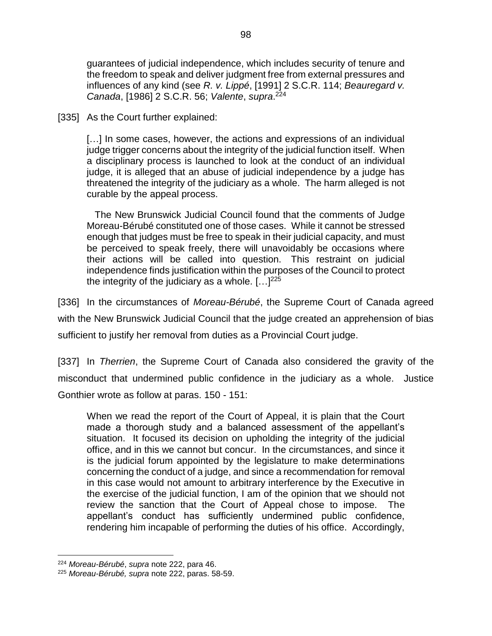guarantees of judicial independence, which includes security of tenure and the freedom to speak and deliver judgment free from external pressures and influences of any kind (see *R. v. Lippé*, [1991] 2 S.C.R. 114; *Beauregard v. Canada*, [1986] 2 S.C.R. 56; *Valente*, *supra*. 224

[335] As the Court further explained:

[...] In some cases, however, the actions and expressions of an individual judge trigger concerns about the integrity of the judicial function itself. When a disciplinary process is launched to look at the conduct of an individual judge, it is alleged that an abuse of judicial independence by a judge has threatened the integrity of the judiciary as a whole. The harm alleged is not curable by the appeal process.

 The New Brunswick Judicial Council found that the comments of Judge Moreau-Bérubé constituted one of those cases. While it cannot be stressed enough that judges must be free to speak in their judicial capacity, and must be perceived to speak freely, there will unavoidably be occasions where their actions will be called into question. This restraint on judicial independence finds justification within the purposes of the Council to protect the integrity of the judiciary as a whole.  $[...]^{225}$ 

[336] In the circumstances of *Moreau-Bérubé*, the Supreme Court of Canada agreed with the New Brunswick Judicial Council that the judge created an apprehension of bias sufficient to justify her removal from duties as a Provincial Court judge.

[337] In *Therrien*, the Supreme Court of Canada also considered the gravity of the misconduct that undermined public confidence in the judiciary as a whole. Justice Gonthier wrote as follow at paras. 150 - 151:

When we read the report of the Court of Appeal, it is plain that the Court made a thorough study and a balanced assessment of the appellant's situation. It focused its decision on upholding the integrity of the judicial office, and in this we cannot but concur. In the circumstances, and since it is the judicial forum appointed by the legislature to make determinations concerning the conduct of a judge, and since a recommendation for removal in this case would not amount to arbitrary interference by the Executive in the exercise of the judicial function, I am of the opinion that we should not review the sanction that the Court of Appeal chose to impose. The appellant's conduct has sufficiently undermined public confidence, rendering him incapable of performing the duties of his office. Accordingly,

<sup>224</sup> *Moreau-Bérubé*, *supra* note [222,](#page-99-0) para 46.

<sup>225</sup> *Moreau-Bérubé, supra* note [222,](#page-99-0) paras. 58-59.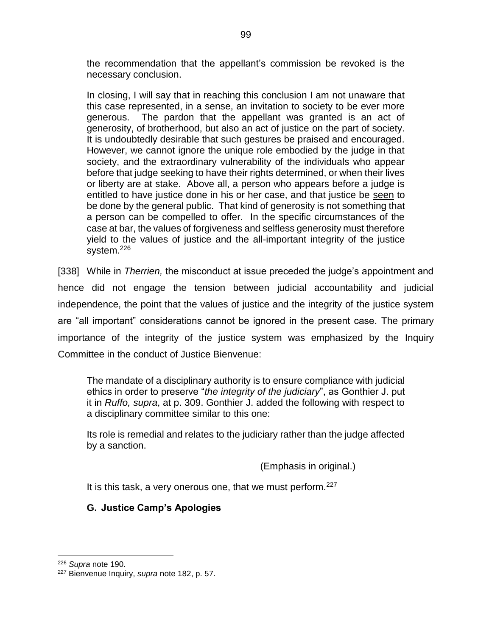the recommendation that the appellant's commission be revoked is the necessary conclusion.

In closing, I will say that in reaching this conclusion I am not unaware that this case represented, in a sense, an invitation to society to be ever more generous. The pardon that the appellant was granted is an act of generosity, of brotherhood, but also an act of justice on the part of society. It is undoubtedly desirable that such gestures be praised and encouraged. However, we cannot ignore the unique role embodied by the judge in that society, and the extraordinary vulnerability of the individuals who appear before that judge seeking to have their rights determined, or when their lives or liberty are at stake. Above all, a person who appears before a judge is entitled to have justice done in his or her case, and that justice be seen to be done by the general public. That kind of generosity is not something that a person can be compelled to offer. In the specific circumstances of the case at bar, the values of forgiveness and selfless generosity must therefore yield to the values of justice and the all-important integrity of the justice system.<sup>226</sup>

[338] While in *Therrien,* the misconduct at issue preceded the judge's appointment and hence did not engage the tension between judicial accountability and judicial independence, the point that the values of justice and the integrity of the justice system are "all important" considerations cannot be ignored in the present case. The primary importance of the integrity of the justice system was emphasized by the Inquiry Committee in the conduct of Justice Bienvenue:

The mandate of a disciplinary authority is to ensure compliance with judicial ethics in order to preserve "*the integrity of the judiciary*", as Gonthier J. put it in *Ruffo, supra*, at p. 309. Gonthier J. added the following with respect to a disciplinary committee similar to this one:

Its role is remedial and relates to the judiciary rather than the judge affected by a sanction.

(Emphasis in original.)

It is this task, a very onerous one, that we must perform.<sup>227</sup>

#### **G. Justice Camp's Apologies**

<sup>226</sup> *Supra* note [190.](#page-87-0)

<sup>227</sup> Bienvenue Inquiry, *supra* note [182,](#page-85-0) p. 57.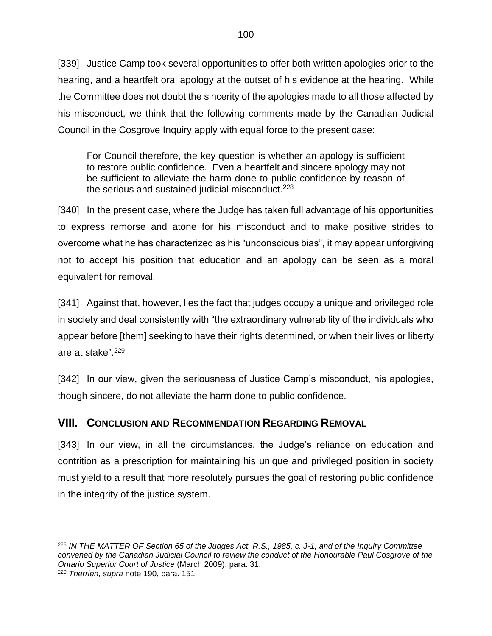[339] Justice Camp took several opportunities to offer both written apologies prior to the hearing, and a heartfelt oral apology at the outset of his evidence at the hearing. While the Committee does not doubt the sincerity of the apologies made to all those affected by his misconduct, we think that the following comments made by the Canadian Judicial Council in the Cosgrove Inquiry apply with equal force to the present case:

For Council therefore, the key question is whether an apology is sufficient to restore public confidence. Even a heartfelt and sincere apology may not be sufficient to alleviate the harm done to public confidence by reason of the serious and sustained judicial misconduct.<sup>228</sup>

[340] In the present case, where the Judge has taken full advantage of his opportunities to express remorse and atone for his misconduct and to make positive strides to overcome what he has characterized as his "unconscious bias", it may appear unforgiving not to accept his position that education and an apology can be seen as a moral equivalent for removal.

[341] Against that, however, lies the fact that judges occupy a unique and privileged role in society and deal consistently with "the extraordinary vulnerability of the individuals who appear before [them] seeking to have their rights determined, or when their lives or liberty are at stake". 229

[342] In our view, given the seriousness of Justice Camp's misconduct, his apologies, though sincere, do not alleviate the harm done to public confidence.

# **VIII. CONCLUSION AND RECOMMENDATION REGARDING REMOVAL**

[343] In our view, in all the circumstances, the Judge's reliance on education and contrition as a prescription for maintaining his unique and privileged position in society must yield to a result that more resolutely pursues the goal of restoring public confidence in the integrity of the justice system.

 $\overline{a}$ <sup>228</sup> *IN THE MATTER OF Section 65 of the Judges Act, R.S., 1985, c. J-1, and of the Inquiry Committee convened by the Canadian Judicial Council to review the conduct of the Honourable Paul Cosgrove of the Ontario Superior Court of Justice* (March 2009), para. 31.

<sup>229</sup> *Therrien, supra* note [190,](#page-87-0) para. 151.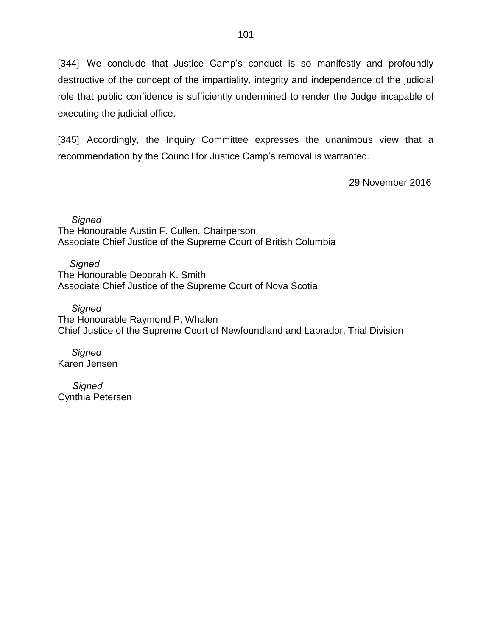[344] We conclude that Justice Camp's conduct is so manifestly and profoundly destructive of the concept of the impartiality, integrity and independence of the judicial role that public confidence is sufficiently undermined to render the Judge incapable of executing the judicial office.

[345] Accordingly, the Inquiry Committee expresses the unanimous view that a recommendation by the Council for Justice Camp's removal is warranted.

29 November 2016

 *Signed* The Honourable Austin F. Cullen, Chairperson Associate Chief Justice of the Supreme Court of British Columbia

*Signed* The Honourable Deborah K. Smith Associate Chief Justice of the Supreme Court of Nova Scotia

*Signed* The Honourable Raymond P. Whalen Chief Justice of the Supreme Court of Newfoundland and Labrador, Trial Division

 *Signed* Karen Jensen

 *Signed* Cynthia Petersen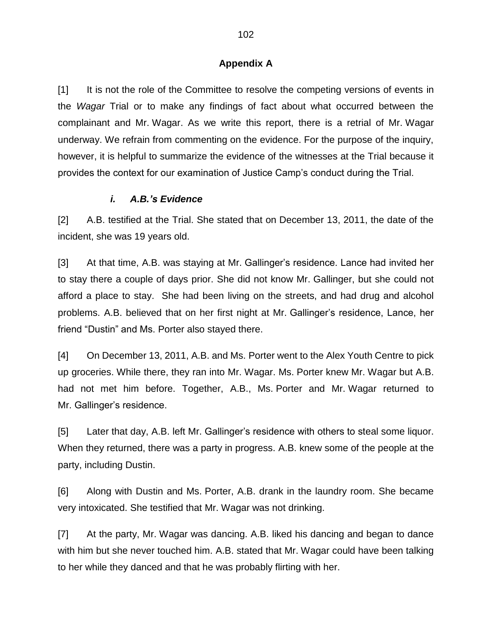#### **Appendix A**

[1] It is not the role of the Committee to resolve the competing versions of events in the *Wagar* Trial or to make any findings of fact about what occurred between the complainant and Mr. Wagar. As we write this report, there is a retrial of Mr. Wagar underway. We refrain from commenting on the evidence. For the purpose of the inquiry, however, it is helpful to summarize the evidence of the witnesses at the Trial because it provides the context for our examination of Justice Camp's conduct during the Trial.

#### *i. A.B.'s Evidence*

[2] A.B. testified at the Trial. She stated that on December 13, 2011, the date of the incident, she was 19 years old.

[3] At that time, A.B. was staying at Mr. Gallinger's residence. Lance had invited her to stay there a couple of days prior. She did not know Mr. Gallinger, but she could not afford a place to stay. She had been living on the streets, and had drug and alcohol problems. A.B. believed that on her first night at Mr. Gallinger's residence, Lance, her friend "Dustin" and Ms. Porter also stayed there.

[4] On December 13, 2011, A.B. and Ms. Porter went to the Alex Youth Centre to pick up groceries. While there, they ran into Mr. Wagar. Ms. Porter knew Mr. Wagar but A.B. had not met him before. Together, A.B., Ms. Porter and Mr. Wagar returned to Mr. Gallinger's residence.

[5] Later that day, A.B. left Mr. Gallinger's residence with others to steal some liquor. When they returned, there was a party in progress. A.B. knew some of the people at the party, including Dustin.

[6] Along with Dustin and Ms. Porter, A.B. drank in the laundry room. She became very intoxicated. She testified that Mr. Wagar was not drinking.

[7] At the party, Mr. Wagar was dancing. A.B. liked his dancing and began to dance with him but she never touched him. A.B. stated that Mr. Wagar could have been talking to her while they danced and that he was probably flirting with her.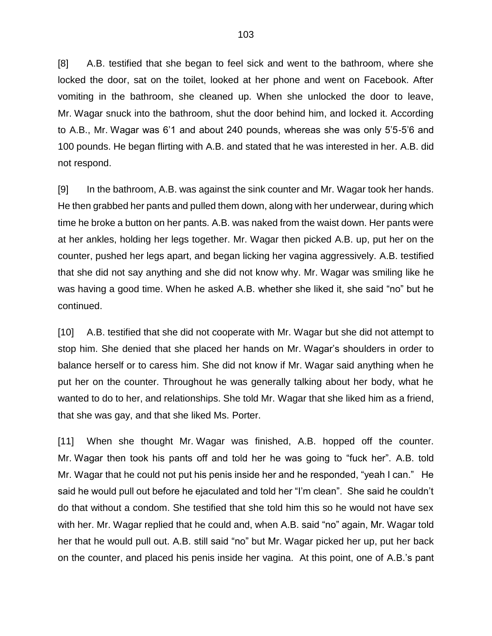[8] A.B. testified that she began to feel sick and went to the bathroom, where she locked the door, sat on the toilet, looked at her phone and went on Facebook. After vomiting in the bathroom, she cleaned up. When she unlocked the door to leave, Mr. Wagar snuck into the bathroom, shut the door behind him, and locked it. According to A.B., Mr. Wagar was 6'1 and about 240 pounds, whereas she was only 5'5-5'6 and 100 pounds. He began flirting with A.B. and stated that he was interested in her. A.B. did not respond.

[9] In the bathroom, A.B. was against the sink counter and Mr. Wagar took her hands. He then grabbed her pants and pulled them down, along with her underwear, during which time he broke a button on her pants. A.B. was naked from the waist down. Her pants were at her ankles, holding her legs together. Mr. Wagar then picked A.B. up, put her on the counter, pushed her legs apart, and began licking her vagina aggressively. A.B. testified that she did not say anything and she did not know why. Mr. Wagar was smiling like he was having a good time. When he asked A.B. whether she liked it, she said "no" but he continued.

[10] A.B. testified that she did not cooperate with Mr. Wagar but she did not attempt to stop him. She denied that she placed her hands on Mr. Wagar's shoulders in order to balance herself or to caress him. She did not know if Mr. Wagar said anything when he put her on the counter. Throughout he was generally talking about her body, what he wanted to do to her, and relationships. She told Mr. Wagar that she liked him as a friend, that she was gay, and that she liked Ms. Porter.

[11] When she thought Mr. Wagar was finished, A.B. hopped off the counter. Mr. Wagar then took his pants off and told her he was going to "fuck her". A.B. told Mr. Wagar that he could not put his penis inside her and he responded, "yeah I can." He said he would pull out before he ejaculated and told her "I'm clean". She said he couldn't do that without a condom. She testified that she told him this so he would not have sex with her. Mr. Wagar replied that he could and, when A.B. said "no" again, Mr. Wagar told her that he would pull out. A.B. still said "no" but Mr. Wagar picked her up, put her back on the counter, and placed his penis inside her vagina. At this point, one of A.B.'s pant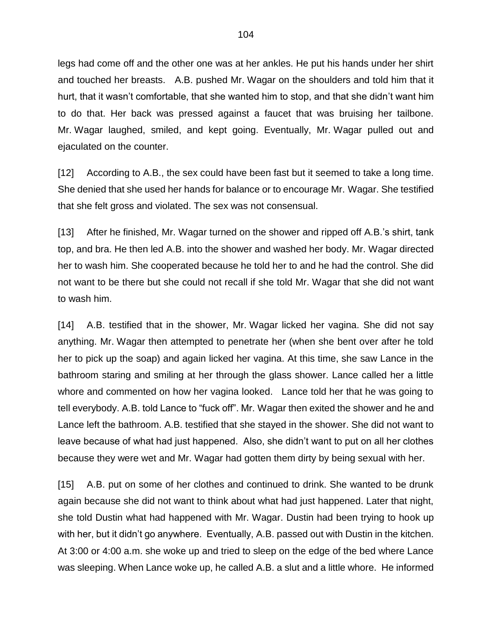legs had come off and the other one was at her ankles. He put his hands under her shirt and touched her breasts. A.B. pushed Mr. Wagar on the shoulders and told him that it hurt, that it wasn't comfortable, that she wanted him to stop, and that she didn't want him to do that. Her back was pressed against a faucet that was bruising her tailbone. Mr. Wagar laughed, smiled, and kept going. Eventually, Mr. Wagar pulled out and ejaculated on the counter.

[12] According to A.B., the sex could have been fast but it seemed to take a long time. She denied that she used her hands for balance or to encourage Mr. Wagar. She testified that she felt gross and violated. The sex was not consensual.

[13] After he finished, Mr. Wagar turned on the shower and ripped off A.B.'s shirt, tank top, and bra. He then led A.B. into the shower and washed her body. Mr. Wagar directed her to wash him. She cooperated because he told her to and he had the control. She did not want to be there but she could not recall if she told Mr. Wagar that she did not want to wash him.

[14] A.B. testified that in the shower, Mr. Wagar licked her vagina. She did not say anything. Mr. Wagar then attempted to penetrate her (when she bent over after he told her to pick up the soap) and again licked her vagina. At this time, she saw Lance in the bathroom staring and smiling at her through the glass shower. Lance called her a little whore and commented on how her vagina looked. Lance told her that he was going to tell everybody. A.B. told Lance to "fuck off". Mr. Wagar then exited the shower and he and Lance left the bathroom. A.B. testified that she stayed in the shower. She did not want to leave because of what had just happened. Also, she didn't want to put on all her clothes because they were wet and Mr. Wagar had gotten them dirty by being sexual with her.

[15] A.B. put on some of her clothes and continued to drink. She wanted to be drunk again because she did not want to think about what had just happened. Later that night, she told Dustin what had happened with Mr. Wagar. Dustin had been trying to hook up with her, but it didn't go anywhere. Eventually, A.B. passed out with Dustin in the kitchen. At 3:00 or 4:00 a.m. she woke up and tried to sleep on the edge of the bed where Lance was sleeping. When Lance woke up, he called A.B. a slut and a little whore. He informed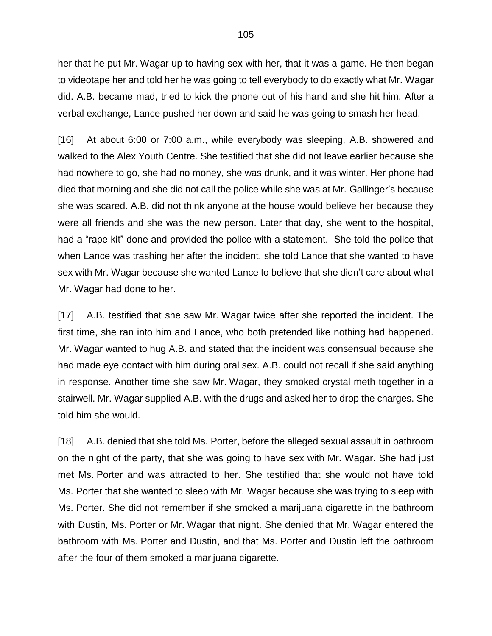her that he put Mr. Wagar up to having sex with her, that it was a game. He then began to videotape her and told her he was going to tell everybody to do exactly what Mr. Wagar did. A.B. became mad, tried to kick the phone out of his hand and she hit him. After a verbal exchange, Lance pushed her down and said he was going to smash her head.

[16] At about 6:00 or 7:00 a.m., while everybody was sleeping, A.B. showered and walked to the Alex Youth Centre. She testified that she did not leave earlier because she had nowhere to go, she had no money, she was drunk, and it was winter. Her phone had died that morning and she did not call the police while she was at Mr. Gallinger's because she was scared. A.B. did not think anyone at the house would believe her because they were all friends and she was the new person. Later that day, she went to the hospital, had a "rape kit" done and provided the police with a statement. She told the police that when Lance was trashing her after the incident, she told Lance that she wanted to have sex with Mr. Wagar because she wanted Lance to believe that she didn't care about what Mr. Wagar had done to her.

[17] A.B. testified that she saw Mr. Wagar twice after she reported the incident. The first time, she ran into him and Lance, who both pretended like nothing had happened. Mr. Wagar wanted to hug A.B. and stated that the incident was consensual because she had made eye contact with him during oral sex. A.B. could not recall if she said anything in response. Another time she saw Mr. Wagar, they smoked crystal meth together in a stairwell. Mr. Wagar supplied A.B. with the drugs and asked her to drop the charges. She told him she would.

[18] A.B. denied that she told Ms. Porter, before the alleged sexual assault in bathroom on the night of the party, that she was going to have sex with Mr. Wagar. She had just met Ms. Porter and was attracted to her. She testified that she would not have told Ms. Porter that she wanted to sleep with Mr. Wagar because she was trying to sleep with Ms. Porter. She did not remember if she smoked a marijuana cigarette in the bathroom with Dustin, Ms. Porter or Mr. Wagar that night. She denied that Mr. Wagar entered the bathroom with Ms. Porter and Dustin, and that Ms. Porter and Dustin left the bathroom after the four of them smoked a marijuana cigarette.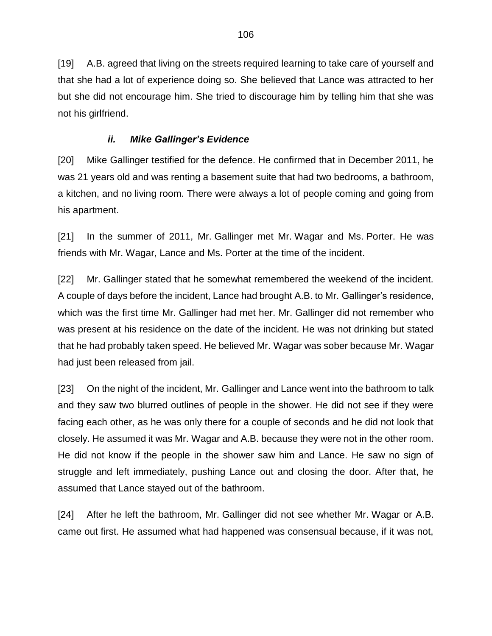[19] A.B. agreed that living on the streets required learning to take care of yourself and that she had a lot of experience doing so. She believed that Lance was attracted to her but she did not encourage him. She tried to discourage him by telling him that she was not his girlfriend.

## *ii. Mike Gallinger's Evidence*

[20] Mike Gallinger testified for the defence. He confirmed that in December 2011, he was 21 years old and was renting a basement suite that had two bedrooms, a bathroom, a kitchen, and no living room. There were always a lot of people coming and going from his apartment.

[21] In the summer of 2011, Mr. Gallinger met Mr. Wagar and Ms. Porter. He was friends with Mr. Wagar, Lance and Ms. Porter at the time of the incident.

[22] Mr. Gallinger stated that he somewhat remembered the weekend of the incident. A couple of days before the incident, Lance had brought A.B. to Mr. Gallinger's residence, which was the first time Mr. Gallinger had met her. Mr. Gallinger did not remember who was present at his residence on the date of the incident. He was not drinking but stated that he had probably taken speed. He believed Mr. Wagar was sober because Mr. Wagar had just been released from jail.

[23] On the night of the incident, Mr. Gallinger and Lance went into the bathroom to talk and they saw two blurred outlines of people in the shower. He did not see if they were facing each other, as he was only there for a couple of seconds and he did not look that closely. He assumed it was Mr. Wagar and A.B. because they were not in the other room. He did not know if the people in the shower saw him and Lance. He saw no sign of struggle and left immediately, pushing Lance out and closing the door. After that, he assumed that Lance stayed out of the bathroom.

[24] After he left the bathroom, Mr. Gallinger did not see whether Mr. Wagar or A.B. came out first. He assumed what had happened was consensual because, if it was not,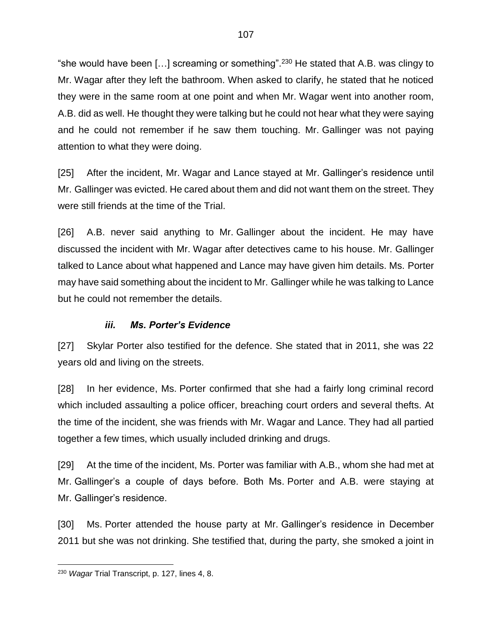"she would have been [...] screaming or something".<sup>230</sup> He stated that A.B. was clingy to Mr. Wagar after they left the bathroom. When asked to clarify, he stated that he noticed they were in the same room at one point and when Mr. Wagar went into another room, A.B. did as well. He thought they were talking but he could not hear what they were saying and he could not remember if he saw them touching. Mr. Gallinger was not paying attention to what they were doing.

[25] After the incident, Mr. Wagar and Lance stayed at Mr. Gallinger's residence until Mr. Gallinger was evicted. He cared about them and did not want them on the street. They were still friends at the time of the Trial.

[26] A.B. never said anything to Mr. Gallinger about the incident. He may have discussed the incident with Mr. Wagar after detectives came to his house. Mr. Gallinger talked to Lance about what happened and Lance may have given him details. Ms. Porter may have said something about the incident to Mr. Gallinger while he was talking to Lance but he could not remember the details.

# *iii. Ms. Porter's Evidence*

[27] Skylar Porter also testified for the defence. She stated that in 2011, she was 22 years old and living on the streets.

[28] In her evidence, Ms. Porter confirmed that she had a fairly long criminal record which included assaulting a police officer, breaching court orders and several thefts. At the time of the incident, she was friends with Mr. Wagar and Lance. They had all partied together a few times, which usually included drinking and drugs.

[29] At the time of the incident, Ms. Porter was familiar with A.B., whom she had met at Mr. Gallinger's a couple of days before. Both Ms. Porter and A.B. were staying at Mr. Gallinger's residence.

[30] Ms. Porter attended the house party at Mr. Gallinger's residence in December 2011 but she was not drinking. She testified that, during the party, she smoked a joint in

 $\overline{a}$ 

<sup>230</sup> *Wagar* Trial Transcript, p. 127, lines 4, 8.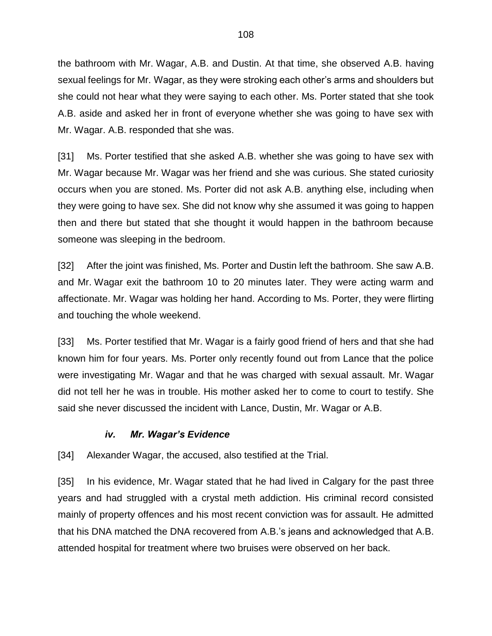the bathroom with Mr. Wagar, A.B. and Dustin. At that time, she observed A.B. having sexual feelings for Mr. Wagar, as they were stroking each other's arms and shoulders but she could not hear what they were saying to each other. Ms. Porter stated that she took A.B. aside and asked her in front of everyone whether she was going to have sex with Mr. Wagar. A.B. responded that she was.

[31] Ms. Porter testified that she asked A.B. whether she was going to have sex with Mr. Wagar because Mr. Wagar was her friend and she was curious. She stated curiosity occurs when you are stoned. Ms. Porter did not ask A.B. anything else, including when they were going to have sex. She did not know why she assumed it was going to happen then and there but stated that she thought it would happen in the bathroom because someone was sleeping in the bedroom.

[32] After the joint was finished, Ms. Porter and Dustin left the bathroom. She saw A.B. and Mr. Wagar exit the bathroom 10 to 20 minutes later. They were acting warm and affectionate. Mr. Wagar was holding her hand. According to Ms. Porter, they were flirting and touching the whole weekend.

[33] Ms. Porter testified that Mr. Wagar is a fairly good friend of hers and that she had known him for four years. Ms. Porter only recently found out from Lance that the police were investigating Mr. Wagar and that he was charged with sexual assault. Mr. Wagar did not tell her he was in trouble. His mother asked her to come to court to testify. She said she never discussed the incident with Lance, Dustin, Mr. Wagar or A.B.

### *iv. Mr. Wagar's Evidence*

[34] Alexander Wagar, the accused, also testified at the Trial.

[35] In his evidence, Mr. Wagar stated that he had lived in Calgary for the past three years and had struggled with a crystal meth addiction. His criminal record consisted mainly of property offences and his most recent conviction was for assault. He admitted that his DNA matched the DNA recovered from A.B.'s jeans and acknowledged that A.B. attended hospital for treatment where two bruises were observed on her back.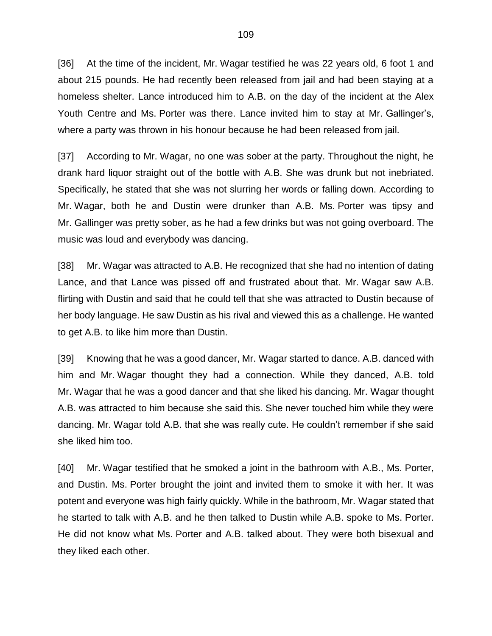[36] At the time of the incident, Mr. Wagar testified he was 22 years old, 6 foot 1 and about 215 pounds. He had recently been released from jail and had been staying at a homeless shelter. Lance introduced him to A.B. on the day of the incident at the Alex Youth Centre and Ms. Porter was there. Lance invited him to stay at Mr. Gallinger's, where a party was thrown in his honour because he had been released from jail.

[37] According to Mr. Wagar, no one was sober at the party. Throughout the night, he drank hard liquor straight out of the bottle with A.B. She was drunk but not inebriated. Specifically, he stated that she was not slurring her words or falling down. According to Mr. Wagar, both he and Dustin were drunker than A.B. Ms. Porter was tipsy and Mr. Gallinger was pretty sober, as he had a few drinks but was not going overboard. The music was loud and everybody was dancing.

[38] Mr. Wagar was attracted to A.B. He recognized that she had no intention of dating Lance, and that Lance was pissed off and frustrated about that. Mr. Wagar saw A.B. flirting with Dustin and said that he could tell that she was attracted to Dustin because of her body language. He saw Dustin as his rival and viewed this as a challenge. He wanted to get A.B. to like him more than Dustin.

[39] Knowing that he was a good dancer, Mr. Wagar started to dance. A.B. danced with him and Mr. Wagar thought they had a connection. While they danced, A.B. told Mr. Wagar that he was a good dancer and that she liked his dancing. Mr. Wagar thought A.B. was attracted to him because she said this. She never touched him while they were dancing. Mr. Wagar told A.B. that she was really cute. He couldn't remember if she said she liked him too.

[40] Mr. Wagar testified that he smoked a joint in the bathroom with A.B., Ms. Porter, and Dustin. Ms. Porter brought the joint and invited them to smoke it with her. It was potent and everyone was high fairly quickly. While in the bathroom, Mr. Wagar stated that he started to talk with A.B. and he then talked to Dustin while A.B. spoke to Ms. Porter. He did not know what Ms. Porter and A.B. talked about. They were both bisexual and they liked each other.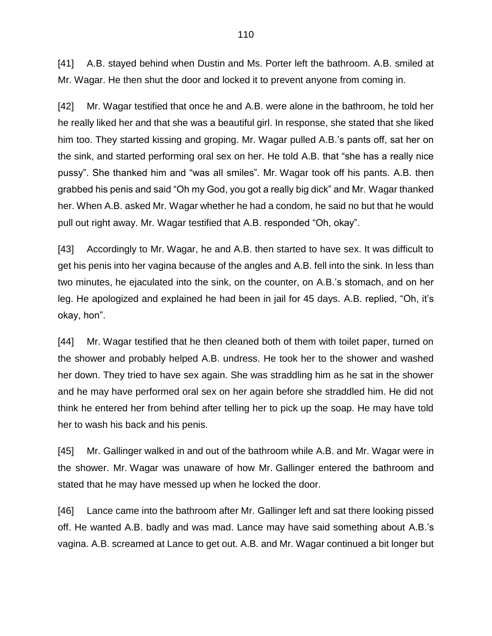[41] A.B. stayed behind when Dustin and Ms. Porter left the bathroom. A.B. smiled at Mr. Wagar. He then shut the door and locked it to prevent anyone from coming in.

[42] Mr. Wagar testified that once he and A.B. were alone in the bathroom, he told her he really liked her and that she was a beautiful girl. In response, she stated that she liked him too. They started kissing and groping. Mr. Wagar pulled A.B.'s pants off, sat her on the sink, and started performing oral sex on her. He told A.B. that "she has a really nice pussy". She thanked him and "was all smiles". Mr. Wagar took off his pants. A.B. then grabbed his penis and said "Oh my God, you got a really big dick" and Mr. Wagar thanked her. When A.B. asked Mr. Wagar whether he had a condom, he said no but that he would pull out right away. Mr. Wagar testified that A.B. responded "Oh, okay".

[43] Accordingly to Mr. Wagar, he and A.B. then started to have sex. It was difficult to get his penis into her vagina because of the angles and A.B. fell into the sink. In less than two minutes, he ejaculated into the sink, on the counter, on A.B.'s stomach, and on her leg. He apologized and explained he had been in jail for 45 days. A.B. replied, "Oh, it's okay, hon".

[44] Mr. Wagar testified that he then cleaned both of them with toilet paper, turned on the shower and probably helped A.B. undress. He took her to the shower and washed her down. They tried to have sex again. She was straddling him as he sat in the shower and he may have performed oral sex on her again before she straddled him. He did not think he entered her from behind after telling her to pick up the soap. He may have told her to wash his back and his penis.

[45] Mr. Gallinger walked in and out of the bathroom while A.B. and Mr. Wagar were in the shower. Mr. Wagar was unaware of how Mr. Gallinger entered the bathroom and stated that he may have messed up when he locked the door.

[46] Lance came into the bathroom after Mr. Gallinger left and sat there looking pissed off. He wanted A.B. badly and was mad. Lance may have said something about A.B.'s vagina. A.B. screamed at Lance to get out. A.B. and Mr. Wagar continued a bit longer but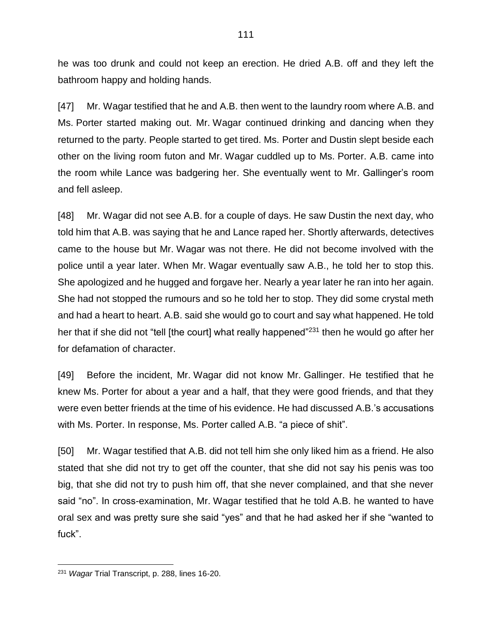he was too drunk and could not keep an erection. He dried A.B. off and they left the bathroom happy and holding hands.

[47] Mr. Wagar testified that he and A.B. then went to the laundry room where A.B. and Ms. Porter started making out. Mr. Wagar continued drinking and dancing when they returned to the party. People started to get tired. Ms. Porter and Dustin slept beside each other on the living room futon and Mr. Wagar cuddled up to Ms. Porter. A.B. came into the room while Lance was badgering her. She eventually went to Mr. Gallinger's room and fell asleep.

[48] Mr. Wagar did not see A.B. for a couple of days. He saw Dustin the next day, who told him that A.B. was saying that he and Lance raped her. Shortly afterwards, detectives came to the house but Mr. Wagar was not there. He did not become involved with the police until a year later. When Mr. Wagar eventually saw A.B., he told her to stop this. She apologized and he hugged and forgave her. Nearly a year later he ran into her again. She had not stopped the rumours and so he told her to stop. They did some crystal meth and had a heart to heart. A.B. said she would go to court and say what happened. He told her that if she did not "tell [the court] what really happened"<sup>231</sup> then he would go after her for defamation of character.

[49] Before the incident, Mr. Wagar did not know Mr. Gallinger. He testified that he knew Ms. Porter for about a year and a half, that they were good friends, and that they were even better friends at the time of his evidence. He had discussed A.B.'s accusations with Ms. Porter. In response, Ms. Porter called A.B. "a piece of shit".

[50] Mr. Wagar testified that A.B. did not tell him she only liked him as a friend. He also stated that she did not try to get off the counter, that she did not say his penis was too big, that she did not try to push him off, that she never complained, and that she never said "no". In cross-examination, Mr. Wagar testified that he told A.B. he wanted to have oral sex and was pretty sure she said "yes" and that he had asked her if she "wanted to fuck".

 $\overline{a}$ <sup>231</sup> *Wagar* Trial Transcript, p. 288, lines 16-20.